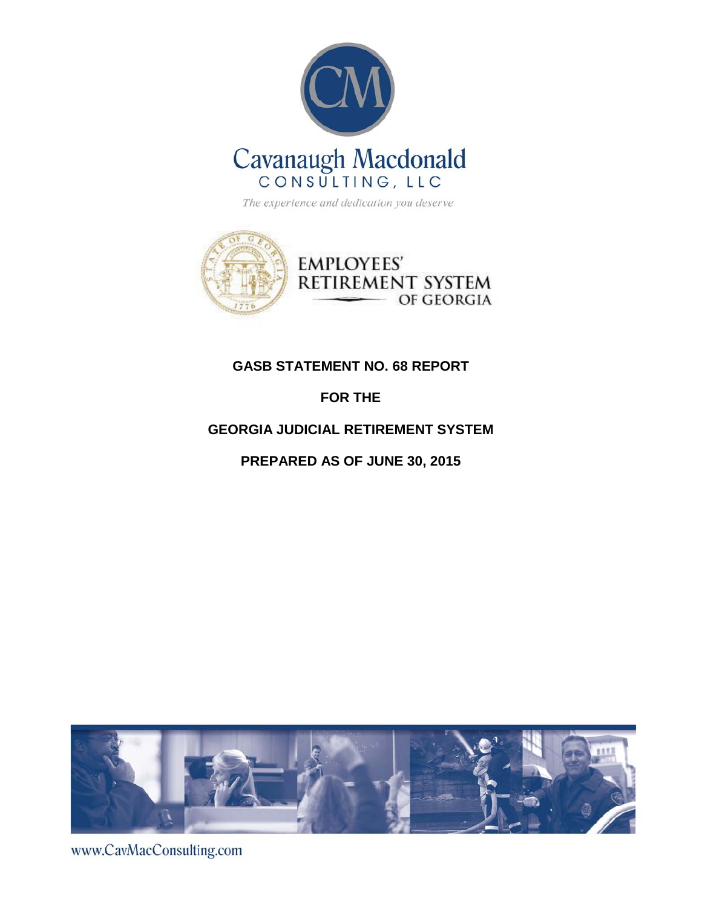



## **GASB STATEMENT NO. 68 REPORT**

## **FOR THE**

## **GEORGIA JUDICIAL RETIREMENT SYSTEM**

**PREPARED AS OF JUNE 30, 2015**



www.CavMacConsulting.com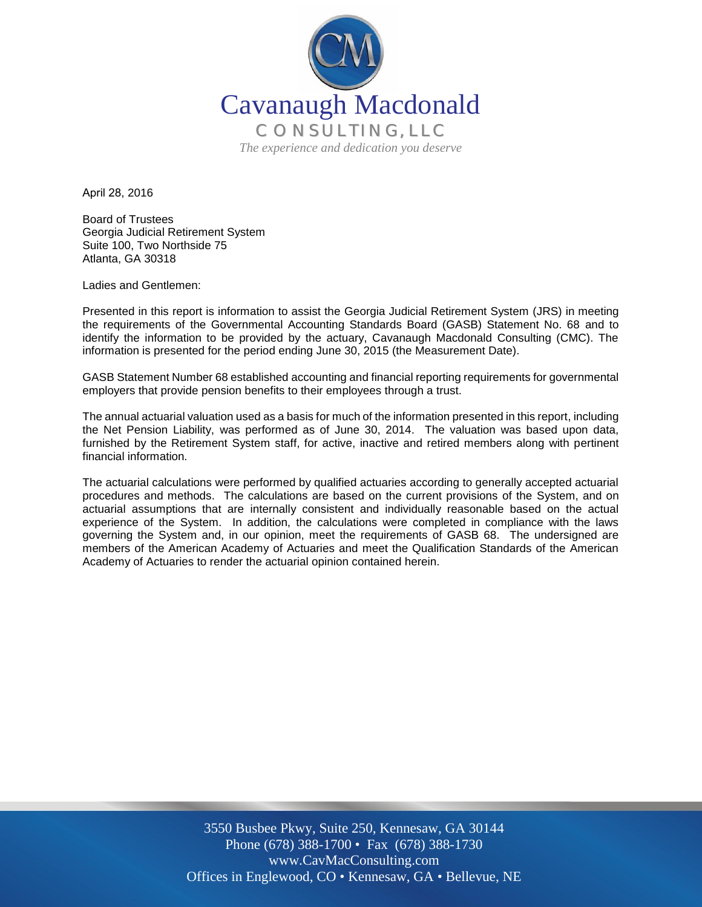

April 28, 2016

Board of Trustees Georgia Judicial Retirement System Suite 100, Two Northside 75 Atlanta, GA 30318

Ladies and Gentlemen:

Presented in this report is information to assist the Georgia Judicial Retirement System (JRS) in meeting the requirements of the Governmental Accounting Standards Board (GASB) Statement No. 68 and to identify the information to be provided by the actuary, Cavanaugh Macdonald Consulting (CMC). The information is presented for the period ending June 30, 2015 (the Measurement Date).

GASB Statement Number 68 established accounting and financial reporting requirements for governmental employers that provide pension benefits to their employees through a trust.

The annual actuarial valuation used as a basis for much of the information presented in this report, including the Net Pension Liability, was performed as of June 30, 2014. The valuation was based upon data, furnished by the Retirement System staff, for active, inactive and retired members along with pertinent financial information.

The actuarial calculations were performed by qualified actuaries according to generally accepted actuarial procedures and methods. The calculations are based on the current provisions of the System, and on actuarial assumptions that are internally consistent and individually reasonable based on the actual experience of the System. In addition, the calculations were completed in compliance with the laws governing the System and, in our opinion, meet the requirements of GASB 68. The undersigned are members of the American Academy of Actuaries and meet the Qualification Standards of the American Academy of Actuaries to render the actuarial opinion contained herein.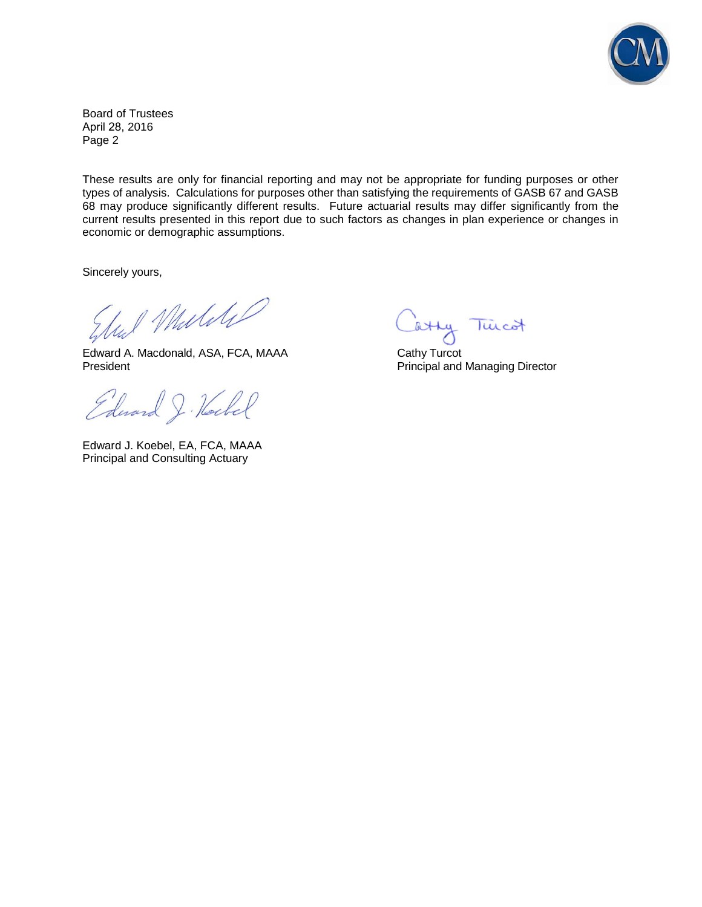

Board of Trustees April 28, 2016 Page 2

These results are only for financial reporting and may not be appropriate for funding purposes or other types of analysis. Calculations for purposes other than satisfying the requirements of GASB 67 and GASB 68 may produce significantly different results. Future actuarial results may differ significantly from the current results presented in this report due to such factors as changes in plan experience or changes in economic or demographic assumptions.

Sincerely yours,

had Mulikel

Edward A. Macdonald, ASA, FCA, MAAA Cathy Turcot<br>President Principal and

Edward J. Hockel

Edward J. Koebel, EA, FCA, MAAA Principal and Consulting Actuary

atty Tuicot

Principal and Managing Director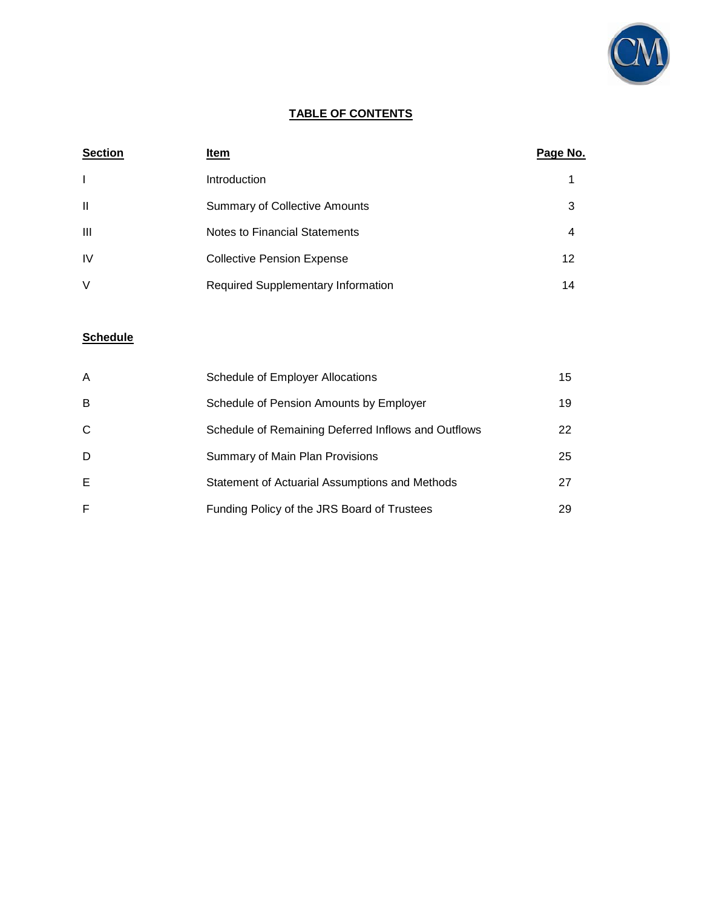

### **TABLE OF CONTENTS**

| <b>Section</b> | Item                                      | Page No. |
|----------------|-------------------------------------------|----------|
| $\mathbf{I}$   | Introduction                              |          |
| $\mathbf{I}$   | <b>Summary of Collective Amounts</b>      | 3        |
| Ш              | <b>Notes to Financial Statements</b>      | 4        |
| <b>IV</b>      | <b>Collective Pension Expense</b>         | 12       |
| V              | <b>Required Supplementary Information</b> | 14       |

## **Schedule**

| A | <b>Schedule of Employer Allocations</b>             | 15 |
|---|-----------------------------------------------------|----|
| B | Schedule of Pension Amounts by Employer             | 19 |
| C | Schedule of Remaining Deferred Inflows and Outflows | 22 |
| D | Summary of Main Plan Provisions                     | 25 |
| E | Statement of Actuarial Assumptions and Methods      | 27 |
| F | Funding Policy of the JRS Board of Trustees         | 29 |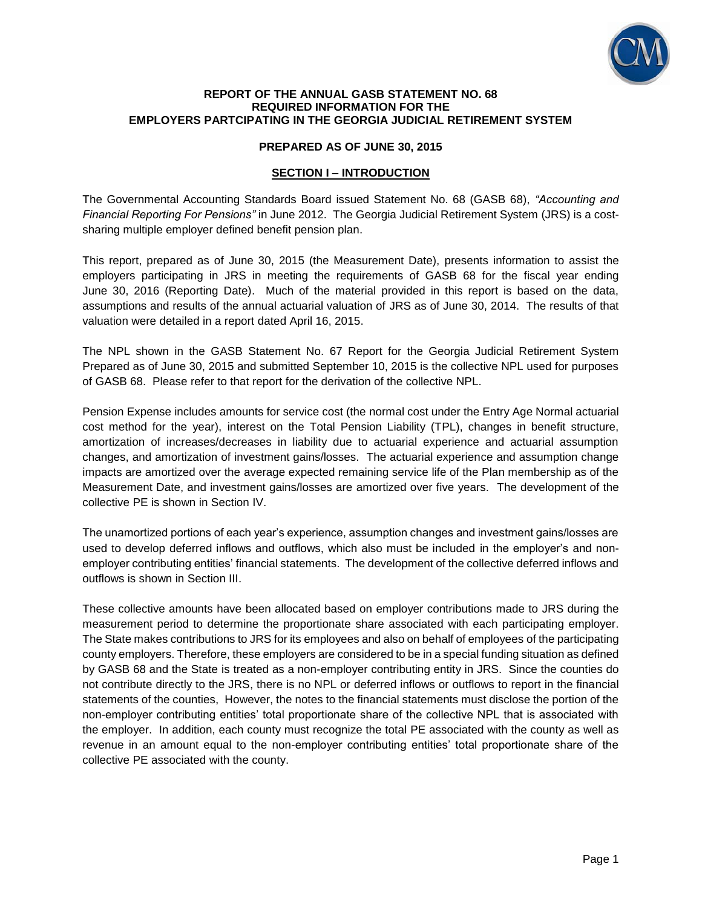

#### **REPORT OF THE ANNUAL GASB STATEMENT NO. 68 REQUIRED INFORMATION FOR THE EMPLOYERS PARTCIPATING IN THE GEORGIA JUDICIAL RETIREMENT SYSTEM**

### **PREPARED AS OF JUNE 30, 2015**

### **SECTION I – INTRODUCTION**

The Governmental Accounting Standards Board issued Statement No. 68 (GASB 68), *"Accounting and Financial Reporting For Pensions"* in June 2012. The Georgia Judicial Retirement System (JRS) is a costsharing multiple employer defined benefit pension plan.

This report, prepared as of June 30, 2015 (the Measurement Date), presents information to assist the employers participating in JRS in meeting the requirements of GASB 68 for the fiscal year ending June 30, 2016 (Reporting Date). Much of the material provided in this report is based on the data, assumptions and results of the annual actuarial valuation of JRS as of June 30, 2014. The results of that valuation were detailed in a report dated April 16, 2015.

The NPL shown in the GASB Statement No. 67 Report for the Georgia Judicial Retirement System Prepared as of June 30, 2015 and submitted September 10, 2015 is the collective NPL used for purposes of GASB 68. Please refer to that report for the derivation of the collective NPL.

Pension Expense includes amounts for service cost (the normal cost under the Entry Age Normal actuarial cost method for the year), interest on the Total Pension Liability (TPL), changes in benefit structure, amortization of increases/decreases in liability due to actuarial experience and actuarial assumption changes, and amortization of investment gains/losses. The actuarial experience and assumption change impacts are amortized over the average expected remaining service life of the Plan membership as of the Measurement Date, and investment gains/losses are amortized over five years. The development of the collective PE is shown in Section IV.

The unamortized portions of each year's experience, assumption changes and investment gains/losses are used to develop deferred inflows and outflows, which also must be included in the employer's and nonemployer contributing entities' financial statements. The development of the collective deferred inflows and outflows is shown in Section III.

These collective amounts have been allocated based on employer contributions made to JRS during the measurement period to determine the proportionate share associated with each participating employer. The State makes contributions to JRS for its employees and also on behalf of employees of the participating county employers. Therefore, these employers are considered to be in a special funding situation as defined by GASB 68 and the State is treated as a non-employer contributing entity in JRS. Since the counties do not contribute directly to the JRS, there is no NPL or deferred inflows or outflows to report in the financial statements of the counties, However, the notes to the financial statements must disclose the portion of the non-employer contributing entities' total proportionate share of the collective NPL that is associated with the employer. In addition, each county must recognize the total PE associated with the county as well as revenue in an amount equal to the non-employer contributing entities' total proportionate share of the collective PE associated with the county.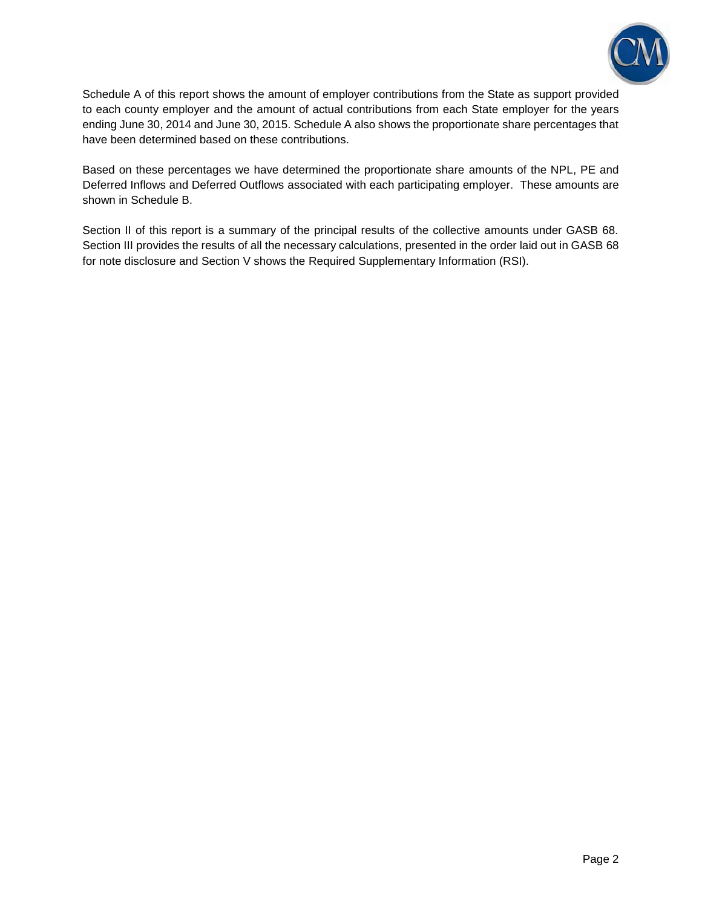

Schedule A of this report shows the amount of employer contributions from the State as support provided to each county employer and the amount of actual contributions from each State employer for the years ending June 30, 2014 and June 30, 2015. Schedule A also shows the proportionate share percentages that have been determined based on these contributions.

Based on these percentages we have determined the proportionate share amounts of the NPL, PE and Deferred Inflows and Deferred Outflows associated with each participating employer. These amounts are shown in Schedule B.

Section II of this report is a summary of the principal results of the collective amounts under GASB 68. Section III provides the results of all the necessary calculations, presented in the order laid out in GASB 68 for note disclosure and Section V shows the Required Supplementary Information (RSI).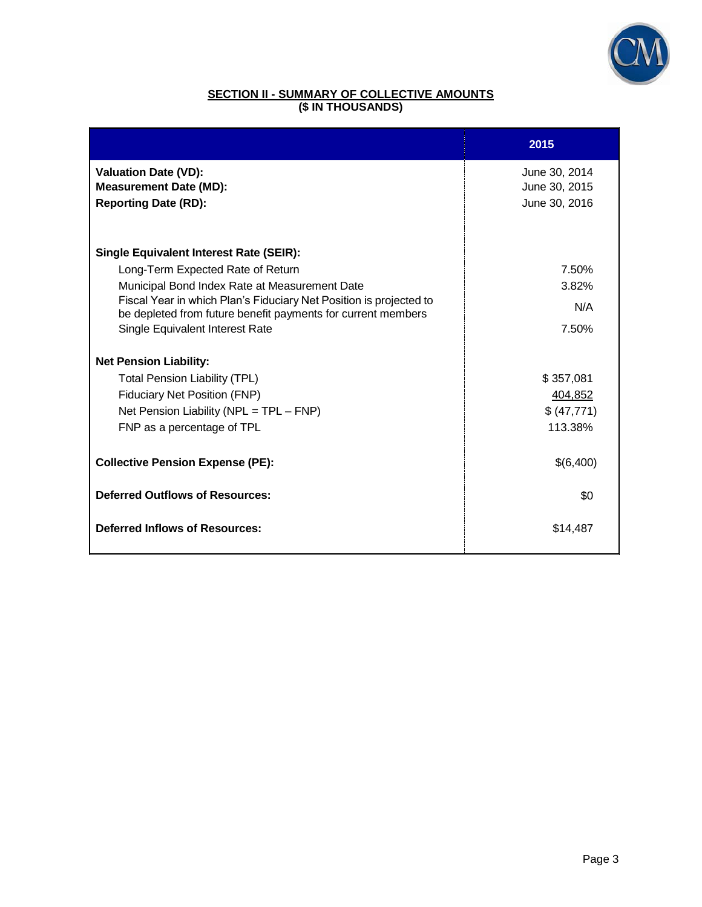

### **SECTION II - SUMMARY OF COLLECTIVE AMOUNTS (\$ IN THOUSANDS)**

|                                                                                                                                    | 2015          |
|------------------------------------------------------------------------------------------------------------------------------------|---------------|
| <b>Valuation Date (VD):</b>                                                                                                        | June 30, 2014 |
| <b>Measurement Date (MD):</b>                                                                                                      | June 30, 2015 |
| <b>Reporting Date (RD):</b>                                                                                                        | June 30, 2016 |
|                                                                                                                                    |               |
| <b>Single Equivalent Interest Rate (SEIR):</b>                                                                                     |               |
| Long-Term Expected Rate of Return                                                                                                  | 7.50%         |
| Municipal Bond Index Rate at Measurement Date                                                                                      | 3.82%         |
| Fiscal Year in which Plan's Fiduciary Net Position is projected to<br>be depleted from future benefit payments for current members | N/A           |
| Single Equivalent Interest Rate                                                                                                    | 7.50%         |
| <b>Net Pension Liability:</b>                                                                                                      |               |
| <b>Total Pension Liability (TPL)</b>                                                                                               | \$357,081     |
| <b>Fiduciary Net Position (FNP)</b>                                                                                                | 404,852       |
| Net Pension Liability (NPL = TPL - FNP)                                                                                            | \$ (47,771)   |
| FNP as a percentage of TPL                                                                                                         | 113.38%       |
| <b>Collective Pension Expense (PE):</b>                                                                                            | \$(6,400)     |
| <b>Deferred Outflows of Resources:</b>                                                                                             | \$0           |
| <b>Deferred Inflows of Resources:</b>                                                                                              | \$14,487      |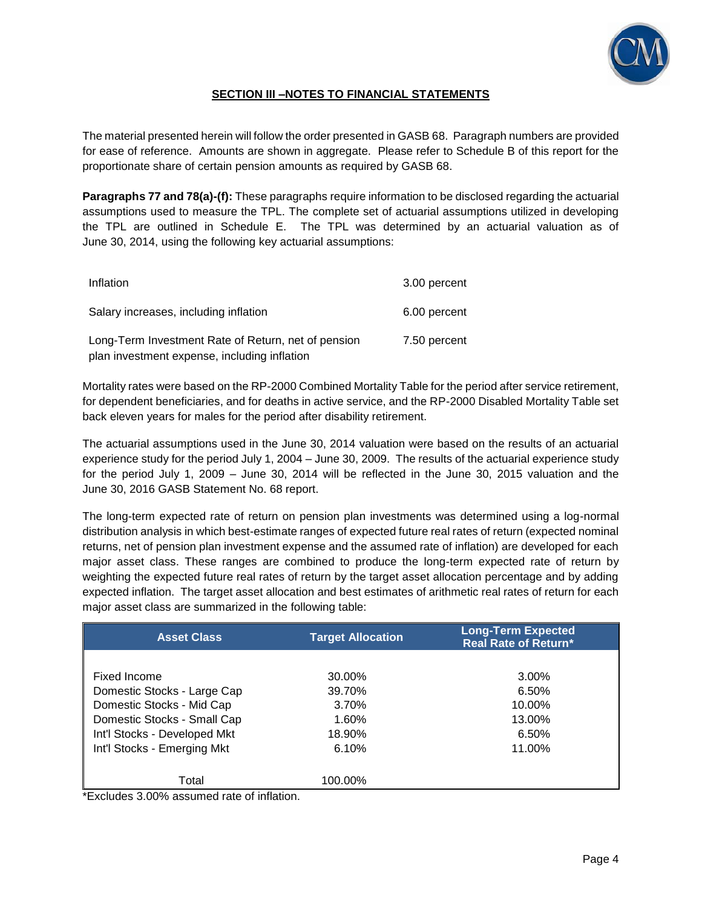

### **SECTION III –NOTES TO FINANCIAL STATEMENTS**

The material presented herein will follow the order presented in GASB 68. Paragraph numbers are provided for ease of reference. Amounts are shown in aggregate. Please refer to Schedule B of this report for the proportionate share of certain pension amounts as required by GASB 68.

**Paragraphs 77 and 78(a)-(f):** These paragraphs require information to be disclosed regarding the actuarial assumptions used to measure the TPL. The complete set of actuarial assumptions utilized in developing the TPL are outlined in Schedule E. The TPL was determined by an actuarial valuation as of June 30, 2014, using the following key actuarial assumptions:

| Inflation                                                                                           | 3.00 percent |
|-----------------------------------------------------------------------------------------------------|--------------|
| Salary increases, including inflation                                                               | 6.00 percent |
| Long-Term Investment Rate of Return, net of pension<br>plan investment expense, including inflation | 7.50 percent |

Mortality rates were based on the RP-2000 Combined Mortality Table for the period after service retirement, for dependent beneficiaries, and for deaths in active service, and the RP-2000 Disabled Mortality Table set back eleven years for males for the period after disability retirement.

The actuarial assumptions used in the June 30, 2014 valuation were based on the results of an actuarial experience study for the period July 1, 2004 – June 30, 2009. The results of the actuarial experience study for the period July 1, 2009 – June 30, 2014 will be reflected in the June 30, 2015 valuation and the June 30, 2016 GASB Statement No. 68 report.

The long-term expected rate of return on pension plan investments was determined using a log-normal distribution analysis in which best-estimate ranges of expected future real rates of return (expected nominal returns, net of pension plan investment expense and the assumed rate of inflation) are developed for each major asset class. These ranges are combined to produce the long-term expected rate of return by weighting the expected future real rates of return by the target asset allocation percentage and by adding expected inflation. The target asset allocation and best estimates of arithmetic real rates of return for each major asset class are summarized in the following table:

| <b>Asset Class</b>           | <b>Target Allocation</b> | <b>Long-Term Expected</b><br><b>Real Rate of Return*</b> |
|------------------------------|--------------------------|----------------------------------------------------------|
|                              |                          |                                                          |
| Fixed Income                 | 30.00%                   | 3.00%                                                    |
| Domestic Stocks - Large Cap  | 39.70%                   | 6.50%                                                    |
| Domestic Stocks - Mid Cap    | 3.70%                    | 10.00%                                                   |
| Domestic Stocks - Small Cap  | $1.60\%$                 | 13.00%                                                   |
| Int'l Stocks - Developed Mkt | 18.90%                   | 6.50%                                                    |
| Int'l Stocks - Emerging Mkt  | 6.10%                    | 11.00%                                                   |
|                              |                          |                                                          |
| Total                        | 100.00%                  |                                                          |

\*Excludes 3.00% assumed rate of inflation.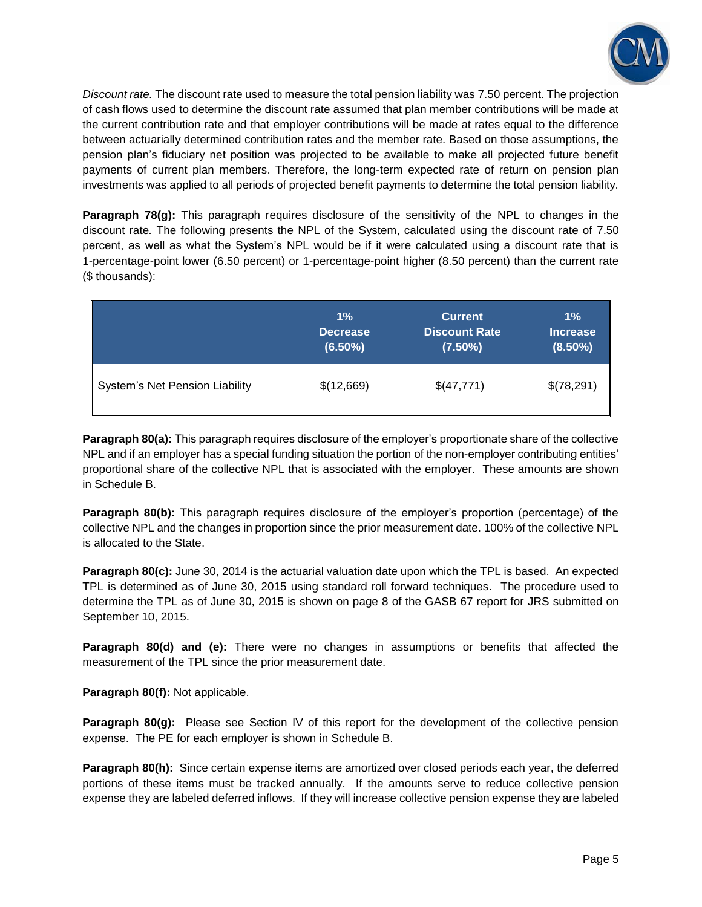

*Discount rate.* The discount rate used to measure the total pension liability was 7.50 percent. The projection of cash flows used to determine the discount rate assumed that plan member contributions will be made at the current contribution rate and that employer contributions will be made at rates equal to the difference between actuarially determined contribution rates and the member rate. Based on those assumptions, the pension plan's fiduciary net position was projected to be available to make all projected future benefit payments of current plan members. Therefore, the long-term expected rate of return on pension plan investments was applied to all periods of projected benefit payments to determine the total pension liability.

**Paragraph 78(g):** This paragraph requires disclosure of the sensitivity of the NPL to changes in the discount rate*.* The following presents the NPL of the System, calculated using the discount rate of 7.50 percent, as well as what the System's NPL would be if it were calculated using a discount rate that is 1-percentage-point lower (6.50 percent) or 1-percentage-point higher (8.50 percent) than the current rate (\$ thousands):

|                                       | $1\%$           | <b>Current</b>       | $1\%$           |
|---------------------------------------|-----------------|----------------------|-----------------|
|                                       | <b>Decrease</b> | <b>Discount Rate</b> | <b>Increase</b> |
|                                       | $(6.50\%)$      | $(7.50\%)$           | $(8.50\%)$      |
| <b>System's Net Pension Liability</b> | \$(12,669)      | \$(47,771)           | \$(78,291)      |

**Paragraph 80(a):** This paragraph requires disclosure of the employer's proportionate share of the collective NPL and if an employer has a special funding situation the portion of the non-employer contributing entities' proportional share of the collective NPL that is associated with the employer. These amounts are shown in Schedule B.

**Paragraph 80(b):** This paragraph requires disclosure of the employer's proportion (percentage) of the collective NPL and the changes in proportion since the prior measurement date. 100% of the collective NPL is allocated to the State.

**Paragraph 80(c):** June 30, 2014 is the actuarial valuation date upon which the TPL is based. An expected TPL is determined as of June 30, 2015 using standard roll forward techniques. The procedure used to determine the TPL as of June 30, 2015 is shown on page 8 of the GASB 67 report for JRS submitted on September 10, 2015.

**Paragraph 80(d) and (e):** There were no changes in assumptions or benefits that affected the measurement of the TPL since the prior measurement date.

**Paragraph 80(f):** Not applicable.

**Paragraph 80(g):** Please see Section IV of this report for the development of the collective pension expense. The PE for each employer is shown in Schedule B.

**Paragraph 80(h):** Since certain expense items are amortized over closed periods each year, the deferred portions of these items must be tracked annually. If the amounts serve to reduce collective pension expense they are labeled deferred inflows. If they will increase collective pension expense they are labeled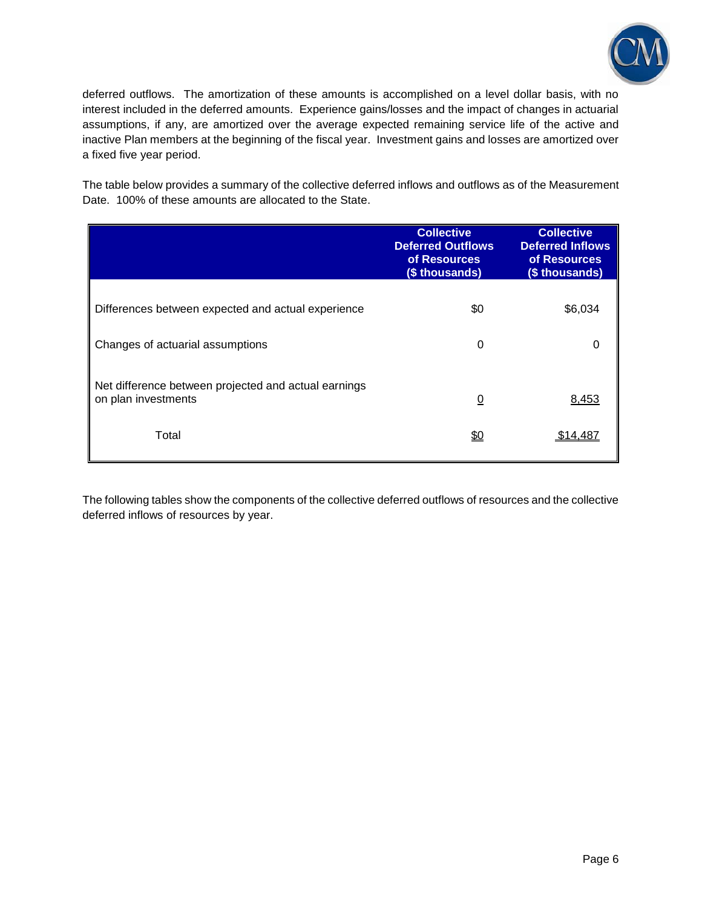

deferred outflows. The amortization of these amounts is accomplished on a level dollar basis, with no interest included in the deferred amounts. Experience gains/losses and the impact of changes in actuarial assumptions, if any, are amortized over the average expected remaining service life of the active and inactive Plan members at the beginning of the fiscal year. Investment gains and losses are amortized over a fixed five year period.

The table below provides a summary of the collective deferred inflows and outflows as of the Measurement Date. 100% of these amounts are allocated to the State.

|                                                                             | <b>Collective</b><br><b>Deferred Outflows</b><br>of Resources<br>(\$ thousands) | <b>Collective</b><br><b>Deferred Inflows</b><br>of Resources<br>(\$ thousands) |
|-----------------------------------------------------------------------------|---------------------------------------------------------------------------------|--------------------------------------------------------------------------------|
| Differences between expected and actual experience                          | \$0                                                                             | \$6,034                                                                        |
| Changes of actuarial assumptions                                            | $\Omega$                                                                        | 0                                                                              |
| Net difference between projected and actual earnings<br>on plan investments | $\overline{0}$                                                                  | 8,453                                                                          |
| Total                                                                       | <u>\$0</u>                                                                      | \$14.48                                                                        |

The following tables show the components of the collective deferred outflows of resources and the collective deferred inflows of resources by year.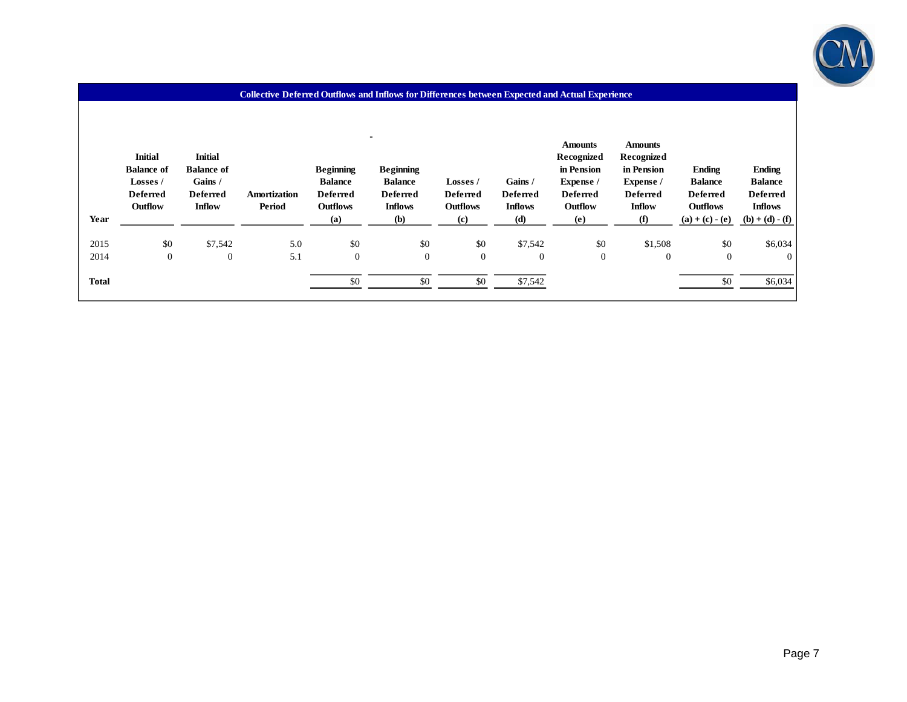

| Year         | <b>Initial</b><br><b>Balance of</b><br>Losses /<br><b>Deferred</b><br>Outflow | <b>Initial</b><br><b>Balance of</b><br>Gains /<br><b>Deferred</b><br><b>Inflow</b> | Amortization<br>Period | <b>Beginning</b><br><b>Balance</b><br><b>Deferred</b><br><b>Outflows</b><br>(a) | <b>Beginning</b><br><b>Balance</b><br><b>Deferred</b><br><b>Inflows</b><br><b>(b)</b> | <b>Losses</b> /<br><b>Deferred</b><br><b>Outflows</b><br>(c) | Gains /<br><b>Deferred</b><br><b>Inflows</b><br>(d) | <b>Amounts</b><br>Recognized<br>in Pension<br>Expense /<br><b>Deferred</b><br>Outflow<br>(e) | <b>Amounts</b><br>Recognized<br>in Pension<br>Expense /<br><b>Deferred</b><br><b>Inflow</b><br>(f) | <b>Ending</b><br><b>Balance</b><br><b>Deferred</b><br><b>Outflows</b><br>$(a) + (c) - (e)$ | <b>Ending</b><br><b>Balance</b><br><b>Deferred</b><br><b>Inflows</b><br>$(b) + (d) - (f)$ |
|--------------|-------------------------------------------------------------------------------|------------------------------------------------------------------------------------|------------------------|---------------------------------------------------------------------------------|---------------------------------------------------------------------------------------|--------------------------------------------------------------|-----------------------------------------------------|----------------------------------------------------------------------------------------------|----------------------------------------------------------------------------------------------------|--------------------------------------------------------------------------------------------|-------------------------------------------------------------------------------------------|
| 2015         | \$0                                                                           | \$7,542                                                                            | 5.0                    | \$0                                                                             | \$0                                                                                   | \$0                                                          | \$7,542                                             | \$0                                                                                          | \$1,508                                                                                            | \$0                                                                                        | \$6,034                                                                                   |
| 2014         | $\overline{0}$                                                                | $\mathbf{0}$                                                                       | 5.1                    | $\overline{0}$                                                                  | $\mathbf{0}$                                                                          | $\boldsymbol{0}$                                             | $\boldsymbol{0}$                                    | $\mathbf{0}$                                                                                 | $\theta$                                                                                           | $\overline{0}$                                                                             | $\overline{0}$                                                                            |
| <b>Total</b> |                                                                               |                                                                                    |                        | \$0                                                                             | \$0                                                                                   | \$0                                                          | \$7,542                                             |                                                                                              |                                                                                                    | \$0                                                                                        | \$6,034                                                                                   |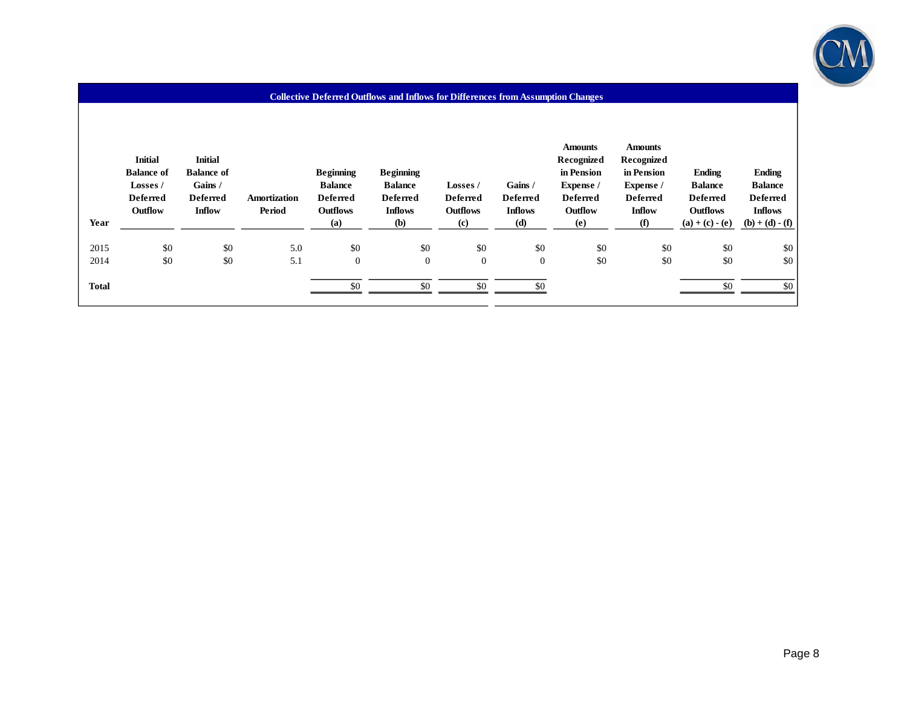

#### **Collective Deferred Outflows and Inflows for Differences from Assumption Changes**

| Year         | <b>Initial</b><br><b>Balance of</b><br>Losses /<br><b>Deferred</b><br>Outflow | <b>Initial</b><br><b>Balance of</b><br>Gains /<br><b>Deferred</b><br><b>Inflow</b> | Amortization<br>Period | <b>Beginning</b><br><b>Balance</b><br><b>Deferred</b><br><b>Outflows</b><br>(a) | <b>Beginning</b><br><b>Balance</b><br><b>Deferred</b><br><b>Inflows</b><br>(b) | Losses /<br><b>Deferred</b><br><b>Outflows</b><br>$\left( \mathbf{c} \right)$ | Gains /<br><b>Deferred</b><br><b>Inflows</b><br>(d) | <b>Amounts</b><br>Recognized<br>in Pension<br>Expense /<br><b>Deferred</b><br>Outflow<br>(e) | <b>Amounts</b><br>Recognized<br>in Pension<br>Expense /<br><b>Deferred</b><br><b>Inflow</b><br>(f) | <b>Ending</b><br><b>Balance</b><br><b>Deferred</b><br><b>Outflows</b><br>$(a) + (c) - (e)$ | <b>Ending</b><br><b>Balance</b><br><b>Deferred</b><br><b>Inflows</b><br>$(b) + (d) - (f)$ |
|--------------|-------------------------------------------------------------------------------|------------------------------------------------------------------------------------|------------------------|---------------------------------------------------------------------------------|--------------------------------------------------------------------------------|-------------------------------------------------------------------------------|-----------------------------------------------------|----------------------------------------------------------------------------------------------|----------------------------------------------------------------------------------------------------|--------------------------------------------------------------------------------------------|-------------------------------------------------------------------------------------------|
| 2015         | \$0                                                                           | \$0                                                                                | 5.0                    | \$0                                                                             | \$0                                                                            | \$0                                                                           | \$0                                                 | \$0                                                                                          | \$0                                                                                                | \$0                                                                                        | \$0                                                                                       |
| 2014         | \$0                                                                           | \$0                                                                                | 5.1                    | $\overline{0}$                                                                  | $\boldsymbol{0}$                                                               | $\boldsymbol{0}$                                                              | $\boldsymbol{0}$                                    | \$0                                                                                          | \$0                                                                                                | \$0                                                                                        | \$0                                                                                       |
| <b>Total</b> |                                                                               |                                                                                    |                        | \$0                                                                             | \$0                                                                            | \$0                                                                           | \$0                                                 |                                                                                              |                                                                                                    | \$0                                                                                        | \$0                                                                                       |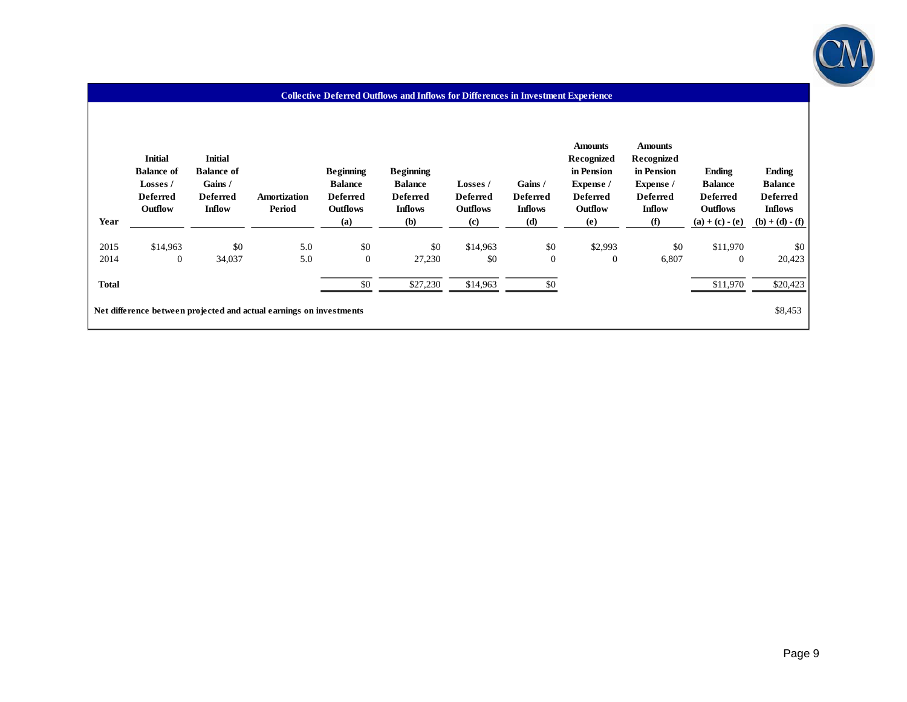

#### **Collective Deferred Outflows and Inflows for Differences in Investment Experience**

| Year         | <b>Initial</b><br><b>Balance of</b><br>Losses /<br><b>Deferred</b><br>Outflow | <b>Initial</b><br><b>Balance of</b><br>Gains /<br><b>Deferred</b><br><b>Inflow</b> | Amortization<br>Period                                              | <b>Beginning</b><br><b>Balance</b><br><b>Deferred</b><br><b>Outflows</b><br>(a) | <b>Beginning</b><br><b>Balance</b><br><b>Deferred</b><br><b>Inflows</b><br>(b) | Losses /<br><b>Deferred</b><br><b>Outflows</b><br>(c) | Gains /<br><b>Deferred</b><br><b>Inflows</b><br>(d) | <b>Amounts</b><br>Recognized<br>in Pension<br>Expense /<br><b>Deferred</b><br>Outflow<br>(e) | <b>Amounts</b><br>Recognized<br>in Pension<br>Expense /<br><b>Deferred</b><br><b>Inflow</b><br>(f) | <b>Ending</b><br><b>Balance</b><br><b>Deferred</b><br><b>Outflows</b><br>$(a) + (c) - (e)$ | <b>Ending</b><br><b>Balance</b><br><b>Deferred</b><br><b>Inflows</b><br>$(b) + (d) - (f)$ |
|--------------|-------------------------------------------------------------------------------|------------------------------------------------------------------------------------|---------------------------------------------------------------------|---------------------------------------------------------------------------------|--------------------------------------------------------------------------------|-------------------------------------------------------|-----------------------------------------------------|----------------------------------------------------------------------------------------------|----------------------------------------------------------------------------------------------------|--------------------------------------------------------------------------------------------|-------------------------------------------------------------------------------------------|
| 2015         | \$14,963                                                                      | \$0                                                                                | 5.0                                                                 | \$0                                                                             | \$0                                                                            | \$14,963                                              | \$0                                                 | \$2,993                                                                                      | \$0                                                                                                | \$11.970                                                                                   | \$0                                                                                       |
| 2014         | $\boldsymbol{0}$                                                              | 34,037                                                                             | 5.0                                                                 | $\overline{0}$                                                                  | 27,230                                                                         | \$0                                                   | $\boldsymbol{0}$                                    | $\overline{0}$                                                                               | 6,807                                                                                              | $\overline{0}$                                                                             | 20,423                                                                                    |
| <b>Total</b> |                                                                               |                                                                                    |                                                                     | \$0                                                                             | \$27,230                                                                       | \$14,963                                              | \$0                                                 |                                                                                              |                                                                                                    | \$11,970                                                                                   | \$20,423                                                                                  |
|              |                                                                               |                                                                                    | Net difference between projected and actual earnings on investments |                                                                                 |                                                                                |                                                       |                                                     |                                                                                              |                                                                                                    |                                                                                            | \$8,453                                                                                   |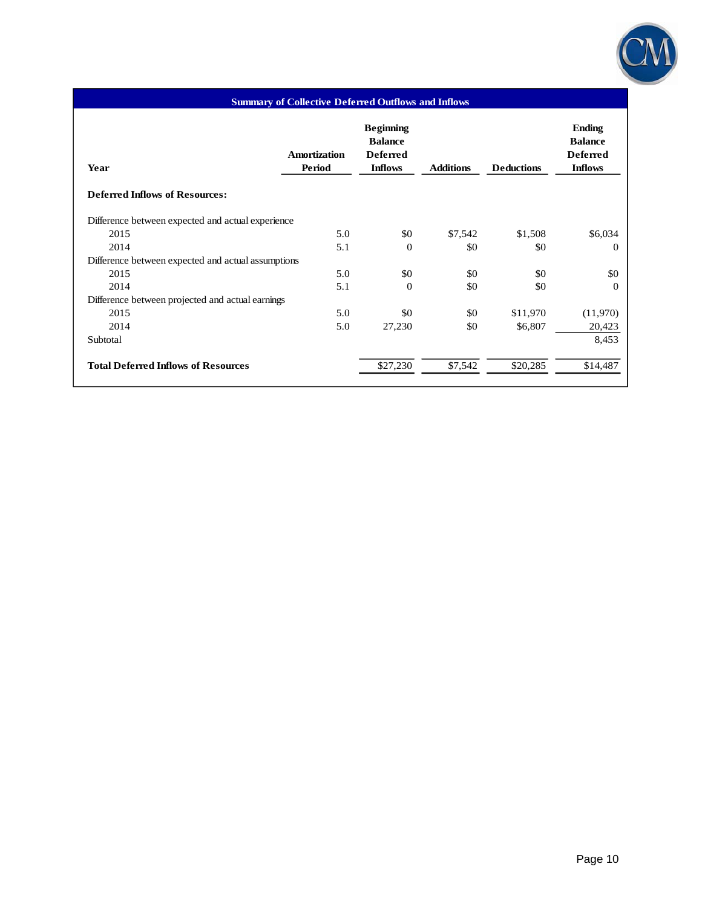

# **Amortization Period Beginning Balance Deferred Inflows Additions Deductions Ending Balance**

**Summary of Collective Deferred Outflows and Inflows**

| Amortization<br>Period                             | <b>Deferred</b><br><b>Inflows</b> | <b>Additions</b> | <b>Deductions</b> | Dalance<br><b>Deferred</b><br><b>Inflows</b> |
|----------------------------------------------------|-----------------------------------|------------------|-------------------|----------------------------------------------|
|                                                    |                                   |                  |                   |                                              |
| Difference between expected and actual experience  |                                   |                  |                   |                                              |
| 5.0                                                | \$0                               | \$7,542          | \$1,508           | \$6,034                                      |
| 5.1                                                | $\Omega$                          | \$0              | \$0               | $\theta$                                     |
| Difference between expected and actual assumptions |                                   |                  |                   |                                              |
| 5.0                                                | \$0                               | \$0              | \$0               | \$0                                          |
| 5.1                                                | $\Omega$                          | \$0              | \$0               | $\theta$                                     |
| Difference between projected and actual earnings   |                                   |                  |                   |                                              |
| 5.0                                                | \$0                               | \$0              | \$11,970          | (11,970)                                     |
| 5.0                                                | 27,230                            | \$0              | \$6,807           | 20,423                                       |
|                                                    |                                   |                  |                   | 8,453                                        |
|                                                    | \$27,230                          | \$7,542          | \$20,285          | \$14,487                                     |
|                                                    |                                   |                  |                   | рамке                                        |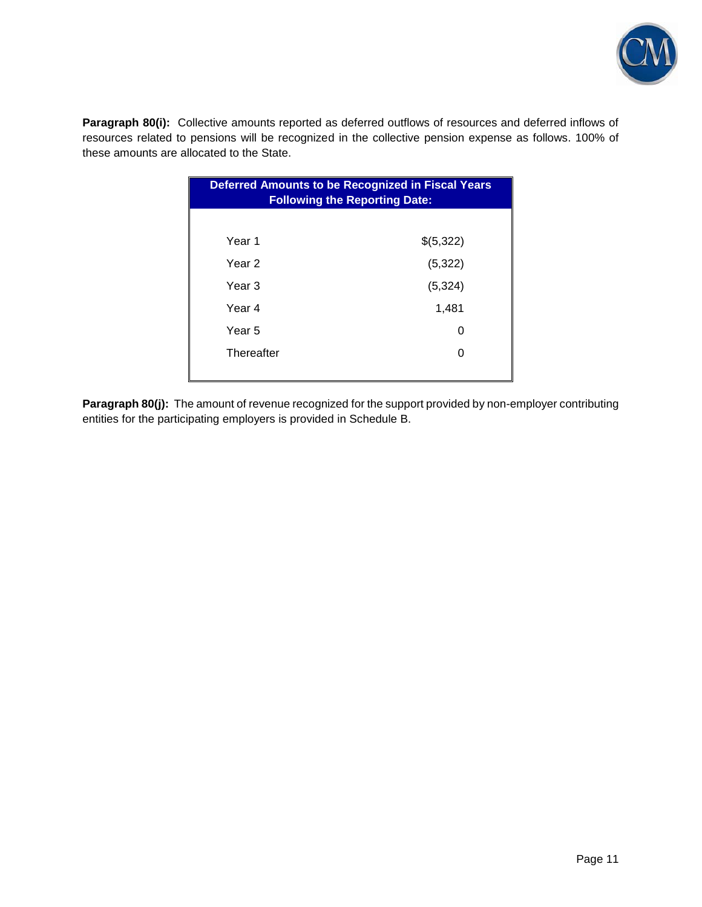

**Paragraph 80(i):** Collective amounts reported as deferred outflows of resources and deferred inflows of resources related to pensions will be recognized in the collective pension expense as follows. 100% of these amounts are allocated to the State.

| <b>Deferred Amounts to be Recognized in Fiscal Years</b><br><b>Following the Reporting Date:</b> |           |  |  |  |  |  |  |  |
|--------------------------------------------------------------------------------------------------|-----------|--|--|--|--|--|--|--|
|                                                                                                  |           |  |  |  |  |  |  |  |
| Year <sub>1</sub>                                                                                | \$(5,322) |  |  |  |  |  |  |  |
| Year 2                                                                                           | (5, 322)  |  |  |  |  |  |  |  |
| Year 3                                                                                           | (5, 324)  |  |  |  |  |  |  |  |
| Year 4                                                                                           | 1,481     |  |  |  |  |  |  |  |
| Year 5                                                                                           | O         |  |  |  |  |  |  |  |
| Thereafter                                                                                       | O         |  |  |  |  |  |  |  |
|                                                                                                  |           |  |  |  |  |  |  |  |

**Paragraph 80(j):** The amount of revenue recognized for the support provided by non-employer contributing entities for the participating employers is provided in Schedule B.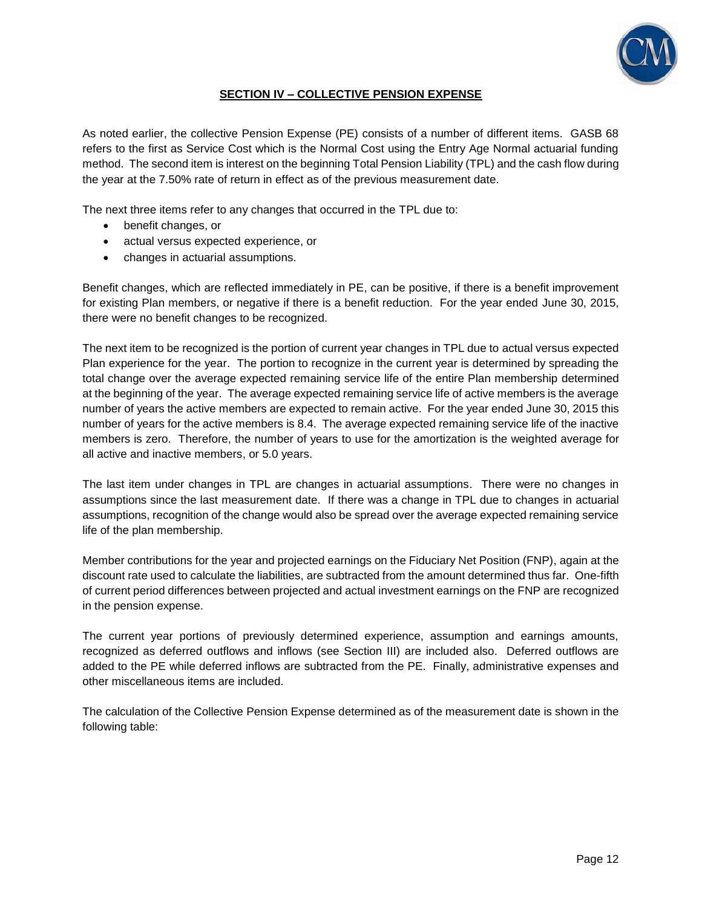

### **SECTION IV – COLLECTIVE PENSION EXPENSE**

As noted earlier, the collective Pension Expense (PE) consists of a number of different items. GASB 68 refers to the first as Service Cost which is the Normal Cost using the Entry Age Normal actuarial funding method. The second item is interest on the beginning Total Pension Liability (TPL) and the cash flow during the year at the 7.50% rate of return in effect as of the previous measurement date.

The next three items refer to any changes that occurred in the TPL due to:

- benefit changes, or
- actual versus expected experience, or
- changes in actuarial assumptions.

Benefit changes, which are reflected immediately in PE, can be positive, if there is a benefit improvement for existing Plan members, or negative if there is a benefit reduction. For the year ended June 30, 2015, there were no benefit changes to be recognized.

The next item to be recognized is the portion of current year changes in TPL due to actual versus expected Plan experience for the year. The portion to recognize in the current year is determined by spreading the total change over the average expected remaining service life of the entire Plan membership determined at the beginning of the year. The average expected remaining service life of active members is the average number of years the active members are expected to remain active. For the year ended June 30, 2015 this number of years for the active members is 8.4. The average expected remaining service life of the inactive members is zero. Therefore, the number of years to use for the amortization is the weighted average for all active and inactive members, or 5.0 years.

The last item under changes in TPL are changes in actuarial assumptions. There were no changes in assumptions since the last measurement date. If there was a change in TPL due to changes in actuarial assumptions, recognition of the change would also be spread over the average expected remaining service life of the plan membership.

Member contributions for the year and projected earnings on the Fiduciary Net Position (FNP), again at the discount rate used to calculate the liabilities, are subtracted from the amount determined thus far. One-fifth of current period differences between projected and actual investment earnings on the FNP are recognized in the pension expense.

The current year portions of previously determined experience, assumption and earnings amounts, recognized as deferred outflows and inflows (see Section III) are included also. Deferred outflows are added to the PE while deferred inflows are subtracted from the PE. Finally, administrative expenses and other miscellaneous items are included.

The calculation of the Collective Pension Expense determined as of the measurement date is shown in the following table: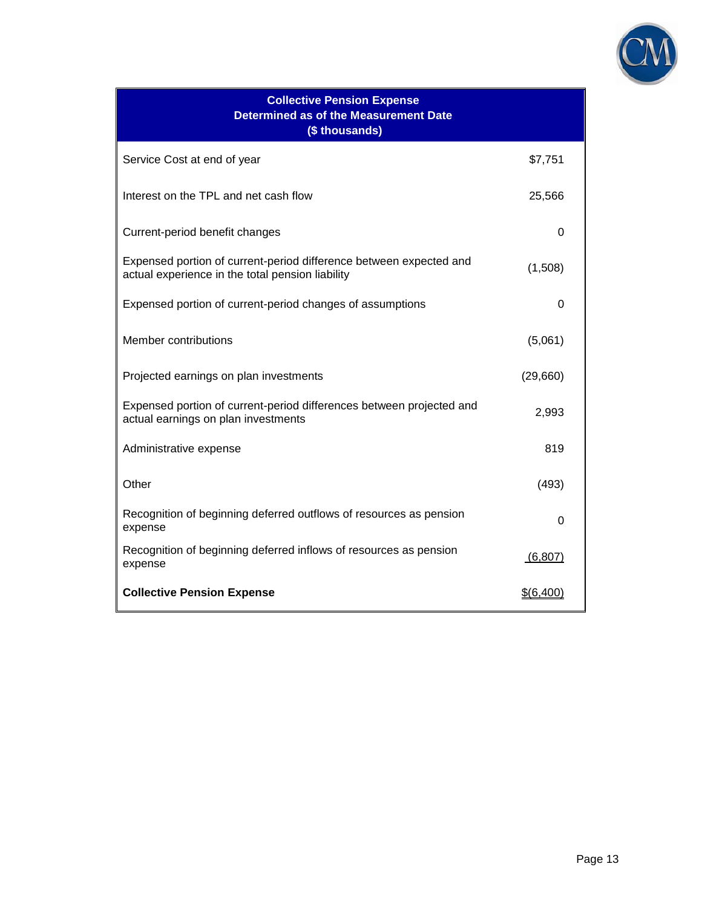

| <b>Collective Pension Expense</b><br><b>Determined as of the Measurement Date</b><br>(\$ thousands)                    |           |
|------------------------------------------------------------------------------------------------------------------------|-----------|
| Service Cost at end of year                                                                                            | \$7,751   |
| Interest on the TPL and net cash flow                                                                                  | 25,566    |
| Current-period benefit changes                                                                                         | 0         |
| Expensed portion of current-period difference between expected and<br>actual experience in the total pension liability | (1,508)   |
| Expensed portion of current-period changes of assumptions                                                              | 0         |
| Member contributions                                                                                                   | (5,061)   |
| Projected earnings on plan investments                                                                                 | (29,660)  |
| Expensed portion of current-period differences between projected and<br>actual earnings on plan investments            | 2,993     |
| Administrative expense                                                                                                 | 819       |
| Other                                                                                                                  | (493)     |
| Recognition of beginning deferred outflows of resources as pension<br>expense                                          | 0         |
| Recognition of beginning deferred inflows of resources as pension<br>expense                                           | (6, 807)  |
| <b>Collective Pension Expense</b>                                                                                      | \$(6,400) |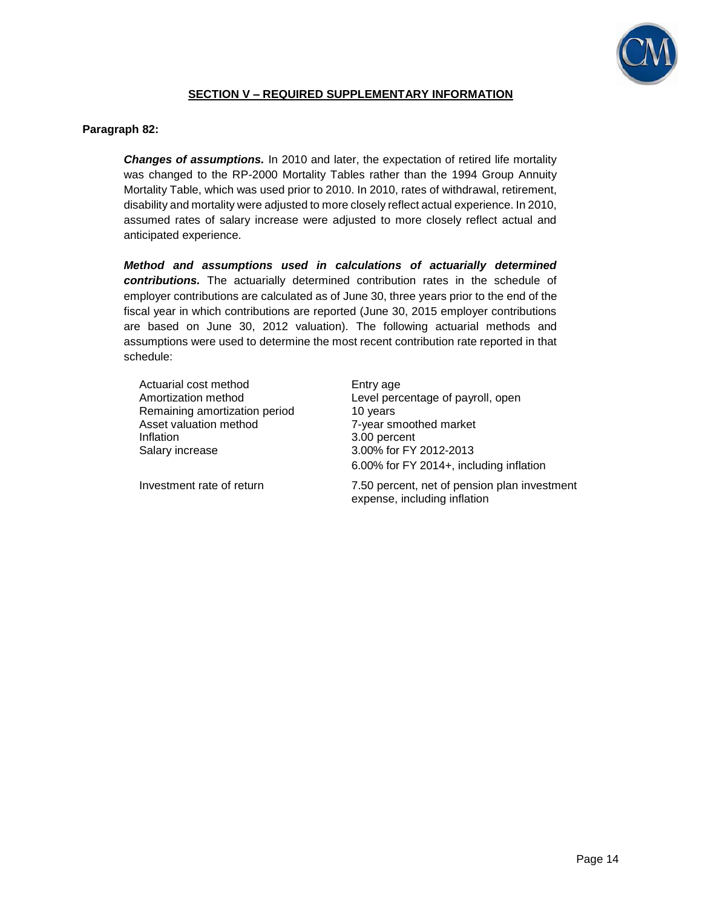

### **SECTION V – REQUIRED SUPPLEMENTARY INFORMATION**

### **Paragraph 82:**

*Changes of assumptions.* In 2010 and later, the expectation of retired life mortality was changed to the RP-2000 Mortality Tables rather than the 1994 Group Annuity Mortality Table, which was used prior to 2010. In 2010, rates of withdrawal, retirement, disability and mortality were adjusted to more closely reflect actual experience. In 2010, assumed rates of salary increase were adjusted to more closely reflect actual and anticipated experience.

*Method and assumptions used in calculations of actuarially determined contributions.* The actuarially determined contribution rates in the schedule of employer contributions are calculated as of June 30, three years prior to the end of the fiscal year in which contributions are reported (June 30, 2015 employer contributions are based on June 30, 2012 valuation). The following actuarial methods and assumptions were used to determine the most recent contribution rate reported in that schedule:

| Actuarial cost method         | Entry age                                                                                                               |
|-------------------------------|-------------------------------------------------------------------------------------------------------------------------|
| Amortization method           | Level percentage of payroll, open                                                                                       |
| Remaining amortization period | 10 years                                                                                                                |
| Asset valuation method        | 7-year smoothed market                                                                                                  |
| Inflation                     | 3.00 percent                                                                                                            |
| Salary increase               | 3.00% for FY 2012-2013                                                                                                  |
| Investment rate of return     | 6.00% for FY 2014+, including inflation<br>7.50 percent, net of pension plan investment<br>expense, including inflation |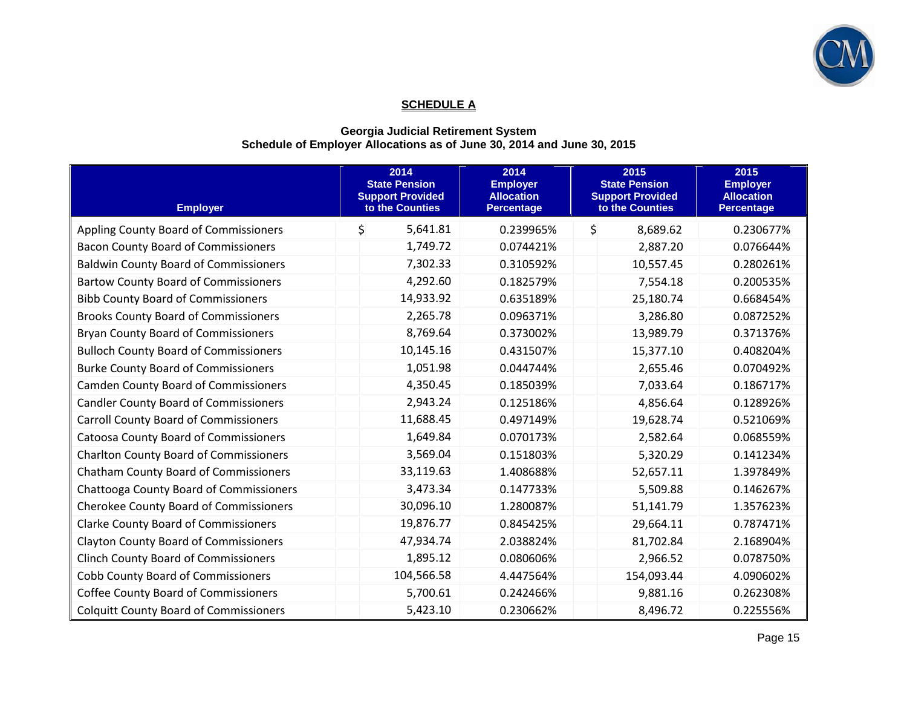

### **SCHEDULE A**

### **Georgia Judicial Retirement System Schedule of Employer Allocations as of June 30, 2014 and June 30, 2015**

| <b>Employer</b>                               | 2014<br><b>State Pension</b><br><b>Support Provided</b><br>to the Counties | 2014<br><b>Employer</b><br><b>Allocation</b><br><b>Percentage</b> | 2015<br><b>State Pension</b><br><b>Support Provided</b><br>to the Counties | 2015<br><b>Employer</b><br><b>Allocation</b><br><b>Percentage</b> |
|-----------------------------------------------|----------------------------------------------------------------------------|-------------------------------------------------------------------|----------------------------------------------------------------------------|-------------------------------------------------------------------|
| Appling County Board of Commissioners         | \$<br>5,641.81                                                             | 0.239965%                                                         | \$<br>8,689.62                                                             | 0.230677%                                                         |
| <b>Bacon County Board of Commissioners</b>    | 1,749.72                                                                   | 0.074421%                                                         | 2,887.20                                                                   | 0.076644%                                                         |
| <b>Baldwin County Board of Commissioners</b>  | 7,302.33                                                                   | 0.310592%                                                         | 10,557.45                                                                  | 0.280261%                                                         |
| <b>Bartow County Board of Commissioners</b>   | 4,292.60                                                                   | 0.182579%                                                         | 7,554.18                                                                   | 0.200535%                                                         |
| <b>Bibb County Board of Commissioners</b>     | 14,933.92                                                                  | 0.635189%                                                         | 25,180.74                                                                  | 0.668454%                                                         |
| <b>Brooks County Board of Commissioners</b>   | 2,265.78                                                                   | 0.096371%                                                         | 3,286.80                                                                   | 0.087252%                                                         |
| <b>Bryan County Board of Commissioners</b>    | 8,769.64                                                                   | 0.373002%                                                         | 13,989.79                                                                  | 0.371376%                                                         |
| <b>Bulloch County Board of Commissioners</b>  | 10,145.16                                                                  | 0.431507%                                                         | 15,377.10                                                                  | 0.408204%                                                         |
| <b>Burke County Board of Commissioners</b>    | 1,051.98                                                                   | 0.044744%                                                         | 2,655.46                                                                   | 0.070492%                                                         |
| <b>Camden County Board of Commissioners</b>   | 4,350.45                                                                   | 0.185039%                                                         | 7,033.64                                                                   | 0.186717%                                                         |
| <b>Candler County Board of Commissioners</b>  | 2,943.24                                                                   | 0.125186%                                                         | 4,856.64                                                                   | 0.128926%                                                         |
| <b>Carroll County Board of Commissioners</b>  | 11,688.45                                                                  | 0.497149%                                                         | 19,628.74                                                                  | 0.521069%                                                         |
| <b>Catoosa County Board of Commissioners</b>  | 1,649.84                                                                   | 0.070173%                                                         | 2,582.64                                                                   | 0.068559%                                                         |
| <b>Charlton County Board of Commissioners</b> | 3,569.04                                                                   | 0.151803%                                                         | 5,320.29                                                                   | 0.141234%                                                         |
| <b>Chatham County Board of Commissioners</b>  | 33,119.63                                                                  | 1.408688%                                                         | 52,657.11                                                                  | 1.397849%                                                         |
| Chattooga County Board of Commissioners       | 3,473.34                                                                   | 0.147733%                                                         | 5,509.88                                                                   | 0.146267%                                                         |
| <b>Cherokee County Board of Commissioners</b> | 30,096.10                                                                  | 1.280087%                                                         | 51,141.79                                                                  | 1.357623%                                                         |
| <b>Clarke County Board of Commissioners</b>   | 19,876.77                                                                  | 0.845425%                                                         | 29,664.11                                                                  | 0.787471%                                                         |
| <b>Clayton County Board of Commissioners</b>  | 47,934.74                                                                  | 2.038824%                                                         | 81,702.84                                                                  | 2.168904%                                                         |
| <b>Clinch County Board of Commissioners</b>   | 1,895.12                                                                   | 0.080606%                                                         | 2,966.52                                                                   | 0.078750%                                                         |
| <b>Cobb County Board of Commissioners</b>     | 104,566.58                                                                 | 4.447564%                                                         | 154,093.44                                                                 | 4.090602%                                                         |
| <b>Coffee County Board of Commissioners</b>   | 5,700.61                                                                   | 0.242466%                                                         | 9,881.16                                                                   | 0.262308%                                                         |
| <b>Colquitt County Board of Commissioners</b> | 5,423.10                                                                   | 0.230662%                                                         | 8,496.72                                                                   | 0.225556%                                                         |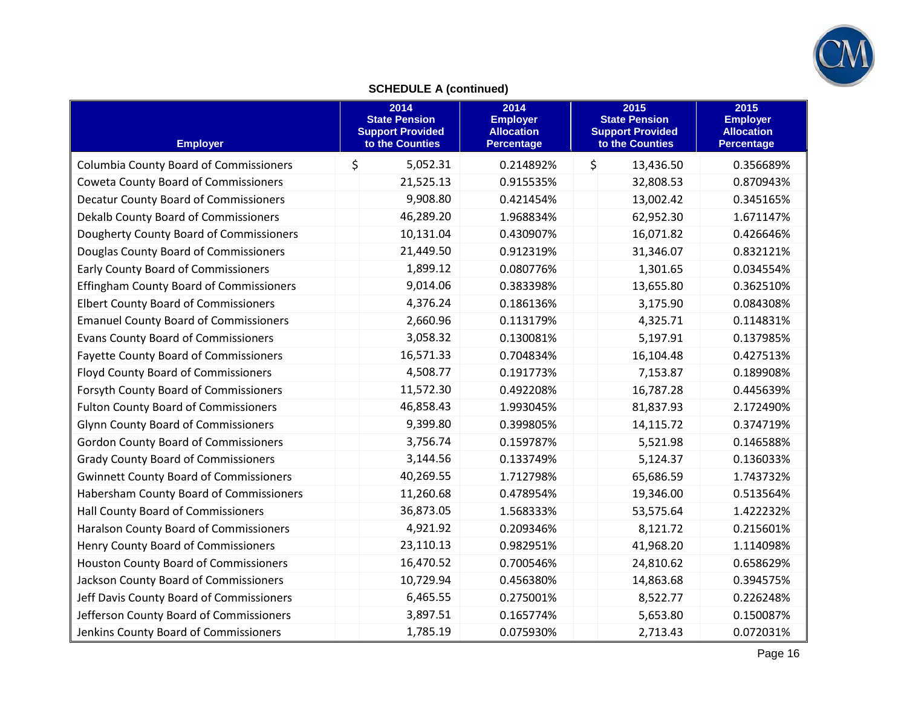

## **SCHEDULE A (continued)**

| <b>Employer</b>                                | 2014<br><b>State Pension</b><br><b>Support Provided</b><br>to the Counties |           | 2014<br><b>Employer</b><br><b>Allocation</b><br><b>Percentage</b> | 2015<br><b>State Pension</b><br><b>Support Provided</b><br>to the Counties |           | 2015<br><b>Employer</b><br><b>Allocation</b><br><b>Percentage</b> |
|------------------------------------------------|----------------------------------------------------------------------------|-----------|-------------------------------------------------------------------|----------------------------------------------------------------------------|-----------|-------------------------------------------------------------------|
| <b>Columbia County Board of Commissioners</b>  | \$                                                                         | 5,052.31  | 0.214892%                                                         | \$                                                                         | 13,436.50 | 0.356689%                                                         |
| <b>Coweta County Board of Commissioners</b>    |                                                                            | 21,525.13 | 0.915535%                                                         |                                                                            | 32,808.53 | 0.870943%                                                         |
| <b>Decatur County Board of Commissioners</b>   |                                                                            | 9,908.80  | 0.421454%                                                         |                                                                            | 13,002.42 | 0.345165%                                                         |
| Dekalb County Board of Commissioners           |                                                                            | 46,289.20 | 1.968834%                                                         |                                                                            | 62,952.30 | 1.671147%                                                         |
| Dougherty County Board of Commissioners        |                                                                            | 10,131.04 | 0.430907%                                                         |                                                                            | 16,071.82 | 0.426646%                                                         |
| Douglas County Board of Commissioners          |                                                                            | 21,449.50 | 0.912319%                                                         |                                                                            | 31,346.07 | 0.832121%                                                         |
| <b>Early County Board of Commissioners</b>     |                                                                            | 1,899.12  | 0.080776%                                                         |                                                                            | 1,301.65  | 0.034554%                                                         |
| <b>Effingham County Board of Commissioners</b> |                                                                            | 9,014.06  | 0.383398%                                                         |                                                                            | 13,655.80 | 0.362510%                                                         |
| <b>Elbert County Board of Commissioners</b>    |                                                                            | 4,376.24  | 0.186136%                                                         |                                                                            | 3,175.90  | 0.084308%                                                         |
| <b>Emanuel County Board of Commissioners</b>   |                                                                            | 2,660.96  | 0.113179%                                                         |                                                                            | 4,325.71  | 0.114831%                                                         |
| <b>Evans County Board of Commissioners</b>     |                                                                            | 3,058.32  | 0.130081%                                                         |                                                                            | 5,197.91  | 0.137985%                                                         |
| <b>Fayette County Board of Commissioners</b>   |                                                                            | 16,571.33 | 0.704834%                                                         |                                                                            | 16,104.48 | 0.427513%                                                         |
| <b>Floyd County Board of Commissioners</b>     |                                                                            | 4,508.77  | 0.191773%                                                         |                                                                            | 7,153.87  | 0.189908%                                                         |
| Forsyth County Board of Commissioners          |                                                                            | 11,572.30 | 0.492208%                                                         |                                                                            | 16,787.28 | 0.445639%                                                         |
| <b>Fulton County Board of Commissioners</b>    |                                                                            | 46,858.43 | 1.993045%                                                         |                                                                            | 81,837.93 | 2.172490%                                                         |
| <b>Glynn County Board of Commissioners</b>     |                                                                            | 9,399.80  | 0.399805%                                                         |                                                                            | 14,115.72 | 0.374719%                                                         |
| <b>Gordon County Board of Commissioners</b>    |                                                                            | 3,756.74  | 0.159787%                                                         |                                                                            | 5,521.98  | 0.146588%                                                         |
| <b>Grady County Board of Commissioners</b>     |                                                                            | 3,144.56  | 0.133749%                                                         |                                                                            | 5,124.37  | 0.136033%                                                         |
| <b>Gwinnett County Board of Commissioners</b>  |                                                                            | 40,269.55 | 1.712798%                                                         |                                                                            | 65,686.59 | 1.743732%                                                         |
| Habersham County Board of Commissioners        |                                                                            | 11,260.68 | 0.478954%                                                         |                                                                            | 19,346.00 | 0.513564%                                                         |
| Hall County Board of Commissioners             |                                                                            | 36,873.05 | 1.568333%                                                         |                                                                            | 53,575.64 | 1.422232%                                                         |
| Haralson County Board of Commissioners         |                                                                            | 4,921.92  | 0.209346%                                                         |                                                                            | 8,121.72  | 0.215601%                                                         |
| Henry County Board of Commissioners            |                                                                            | 23,110.13 | 0.982951%                                                         |                                                                            | 41,968.20 | 1.114098%                                                         |
| Houston County Board of Commissioners          |                                                                            | 16,470.52 | 0.700546%                                                         |                                                                            | 24,810.62 | 0.658629%                                                         |
| Jackson County Board of Commissioners          |                                                                            | 10,729.94 | 0.456380%                                                         |                                                                            | 14,863.68 | 0.394575%                                                         |
| Jeff Davis County Board of Commissioners       |                                                                            | 6,465.55  | 0.275001%                                                         |                                                                            | 8,522.77  | 0.226248%                                                         |
| Jefferson County Board of Commissioners        |                                                                            | 3,897.51  | 0.165774%                                                         |                                                                            | 5,653.80  | 0.150087%                                                         |
| Jenkins County Board of Commissioners          |                                                                            | 1,785.19  | 0.075930%                                                         |                                                                            | 2,713.43  | 0.072031%                                                         |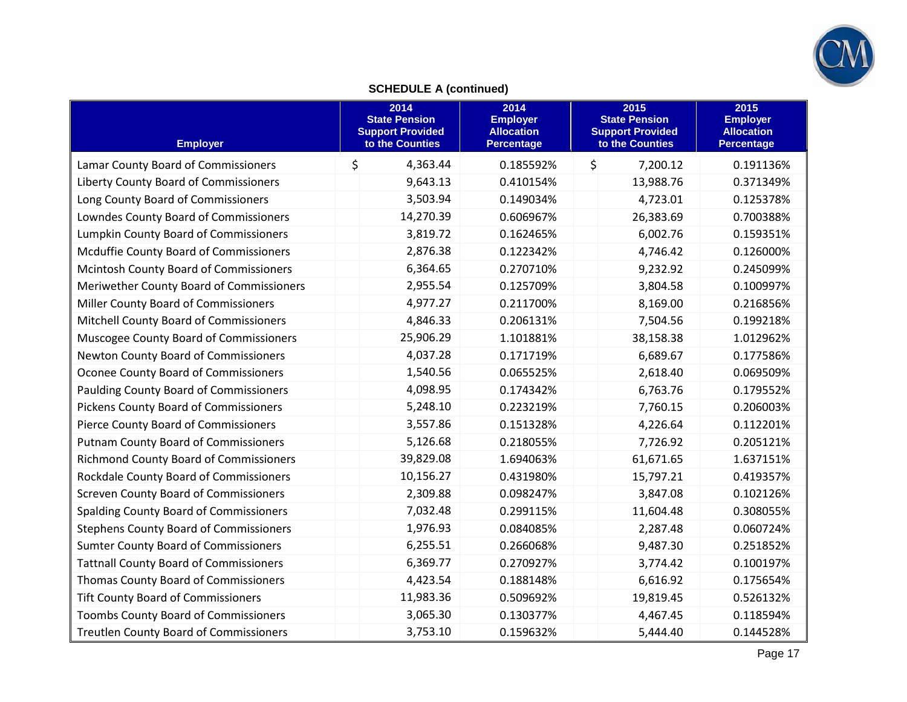

## **SCHEDULE A (continued)**

| <b>Employer</b>                               | 2014<br><b>State Pension</b><br><b>Support Provided</b><br>to the Counties | 2014<br><b>Employer</b><br><b>Allocation</b><br><b>Percentage</b> | 2015<br><b>State Pension</b><br><b>Support Provided</b><br>to the Counties | 2015<br><b>Employer</b><br><b>Allocation</b><br><b>Percentage</b> |
|-----------------------------------------------|----------------------------------------------------------------------------|-------------------------------------------------------------------|----------------------------------------------------------------------------|-------------------------------------------------------------------|
| Lamar County Board of Commissioners           | \$<br>4,363.44                                                             | 0.185592%                                                         | \$<br>7,200.12                                                             | 0.191136%                                                         |
| Liberty County Board of Commissioners         | 9,643.13                                                                   | 0.410154%                                                         | 13,988.76                                                                  | 0.371349%                                                         |
| Long County Board of Commissioners            | 3,503.94                                                                   | 0.149034%                                                         | 4,723.01                                                                   | 0.125378%                                                         |
| Lowndes County Board of Commissioners         | 14,270.39                                                                  | 0.606967%                                                         | 26,383.69                                                                  | 0.700388%                                                         |
| <b>Lumpkin County Board of Commissioners</b>  | 3,819.72                                                                   | 0.162465%                                                         | 6,002.76                                                                   | 0.159351%                                                         |
| Mcduffie County Board of Commissioners        | 2,876.38                                                                   | 0.122342%                                                         | 4,746.42                                                                   | 0.126000%                                                         |
| Mcintosh County Board of Commissioners        | 6,364.65                                                                   | 0.270710%                                                         | 9,232.92                                                                   | 0.245099%                                                         |
| Meriwether County Board of Commissioners      | 2,955.54                                                                   | 0.125709%                                                         | 3,804.58                                                                   | 0.100997%                                                         |
| Miller County Board of Commissioners          | 4,977.27                                                                   | 0.211700%                                                         | 8,169.00                                                                   | 0.216856%                                                         |
| Mitchell County Board of Commissioners        | 4,846.33                                                                   | 0.206131%                                                         | 7,504.56                                                                   | 0.199218%                                                         |
| Muscogee County Board of Commissioners        | 25,906.29                                                                  | 1.101881%                                                         | 38,158.38                                                                  | 1.012962%                                                         |
| Newton County Board of Commissioners          | 4,037.28                                                                   | 0.171719%                                                         | 6,689.67                                                                   | 0.177586%                                                         |
| Oconee County Board of Commissioners          | 1,540.56                                                                   | 0.065525%                                                         | 2,618.40                                                                   | 0.069509%                                                         |
| <b>Paulding County Board of Commissioners</b> | 4,098.95                                                                   | 0.174342%                                                         | 6,763.76                                                                   | 0.179552%                                                         |
| Pickens County Board of Commissioners         | 5,248.10                                                                   | 0.223219%                                                         | 7,760.15                                                                   | 0.206003%                                                         |
| Pierce County Board of Commissioners          | 3,557.86                                                                   | 0.151328%                                                         | 4,226.64                                                                   | 0.112201%                                                         |
| <b>Putnam County Board of Commissioners</b>   | 5,126.68                                                                   | 0.218055%                                                         | 7,726.92                                                                   | 0.205121%                                                         |
| <b>Richmond County Board of Commissioners</b> | 39,829.08                                                                  | 1.694063%                                                         | 61,671.65                                                                  | 1.637151%                                                         |
| Rockdale County Board of Commissioners        | 10,156.27                                                                  | 0.431980%                                                         | 15,797.21                                                                  | 0.419357%                                                         |
| <b>Screven County Board of Commissioners</b>  | 2,309.88                                                                   | 0.098247%                                                         | 3,847.08                                                                   | 0.102126%                                                         |
| Spalding County Board of Commissioners        | 7,032.48                                                                   | 0.299115%                                                         | 11,604.48                                                                  | 0.308055%                                                         |
| <b>Stephens County Board of Commissioners</b> | 1,976.93                                                                   | 0.084085%                                                         | 2,287.48                                                                   | 0.060724%                                                         |
| <b>Sumter County Board of Commissioners</b>   | 6,255.51                                                                   | 0.266068%                                                         | 9,487.30                                                                   | 0.251852%                                                         |
| <b>Tattnall County Board of Commissioners</b> | 6,369.77                                                                   | 0.270927%                                                         | 3,774.42                                                                   | 0.100197%                                                         |
| Thomas County Board of Commissioners          | 4,423.54                                                                   | 0.188148%                                                         | 6,616.92                                                                   | 0.175654%                                                         |
| <b>Tift County Board of Commissioners</b>     | 11,983.36                                                                  | 0.509692%                                                         | 19,819.45                                                                  | 0.526132%                                                         |
| Toombs County Board of Commissioners          | 3,065.30                                                                   | 0.130377%                                                         | 4,467.45                                                                   | 0.118594%                                                         |
| <b>Treutlen County Board of Commissioners</b> | 3,753.10                                                                   | 0.159632%                                                         | 5,444.40                                                                   | 0.144528%                                                         |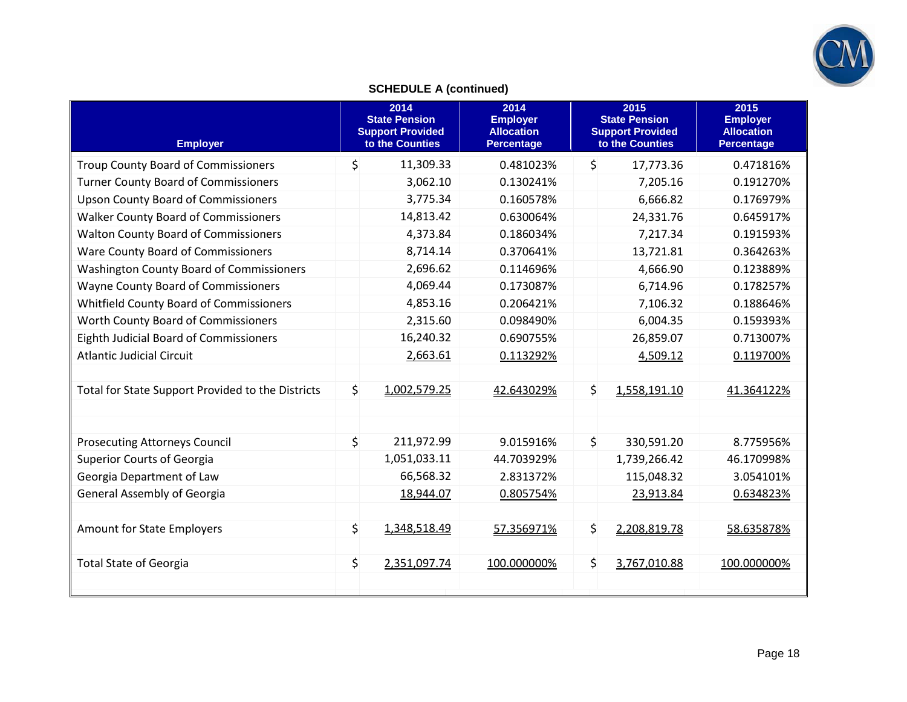

## **SCHEDULE A (continued)**

| <b>Employer</b>                                   |
|---------------------------------------------------|
| <b>Troup County Board of Commissioners</b>        |
| <b>Turner County Board of Commissioners</b>       |
| <b>Upson County Board of Commissioners</b>        |
| <b>Walker County Board of Commissioners</b>       |
| <b>Walton County Board of Commissioners</b>       |
| Ware County Board of Commissioners                |
| <b>Washington County Board of Commissioners</b>   |
| Wayne County Board of Commissioners               |
| Whitfield County Board of Commissioners           |
| Worth County Board of Commissioners               |
| Eighth Judicial Board of Commissioners            |
| <b>Atlantic Judicial Circuit</b>                  |
|                                                   |
| Total for State Support Provided to the Districts |
|                                                   |
|                                                   |
| <b>Prosecuting Attorneys Council</b>              |
| <b>Superior Courts of Georgia</b>                 |
| Georgia Department of Law                         |
| <b>General Assembly of Georgia</b>                |
|                                                   |
| <b>Amount for State Employers</b>                 |
|                                                   |
| <b>Total State of Georgia</b>                     |
|                                                   |
|                                                   |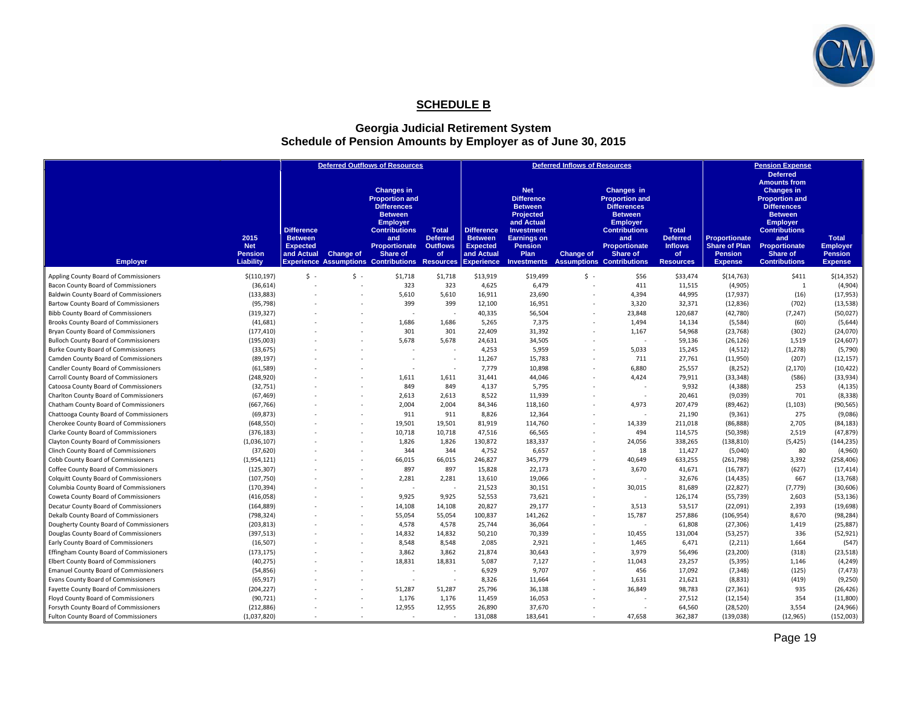

### **SCHEDULE B**

#### **Georgia Judicial Retirement System Schedule of Pension Amounts by Employer as of June 30, 2015**

| <b>Deferred</b><br><b>Amounts from</b><br><b>Changes in</b><br><b>Net</b><br><b>Changes in</b><br>Changes in<br><b>Proportion and</b><br><b>Difference</b><br><b>Proportion and</b><br><b>Proportion and</b><br><b>Differences</b><br><b>Differences</b><br><b>Differences</b><br><b>Between</b><br><b>Between</b><br><b>Between</b><br>Projected<br><b>Between</b><br><b>Employer</b><br>and Actual<br><b>Employer</b><br><b>Employer</b><br><b>Difference</b><br><b>Contributions</b><br><b>Contributions</b><br><b>Total</b><br><b>Difference</b><br>Investment<br><b>Contributions</b><br><b>Total</b><br>2015<br><b>Between</b><br><b>Deferred</b><br><b>Between</b><br><b>Earnings on</b><br><b>Deferred</b><br><b>Proportionate</b><br><b>Total</b><br>and<br>and<br>and<br><b>Expected</b><br><b>Outflows</b><br><b>Proportionate</b><br><b>Inflows</b><br><b>Share of Plan</b><br>Proportionate<br><b>Net</b><br><b>Proportionate</b><br><b>Expected</b><br><b>Pension</b><br><b>Employer</b><br><b>Change of</b><br><b>Pension</b><br>and Actual<br><b>Share of</b><br>and Actual<br>Plan<br><b>Change of</b><br>Share of<br><b>Pension</b><br>Share of<br><b>Pension</b><br>of<br><b>of</b><br>Liability<br><b>Assumptions Contributions</b><br><b>Contributions</b><br><b>Employer</b><br><b>Experience Assumptions Contributions Resources</b><br><b>Experience</b><br><b>Resources</b><br><b>Investments</b><br><b>Expense</b><br><b>Expense</b><br>$\mathsf{S}$ .<br>Appling County Board of Commissioners<br>$S -$<br>\$13,919<br>\$19,499<br>$S -$<br>\$56<br>\$(110, 197)<br>\$1,718<br>\$1,718<br>\$33,474<br>\$(14, 763)<br>\$411<br>\$(14, 352)<br>323<br>323<br>4,625<br>6,479<br>411<br>11,515<br>(4,905)<br>1<br>(4,904)<br>Bacon County Board of Commissioners<br>(36, 614)<br>$\sim$<br>44,995<br>(16)<br><b>Baldwin County Board of Commissioners</b><br>(133, 883)<br>5,610<br>5,610<br>16,911<br>23,690<br>4,394<br>(17, 937)<br>(17, 953)<br>399<br>399<br>(702)<br>Bartow County Board of Commissioners<br>(95, 798)<br>12,100<br>16,951<br>3,320<br>32,371<br>(12, 836)<br>(13, 538)<br>(50, 027)<br><b>Bibb County Board of Commissioners</b><br>(319, 327)<br>40,335<br>56,504<br>23,848<br>120,687<br>(42,780)<br>(7, 247)<br>٠<br><b>Brooks County Board of Commissioners</b><br>(41, 681)<br>1,686<br>1,686<br>5,265<br>7,375<br>1,494<br>14,134<br>(5,584)<br>(60)<br>(5,644)<br>$\sim$<br>301<br>301<br>22,409<br>31,392<br>54,968<br>(302)<br>(24,070)<br>Bryan County Board of Commissioners<br>(177, 410)<br>1,167<br>(23, 768)<br>5,678<br>34,505<br>59,136<br>1,519<br>(24, 607)<br><b>Bulloch County Board of Commissioners</b><br>(195,003)<br>5,678<br>24,631<br>(26, 126)<br>٠<br>(5,790)<br>Burke County Board of Commissioners<br>(33, 675)<br>4,253<br>5,959<br>5,033<br>15,245<br>(4, 512)<br>(1, 278)<br>Camden County Board of Commissioners<br>(89, 197)<br>11,267<br>15,783<br>711<br>27,761<br>(11,950)<br>(207)<br>(12, 157)<br>$\sim$<br>$\overline{\phantom{a}}$<br>٠<br>Candler County Board of Commissioners<br>7,779<br>10,898<br>6,880<br>25,557<br>(8, 252)<br>(2, 170)<br>(10, 422)<br>(61, 589)<br>$\overline{\phantom{a}}$<br>(586)<br>44,046<br>4,424<br>79,911<br>(33, 348)<br>(33, 934)<br>Carroll County Board of Commissioners<br>(248, 920)<br>1,611<br>1,611<br>31,441<br>Catoosa County Board of Commissioners<br>849<br>849<br>4,137<br>5,795<br>9,932<br>(4, 388)<br>253<br>(4, 135)<br>(32, 751)<br>8,522<br>11,939<br>20,461<br>(9,039)<br>701<br>(8, 338)<br>Charlton County Board of Commissioners<br>(67, 469)<br>2,613<br>2,613<br>$\sim$<br>Chatham County Board of Commissioners<br>(667, 766)<br>2,004<br>2,004<br>84,346<br>118,160<br>4,973<br>207,479<br>(89, 462)<br>(1, 103)<br>(90, 565)<br>(9,086)<br>Chattooga County Board of Commissioners<br>(69, 873)<br>911<br>911<br>8,826<br>12,364<br>21,190<br>(9, 361)<br>275<br>٠<br>Cherokee County Board of Commissioners<br>(648, 550)<br>19,501<br>19,501<br>81,919<br>114,760<br>14,339<br>211,018<br>(86, 888)<br>2,705<br>(84, 183)<br>10,718<br>10,718<br>47,516<br>66,565<br>494<br>114,575<br>(50, 398)<br>2,519<br>(47, 879)<br>Clarke County Board of Commissioners<br>(376, 183)<br>٠<br>(5, 425)<br>Clayton County Board of Commissioners<br>(1,036,107)<br>1,826<br>1,826<br>130,872<br>183,337<br>24,056<br>338,265<br>(138, 810)<br>(144, 235)<br>344<br>6,657<br>(4,960)<br>Clinch County Board of Commissioners<br>(37, 620)<br>344<br>4,752<br>18<br>11,427<br>(5,040)<br>80<br>×.<br>345,779<br>Cobb County Board of Commissioners<br>66,015<br>66,015<br>246,827<br>40,649<br>633,255<br>3,392<br>(258, 406)<br>(1,954,121)<br>(261,798)<br>897<br>897<br>(627)<br>Coffee County Board of Commissioners<br>15,828<br>22,173<br>3,670<br>41,671<br>(16, 787)<br>(17, 414)<br>(125, 307)<br>٠<br>667<br>(107, 750)<br>2,281<br>19.066<br>32,676<br>(13, 768)<br><b>Colquitt County Board of Commissioners</b><br>2.281<br>13,610<br>(14, 435)<br>(170, 394)<br>21,523<br>30,015<br>81,689<br>(22, 827)<br>(7, 779)<br>(30, 606)<br>Columbia County Board of Commissioners<br>30,151<br>$\overline{\phantom{a}}$<br>52,553<br>73,621<br>126,174<br>(55, 739)<br>2,603<br>(53, 136)<br>Coweta County Board of Commissioners<br>(416,058)<br>9,925<br>9,925<br>$\sim$<br>53,517<br>2,393<br>(19, 698)<br>Decatur County Board of Commissioners<br>(164, 889)<br>14,108<br>14,108<br>20,827<br>29,177<br>3,513<br>(22,091)<br>٠<br>8,670<br>(98, 284)<br>Dekalb County Board of Commissioners<br>(798, 324)<br>55,054<br>55,054<br>100,837<br>141,262<br>15,787<br>257,886<br>(106, 954)<br>$\sim$<br>Dougherty County Board of Commissioners<br>(203, 813)<br>4,578<br>4,578<br>25,744<br>36,064<br>61,808<br>(27, 306)<br>1,419<br>(25, 887)<br>14,832<br>14,832<br>50,210<br>70,339<br>10,455<br>336<br>(52, 921)<br>Douglas County Board of Commissioners<br>(397, 513)<br>131,004<br>(53, 257)<br>$\sim$<br>(16, 507)<br>8,548<br>8.548<br>2,085<br>2,921<br>6,471<br>1,664<br>(547)<br>Early County Board of Commissioners<br>1,465<br>(2, 211)<br>3,862<br>30,643<br>3,979<br>(318)<br>(23, 518)<br>Effingham County Board of Commissioners<br>(173, 175)<br>3,862<br>21,874<br>56,496<br>(23, 200)<br>٠<br>18,831<br>18,831<br>7,127<br>23,257<br>(5, 395)<br>(4, 249)<br>Elbert County Board of Commissioners<br>(40, 275)<br>5,087<br>11,043<br>1,146<br>٠<br>(125)<br>(7, 473)<br><b>Emanuel County Board of Commissioners</b><br>6,929<br>9,707<br>456<br>17,092<br>(7, 348)<br>(54, 856)<br>$\sim$<br>$\overline{\phantom{a}}$ |                                     |           |  | <b>Deferred Outflows of Resources</b> |    |       |        | <b>Deferred Inflows of Resources</b> |       |        |         | <b>Pension Expense</b> |         |
|-------------------------------------------------------------------------------------------------------------------------------------------------------------------------------------------------------------------------------------------------------------------------------------------------------------------------------------------------------------------------------------------------------------------------------------------------------------------------------------------------------------------------------------------------------------------------------------------------------------------------------------------------------------------------------------------------------------------------------------------------------------------------------------------------------------------------------------------------------------------------------------------------------------------------------------------------------------------------------------------------------------------------------------------------------------------------------------------------------------------------------------------------------------------------------------------------------------------------------------------------------------------------------------------------------------------------------------------------------------------------------------------------------------------------------------------------------------------------------------------------------------------------------------------------------------------------------------------------------------------------------------------------------------------------------------------------------------------------------------------------------------------------------------------------------------------------------------------------------------------------------------------------------------------------------------------------------------------------------------------------------------------------------------------------------------------------------------------------------------------------------------------------------------------------------------------------------------------------------------------------------------------------------------------------------------------------------------------------------------------------------------------------------------------------------------------------------------------------------------------------------------------------------------------------------------------------------------------------------------------------------------------------------------------------------------------------------------------------------------------------------------------------------------------------------------------------------------------------------------------------------------------------------------------------------------------------------------------------------------------------------------------------------------------------------------------------------------------------------------------------------------------------------------------------------------------------------------------------------------------------------------------------------------------------------------------------------------------------------------------------------------------------------------------------------------------------------------------------------------------------------------------------------------------------------------------------------------------------------------------------------------------------------------------------------------------------------------------------------------------------------------------------------------------------------------------------------------------------------------------------------------------------------------------------------------------------------------------------------------------------------------------------------------------------------------------------------------------------------------------------------------------------------------------------------------------------------------------------------------------------------------------------------------------------------------------------------------------------------------------------------------------------------------------------------------------------------------------------------------------------------------------------------------------------------------------------------------------------------------------------------------------------------------------------------------------------------------------------------------------------------------------------------------------------------------------------------------------------------------------------------------------------------------------------------------------------------------------------------------------------------------------------------------------------------------------------------------------------------------------------------------------------------------------------------------------------------------------------------------------------------------------------------------------------------------------------------------------------------------------------------------------------------------------------------------------------------------------------------------------------------------------------------------------------------------------------------------------------------------------------------------------------------------------------------------------------------------------------------------------------------------------------------------------------------------------------------------------------------------------------------------------------------------------------------------------------------------------------------------------------------------------------------------------------------------------------------------------------------------------------------------------------------------------------------------------------------------------------------------------------------------------------------------------------------------------------------------------------------------------------------------------------------------------------------------------------------------------------------------------------------------------------------------------------------------------------------------------------------|-------------------------------------|-----------|--|---------------------------------------|----|-------|--------|--------------------------------------|-------|--------|---------|------------------------|---------|
|                                                                                                                                                                                                                                                                                                                                                                                                                                                                                                                                                                                                                                                                                                                                                                                                                                                                                                                                                                                                                                                                                                                                                                                                                                                                                                                                                                                                                                                                                                                                                                                                                                                                                                                                                                                                                                                                                                                                                                                                                                                                                                                                                                                                                                                                                                                                                                                                                                                                                                                                                                                                                                                                                                                                                                                                                                                                                                                                                                                                                                                                                                                                                                                                                                                                                                                                                                                                                                                                                                                                                                                                                                                                                                                                                                                                                                                                                                                                                                                                                                                                                                                                                                                                                                                                                                                                                                                                                                                                                                                                                                                                                                                                                                                                                                                                                                                                                                                                                                                                                                                                                                                                                                                                                                                                                                                                                                                                                                                                                                                                                                                                                                                                                                                                                                                                                                                                                                                                                                                                                                                                                                                                                                                                                                                                                                                                                                                                                                                                                                                                                                                                       |                                     |           |  |                                       |    |       |        |                                      |       |        |         |                        |         |
|                                                                                                                                                                                                                                                                                                                                                                                                                                                                                                                                                                                                                                                                                                                                                                                                                                                                                                                                                                                                                                                                                                                                                                                                                                                                                                                                                                                                                                                                                                                                                                                                                                                                                                                                                                                                                                                                                                                                                                                                                                                                                                                                                                                                                                                                                                                                                                                                                                                                                                                                                                                                                                                                                                                                                                                                                                                                                                                                                                                                                                                                                                                                                                                                                                                                                                                                                                                                                                                                                                                                                                                                                                                                                                                                                                                                                                                                                                                                                                                                                                                                                                                                                                                                                                                                                                                                                                                                                                                                                                                                                                                                                                                                                                                                                                                                                                                                                                                                                                                                                                                                                                                                                                                                                                                                                                                                                                                                                                                                                                                                                                                                                                                                                                                                                                                                                                                                                                                                                                                                                                                                                                                                                                                                                                                                                                                                                                                                                                                                                                                                                                                                       |                                     |           |  |                                       |    |       |        |                                      |       |        |         |                        |         |
|                                                                                                                                                                                                                                                                                                                                                                                                                                                                                                                                                                                                                                                                                                                                                                                                                                                                                                                                                                                                                                                                                                                                                                                                                                                                                                                                                                                                                                                                                                                                                                                                                                                                                                                                                                                                                                                                                                                                                                                                                                                                                                                                                                                                                                                                                                                                                                                                                                                                                                                                                                                                                                                                                                                                                                                                                                                                                                                                                                                                                                                                                                                                                                                                                                                                                                                                                                                                                                                                                                                                                                                                                                                                                                                                                                                                                                                                                                                                                                                                                                                                                                                                                                                                                                                                                                                                                                                                                                                                                                                                                                                                                                                                                                                                                                                                                                                                                                                                                                                                                                                                                                                                                                                                                                                                                                                                                                                                                                                                                                                                                                                                                                                                                                                                                                                                                                                                                                                                                                                                                                                                                                                                                                                                                                                                                                                                                                                                                                                                                                                                                                                                       |                                     |           |  |                                       |    |       |        |                                      |       |        |         |                        |         |
|                                                                                                                                                                                                                                                                                                                                                                                                                                                                                                                                                                                                                                                                                                                                                                                                                                                                                                                                                                                                                                                                                                                                                                                                                                                                                                                                                                                                                                                                                                                                                                                                                                                                                                                                                                                                                                                                                                                                                                                                                                                                                                                                                                                                                                                                                                                                                                                                                                                                                                                                                                                                                                                                                                                                                                                                                                                                                                                                                                                                                                                                                                                                                                                                                                                                                                                                                                                                                                                                                                                                                                                                                                                                                                                                                                                                                                                                                                                                                                                                                                                                                                                                                                                                                                                                                                                                                                                                                                                                                                                                                                                                                                                                                                                                                                                                                                                                                                                                                                                                                                                                                                                                                                                                                                                                                                                                                                                                                                                                                                                                                                                                                                                                                                                                                                                                                                                                                                                                                                                                                                                                                                                                                                                                                                                                                                                                                                                                                                                                                                                                                                                                       |                                     |           |  |                                       |    |       |        |                                      |       |        |         |                        |         |
|                                                                                                                                                                                                                                                                                                                                                                                                                                                                                                                                                                                                                                                                                                                                                                                                                                                                                                                                                                                                                                                                                                                                                                                                                                                                                                                                                                                                                                                                                                                                                                                                                                                                                                                                                                                                                                                                                                                                                                                                                                                                                                                                                                                                                                                                                                                                                                                                                                                                                                                                                                                                                                                                                                                                                                                                                                                                                                                                                                                                                                                                                                                                                                                                                                                                                                                                                                                                                                                                                                                                                                                                                                                                                                                                                                                                                                                                                                                                                                                                                                                                                                                                                                                                                                                                                                                                                                                                                                                                                                                                                                                                                                                                                                                                                                                                                                                                                                                                                                                                                                                                                                                                                                                                                                                                                                                                                                                                                                                                                                                                                                                                                                                                                                                                                                                                                                                                                                                                                                                                                                                                                                                                                                                                                                                                                                                                                                                                                                                                                                                                                                                                       |                                     |           |  |                                       |    |       |        |                                      |       |        |         |                        |         |
|                                                                                                                                                                                                                                                                                                                                                                                                                                                                                                                                                                                                                                                                                                                                                                                                                                                                                                                                                                                                                                                                                                                                                                                                                                                                                                                                                                                                                                                                                                                                                                                                                                                                                                                                                                                                                                                                                                                                                                                                                                                                                                                                                                                                                                                                                                                                                                                                                                                                                                                                                                                                                                                                                                                                                                                                                                                                                                                                                                                                                                                                                                                                                                                                                                                                                                                                                                                                                                                                                                                                                                                                                                                                                                                                                                                                                                                                                                                                                                                                                                                                                                                                                                                                                                                                                                                                                                                                                                                                                                                                                                                                                                                                                                                                                                                                                                                                                                                                                                                                                                                                                                                                                                                                                                                                                                                                                                                                                                                                                                                                                                                                                                                                                                                                                                                                                                                                                                                                                                                                                                                                                                                                                                                                                                                                                                                                                                                                                                                                                                                                                                                                       |                                     |           |  |                                       |    |       |        |                                      |       |        |         |                        |         |
|                                                                                                                                                                                                                                                                                                                                                                                                                                                                                                                                                                                                                                                                                                                                                                                                                                                                                                                                                                                                                                                                                                                                                                                                                                                                                                                                                                                                                                                                                                                                                                                                                                                                                                                                                                                                                                                                                                                                                                                                                                                                                                                                                                                                                                                                                                                                                                                                                                                                                                                                                                                                                                                                                                                                                                                                                                                                                                                                                                                                                                                                                                                                                                                                                                                                                                                                                                                                                                                                                                                                                                                                                                                                                                                                                                                                                                                                                                                                                                                                                                                                                                                                                                                                                                                                                                                                                                                                                                                                                                                                                                                                                                                                                                                                                                                                                                                                                                                                                                                                                                                                                                                                                                                                                                                                                                                                                                                                                                                                                                                                                                                                                                                                                                                                                                                                                                                                                                                                                                                                                                                                                                                                                                                                                                                                                                                                                                                                                                                                                                                                                                                                       |                                     |           |  |                                       |    |       |        |                                      |       |        |         |                        |         |
|                                                                                                                                                                                                                                                                                                                                                                                                                                                                                                                                                                                                                                                                                                                                                                                                                                                                                                                                                                                                                                                                                                                                                                                                                                                                                                                                                                                                                                                                                                                                                                                                                                                                                                                                                                                                                                                                                                                                                                                                                                                                                                                                                                                                                                                                                                                                                                                                                                                                                                                                                                                                                                                                                                                                                                                                                                                                                                                                                                                                                                                                                                                                                                                                                                                                                                                                                                                                                                                                                                                                                                                                                                                                                                                                                                                                                                                                                                                                                                                                                                                                                                                                                                                                                                                                                                                                                                                                                                                                                                                                                                                                                                                                                                                                                                                                                                                                                                                                                                                                                                                                                                                                                                                                                                                                                                                                                                                                                                                                                                                                                                                                                                                                                                                                                                                                                                                                                                                                                                                                                                                                                                                                                                                                                                                                                                                                                                                                                                                                                                                                                                                                       |                                     |           |  |                                       |    |       |        |                                      |       |        |         |                        |         |
|                                                                                                                                                                                                                                                                                                                                                                                                                                                                                                                                                                                                                                                                                                                                                                                                                                                                                                                                                                                                                                                                                                                                                                                                                                                                                                                                                                                                                                                                                                                                                                                                                                                                                                                                                                                                                                                                                                                                                                                                                                                                                                                                                                                                                                                                                                                                                                                                                                                                                                                                                                                                                                                                                                                                                                                                                                                                                                                                                                                                                                                                                                                                                                                                                                                                                                                                                                                                                                                                                                                                                                                                                                                                                                                                                                                                                                                                                                                                                                                                                                                                                                                                                                                                                                                                                                                                                                                                                                                                                                                                                                                                                                                                                                                                                                                                                                                                                                                                                                                                                                                                                                                                                                                                                                                                                                                                                                                                                                                                                                                                                                                                                                                                                                                                                                                                                                                                                                                                                                                                                                                                                                                                                                                                                                                                                                                                                                                                                                                                                                                                                                                                       |                                     |           |  |                                       |    |       |        |                                      |       |        |         |                        |         |
|                                                                                                                                                                                                                                                                                                                                                                                                                                                                                                                                                                                                                                                                                                                                                                                                                                                                                                                                                                                                                                                                                                                                                                                                                                                                                                                                                                                                                                                                                                                                                                                                                                                                                                                                                                                                                                                                                                                                                                                                                                                                                                                                                                                                                                                                                                                                                                                                                                                                                                                                                                                                                                                                                                                                                                                                                                                                                                                                                                                                                                                                                                                                                                                                                                                                                                                                                                                                                                                                                                                                                                                                                                                                                                                                                                                                                                                                                                                                                                                                                                                                                                                                                                                                                                                                                                                                                                                                                                                                                                                                                                                                                                                                                                                                                                                                                                                                                                                                                                                                                                                                                                                                                                                                                                                                                                                                                                                                                                                                                                                                                                                                                                                                                                                                                                                                                                                                                                                                                                                                                                                                                                                                                                                                                                                                                                                                                                                                                                                                                                                                                                                                       |                                     |           |  |                                       |    |       |        |                                      |       |        |         |                        |         |
|                                                                                                                                                                                                                                                                                                                                                                                                                                                                                                                                                                                                                                                                                                                                                                                                                                                                                                                                                                                                                                                                                                                                                                                                                                                                                                                                                                                                                                                                                                                                                                                                                                                                                                                                                                                                                                                                                                                                                                                                                                                                                                                                                                                                                                                                                                                                                                                                                                                                                                                                                                                                                                                                                                                                                                                                                                                                                                                                                                                                                                                                                                                                                                                                                                                                                                                                                                                                                                                                                                                                                                                                                                                                                                                                                                                                                                                                                                                                                                                                                                                                                                                                                                                                                                                                                                                                                                                                                                                                                                                                                                                                                                                                                                                                                                                                                                                                                                                                                                                                                                                                                                                                                                                                                                                                                                                                                                                                                                                                                                                                                                                                                                                                                                                                                                                                                                                                                                                                                                                                                                                                                                                                                                                                                                                                                                                                                                                                                                                                                                                                                                                                       |                                     |           |  |                                       |    |       |        |                                      |       |        |         |                        |         |
|                                                                                                                                                                                                                                                                                                                                                                                                                                                                                                                                                                                                                                                                                                                                                                                                                                                                                                                                                                                                                                                                                                                                                                                                                                                                                                                                                                                                                                                                                                                                                                                                                                                                                                                                                                                                                                                                                                                                                                                                                                                                                                                                                                                                                                                                                                                                                                                                                                                                                                                                                                                                                                                                                                                                                                                                                                                                                                                                                                                                                                                                                                                                                                                                                                                                                                                                                                                                                                                                                                                                                                                                                                                                                                                                                                                                                                                                                                                                                                                                                                                                                                                                                                                                                                                                                                                                                                                                                                                                                                                                                                                                                                                                                                                                                                                                                                                                                                                                                                                                                                                                                                                                                                                                                                                                                                                                                                                                                                                                                                                                                                                                                                                                                                                                                                                                                                                                                                                                                                                                                                                                                                                                                                                                                                                                                                                                                                                                                                                                                                                                                                                                       |                                     |           |  |                                       |    |       |        |                                      |       |        |         |                        |         |
|                                                                                                                                                                                                                                                                                                                                                                                                                                                                                                                                                                                                                                                                                                                                                                                                                                                                                                                                                                                                                                                                                                                                                                                                                                                                                                                                                                                                                                                                                                                                                                                                                                                                                                                                                                                                                                                                                                                                                                                                                                                                                                                                                                                                                                                                                                                                                                                                                                                                                                                                                                                                                                                                                                                                                                                                                                                                                                                                                                                                                                                                                                                                                                                                                                                                                                                                                                                                                                                                                                                                                                                                                                                                                                                                                                                                                                                                                                                                                                                                                                                                                                                                                                                                                                                                                                                                                                                                                                                                                                                                                                                                                                                                                                                                                                                                                                                                                                                                                                                                                                                                                                                                                                                                                                                                                                                                                                                                                                                                                                                                                                                                                                                                                                                                                                                                                                                                                                                                                                                                                                                                                                                                                                                                                                                                                                                                                                                                                                                                                                                                                                                                       |                                     |           |  |                                       |    |       |        |                                      |       |        |         |                        |         |
|                                                                                                                                                                                                                                                                                                                                                                                                                                                                                                                                                                                                                                                                                                                                                                                                                                                                                                                                                                                                                                                                                                                                                                                                                                                                                                                                                                                                                                                                                                                                                                                                                                                                                                                                                                                                                                                                                                                                                                                                                                                                                                                                                                                                                                                                                                                                                                                                                                                                                                                                                                                                                                                                                                                                                                                                                                                                                                                                                                                                                                                                                                                                                                                                                                                                                                                                                                                                                                                                                                                                                                                                                                                                                                                                                                                                                                                                                                                                                                                                                                                                                                                                                                                                                                                                                                                                                                                                                                                                                                                                                                                                                                                                                                                                                                                                                                                                                                                                                                                                                                                                                                                                                                                                                                                                                                                                                                                                                                                                                                                                                                                                                                                                                                                                                                                                                                                                                                                                                                                                                                                                                                                                                                                                                                                                                                                                                                                                                                                                                                                                                                                                       |                                     |           |  |                                       |    |       |        |                                      |       |        |         |                        |         |
|                                                                                                                                                                                                                                                                                                                                                                                                                                                                                                                                                                                                                                                                                                                                                                                                                                                                                                                                                                                                                                                                                                                                                                                                                                                                                                                                                                                                                                                                                                                                                                                                                                                                                                                                                                                                                                                                                                                                                                                                                                                                                                                                                                                                                                                                                                                                                                                                                                                                                                                                                                                                                                                                                                                                                                                                                                                                                                                                                                                                                                                                                                                                                                                                                                                                                                                                                                                                                                                                                                                                                                                                                                                                                                                                                                                                                                                                                                                                                                                                                                                                                                                                                                                                                                                                                                                                                                                                                                                                                                                                                                                                                                                                                                                                                                                                                                                                                                                                                                                                                                                                                                                                                                                                                                                                                                                                                                                                                                                                                                                                                                                                                                                                                                                                                                                                                                                                                                                                                                                                                                                                                                                                                                                                                                                                                                                                                                                                                                                                                                                                                                                                       |                                     |           |  |                                       |    |       |        |                                      |       |        |         |                        |         |
|                                                                                                                                                                                                                                                                                                                                                                                                                                                                                                                                                                                                                                                                                                                                                                                                                                                                                                                                                                                                                                                                                                                                                                                                                                                                                                                                                                                                                                                                                                                                                                                                                                                                                                                                                                                                                                                                                                                                                                                                                                                                                                                                                                                                                                                                                                                                                                                                                                                                                                                                                                                                                                                                                                                                                                                                                                                                                                                                                                                                                                                                                                                                                                                                                                                                                                                                                                                                                                                                                                                                                                                                                                                                                                                                                                                                                                                                                                                                                                                                                                                                                                                                                                                                                                                                                                                                                                                                                                                                                                                                                                                                                                                                                                                                                                                                                                                                                                                                                                                                                                                                                                                                                                                                                                                                                                                                                                                                                                                                                                                                                                                                                                                                                                                                                                                                                                                                                                                                                                                                                                                                                                                                                                                                                                                                                                                                                                                                                                                                                                                                                                                                       |                                     |           |  |                                       |    |       |        |                                      |       |        |         |                        |         |
|                                                                                                                                                                                                                                                                                                                                                                                                                                                                                                                                                                                                                                                                                                                                                                                                                                                                                                                                                                                                                                                                                                                                                                                                                                                                                                                                                                                                                                                                                                                                                                                                                                                                                                                                                                                                                                                                                                                                                                                                                                                                                                                                                                                                                                                                                                                                                                                                                                                                                                                                                                                                                                                                                                                                                                                                                                                                                                                                                                                                                                                                                                                                                                                                                                                                                                                                                                                                                                                                                                                                                                                                                                                                                                                                                                                                                                                                                                                                                                                                                                                                                                                                                                                                                                                                                                                                                                                                                                                                                                                                                                                                                                                                                                                                                                                                                                                                                                                                                                                                                                                                                                                                                                                                                                                                                                                                                                                                                                                                                                                                                                                                                                                                                                                                                                                                                                                                                                                                                                                                                                                                                                                                                                                                                                                                                                                                                                                                                                                                                                                                                                                                       |                                     |           |  |                                       |    |       |        |                                      |       |        |         |                        |         |
|                                                                                                                                                                                                                                                                                                                                                                                                                                                                                                                                                                                                                                                                                                                                                                                                                                                                                                                                                                                                                                                                                                                                                                                                                                                                                                                                                                                                                                                                                                                                                                                                                                                                                                                                                                                                                                                                                                                                                                                                                                                                                                                                                                                                                                                                                                                                                                                                                                                                                                                                                                                                                                                                                                                                                                                                                                                                                                                                                                                                                                                                                                                                                                                                                                                                                                                                                                                                                                                                                                                                                                                                                                                                                                                                                                                                                                                                                                                                                                                                                                                                                                                                                                                                                                                                                                                                                                                                                                                                                                                                                                                                                                                                                                                                                                                                                                                                                                                                                                                                                                                                                                                                                                                                                                                                                                                                                                                                                                                                                                                                                                                                                                                                                                                                                                                                                                                                                                                                                                                                                                                                                                                                                                                                                                                                                                                                                                                                                                                                                                                                                                                                       |                                     |           |  |                                       |    |       |        |                                      |       |        |         |                        |         |
|                                                                                                                                                                                                                                                                                                                                                                                                                                                                                                                                                                                                                                                                                                                                                                                                                                                                                                                                                                                                                                                                                                                                                                                                                                                                                                                                                                                                                                                                                                                                                                                                                                                                                                                                                                                                                                                                                                                                                                                                                                                                                                                                                                                                                                                                                                                                                                                                                                                                                                                                                                                                                                                                                                                                                                                                                                                                                                                                                                                                                                                                                                                                                                                                                                                                                                                                                                                                                                                                                                                                                                                                                                                                                                                                                                                                                                                                                                                                                                                                                                                                                                                                                                                                                                                                                                                                                                                                                                                                                                                                                                                                                                                                                                                                                                                                                                                                                                                                                                                                                                                                                                                                                                                                                                                                                                                                                                                                                                                                                                                                                                                                                                                                                                                                                                                                                                                                                                                                                                                                                                                                                                                                                                                                                                                                                                                                                                                                                                                                                                                                                                                                       |                                     |           |  |                                       |    |       |        |                                      |       |        |         |                        |         |
|                                                                                                                                                                                                                                                                                                                                                                                                                                                                                                                                                                                                                                                                                                                                                                                                                                                                                                                                                                                                                                                                                                                                                                                                                                                                                                                                                                                                                                                                                                                                                                                                                                                                                                                                                                                                                                                                                                                                                                                                                                                                                                                                                                                                                                                                                                                                                                                                                                                                                                                                                                                                                                                                                                                                                                                                                                                                                                                                                                                                                                                                                                                                                                                                                                                                                                                                                                                                                                                                                                                                                                                                                                                                                                                                                                                                                                                                                                                                                                                                                                                                                                                                                                                                                                                                                                                                                                                                                                                                                                                                                                                                                                                                                                                                                                                                                                                                                                                                                                                                                                                                                                                                                                                                                                                                                                                                                                                                                                                                                                                                                                                                                                                                                                                                                                                                                                                                                                                                                                                                                                                                                                                                                                                                                                                                                                                                                                                                                                                                                                                                                                                                       |                                     |           |  |                                       |    |       |        |                                      |       |        |         |                        |         |
|                                                                                                                                                                                                                                                                                                                                                                                                                                                                                                                                                                                                                                                                                                                                                                                                                                                                                                                                                                                                                                                                                                                                                                                                                                                                                                                                                                                                                                                                                                                                                                                                                                                                                                                                                                                                                                                                                                                                                                                                                                                                                                                                                                                                                                                                                                                                                                                                                                                                                                                                                                                                                                                                                                                                                                                                                                                                                                                                                                                                                                                                                                                                                                                                                                                                                                                                                                                                                                                                                                                                                                                                                                                                                                                                                                                                                                                                                                                                                                                                                                                                                                                                                                                                                                                                                                                                                                                                                                                                                                                                                                                                                                                                                                                                                                                                                                                                                                                                                                                                                                                                                                                                                                                                                                                                                                                                                                                                                                                                                                                                                                                                                                                                                                                                                                                                                                                                                                                                                                                                                                                                                                                                                                                                                                                                                                                                                                                                                                                                                                                                                                                                       |                                     |           |  |                                       |    |       |        |                                      |       |        |         |                        |         |
|                                                                                                                                                                                                                                                                                                                                                                                                                                                                                                                                                                                                                                                                                                                                                                                                                                                                                                                                                                                                                                                                                                                                                                                                                                                                                                                                                                                                                                                                                                                                                                                                                                                                                                                                                                                                                                                                                                                                                                                                                                                                                                                                                                                                                                                                                                                                                                                                                                                                                                                                                                                                                                                                                                                                                                                                                                                                                                                                                                                                                                                                                                                                                                                                                                                                                                                                                                                                                                                                                                                                                                                                                                                                                                                                                                                                                                                                                                                                                                                                                                                                                                                                                                                                                                                                                                                                                                                                                                                                                                                                                                                                                                                                                                                                                                                                                                                                                                                                                                                                                                                                                                                                                                                                                                                                                                                                                                                                                                                                                                                                                                                                                                                                                                                                                                                                                                                                                                                                                                                                                                                                                                                                                                                                                                                                                                                                                                                                                                                                                                                                                                                                       |                                     |           |  |                                       |    |       |        |                                      |       |        |         |                        |         |
|                                                                                                                                                                                                                                                                                                                                                                                                                                                                                                                                                                                                                                                                                                                                                                                                                                                                                                                                                                                                                                                                                                                                                                                                                                                                                                                                                                                                                                                                                                                                                                                                                                                                                                                                                                                                                                                                                                                                                                                                                                                                                                                                                                                                                                                                                                                                                                                                                                                                                                                                                                                                                                                                                                                                                                                                                                                                                                                                                                                                                                                                                                                                                                                                                                                                                                                                                                                                                                                                                                                                                                                                                                                                                                                                                                                                                                                                                                                                                                                                                                                                                                                                                                                                                                                                                                                                                                                                                                                                                                                                                                                                                                                                                                                                                                                                                                                                                                                                                                                                                                                                                                                                                                                                                                                                                                                                                                                                                                                                                                                                                                                                                                                                                                                                                                                                                                                                                                                                                                                                                                                                                                                                                                                                                                                                                                                                                                                                                                                                                                                                                                                                       |                                     |           |  |                                       |    |       |        |                                      |       |        |         |                        |         |
|                                                                                                                                                                                                                                                                                                                                                                                                                                                                                                                                                                                                                                                                                                                                                                                                                                                                                                                                                                                                                                                                                                                                                                                                                                                                                                                                                                                                                                                                                                                                                                                                                                                                                                                                                                                                                                                                                                                                                                                                                                                                                                                                                                                                                                                                                                                                                                                                                                                                                                                                                                                                                                                                                                                                                                                                                                                                                                                                                                                                                                                                                                                                                                                                                                                                                                                                                                                                                                                                                                                                                                                                                                                                                                                                                                                                                                                                                                                                                                                                                                                                                                                                                                                                                                                                                                                                                                                                                                                                                                                                                                                                                                                                                                                                                                                                                                                                                                                                                                                                                                                                                                                                                                                                                                                                                                                                                                                                                                                                                                                                                                                                                                                                                                                                                                                                                                                                                                                                                                                                                                                                                                                                                                                                                                                                                                                                                                                                                                                                                                                                                                                                       |                                     |           |  |                                       |    |       |        |                                      |       |        |         |                        |         |
|                                                                                                                                                                                                                                                                                                                                                                                                                                                                                                                                                                                                                                                                                                                                                                                                                                                                                                                                                                                                                                                                                                                                                                                                                                                                                                                                                                                                                                                                                                                                                                                                                                                                                                                                                                                                                                                                                                                                                                                                                                                                                                                                                                                                                                                                                                                                                                                                                                                                                                                                                                                                                                                                                                                                                                                                                                                                                                                                                                                                                                                                                                                                                                                                                                                                                                                                                                                                                                                                                                                                                                                                                                                                                                                                                                                                                                                                                                                                                                                                                                                                                                                                                                                                                                                                                                                                                                                                                                                                                                                                                                                                                                                                                                                                                                                                                                                                                                                                                                                                                                                                                                                                                                                                                                                                                                                                                                                                                                                                                                                                                                                                                                                                                                                                                                                                                                                                                                                                                                                                                                                                                                                                                                                                                                                                                                                                                                                                                                                                                                                                                                                                       |                                     |           |  |                                       |    |       |        |                                      |       |        |         |                        |         |
|                                                                                                                                                                                                                                                                                                                                                                                                                                                                                                                                                                                                                                                                                                                                                                                                                                                                                                                                                                                                                                                                                                                                                                                                                                                                                                                                                                                                                                                                                                                                                                                                                                                                                                                                                                                                                                                                                                                                                                                                                                                                                                                                                                                                                                                                                                                                                                                                                                                                                                                                                                                                                                                                                                                                                                                                                                                                                                                                                                                                                                                                                                                                                                                                                                                                                                                                                                                                                                                                                                                                                                                                                                                                                                                                                                                                                                                                                                                                                                                                                                                                                                                                                                                                                                                                                                                                                                                                                                                                                                                                                                                                                                                                                                                                                                                                                                                                                                                                                                                                                                                                                                                                                                                                                                                                                                                                                                                                                                                                                                                                                                                                                                                                                                                                                                                                                                                                                                                                                                                                                                                                                                                                                                                                                                                                                                                                                                                                                                                                                                                                                                                                       |                                     |           |  |                                       |    |       |        |                                      |       |        |         |                        |         |
|                                                                                                                                                                                                                                                                                                                                                                                                                                                                                                                                                                                                                                                                                                                                                                                                                                                                                                                                                                                                                                                                                                                                                                                                                                                                                                                                                                                                                                                                                                                                                                                                                                                                                                                                                                                                                                                                                                                                                                                                                                                                                                                                                                                                                                                                                                                                                                                                                                                                                                                                                                                                                                                                                                                                                                                                                                                                                                                                                                                                                                                                                                                                                                                                                                                                                                                                                                                                                                                                                                                                                                                                                                                                                                                                                                                                                                                                                                                                                                                                                                                                                                                                                                                                                                                                                                                                                                                                                                                                                                                                                                                                                                                                                                                                                                                                                                                                                                                                                                                                                                                                                                                                                                                                                                                                                                                                                                                                                                                                                                                                                                                                                                                                                                                                                                                                                                                                                                                                                                                                                                                                                                                                                                                                                                                                                                                                                                                                                                                                                                                                                                                                       |                                     |           |  |                                       |    |       |        |                                      |       |        |         |                        |         |
|                                                                                                                                                                                                                                                                                                                                                                                                                                                                                                                                                                                                                                                                                                                                                                                                                                                                                                                                                                                                                                                                                                                                                                                                                                                                                                                                                                                                                                                                                                                                                                                                                                                                                                                                                                                                                                                                                                                                                                                                                                                                                                                                                                                                                                                                                                                                                                                                                                                                                                                                                                                                                                                                                                                                                                                                                                                                                                                                                                                                                                                                                                                                                                                                                                                                                                                                                                                                                                                                                                                                                                                                                                                                                                                                                                                                                                                                                                                                                                                                                                                                                                                                                                                                                                                                                                                                                                                                                                                                                                                                                                                                                                                                                                                                                                                                                                                                                                                                                                                                                                                                                                                                                                                                                                                                                                                                                                                                                                                                                                                                                                                                                                                                                                                                                                                                                                                                                                                                                                                                                                                                                                                                                                                                                                                                                                                                                                                                                                                                                                                                                                                                       |                                     |           |  |                                       |    |       |        |                                      |       |        |         |                        |         |
|                                                                                                                                                                                                                                                                                                                                                                                                                                                                                                                                                                                                                                                                                                                                                                                                                                                                                                                                                                                                                                                                                                                                                                                                                                                                                                                                                                                                                                                                                                                                                                                                                                                                                                                                                                                                                                                                                                                                                                                                                                                                                                                                                                                                                                                                                                                                                                                                                                                                                                                                                                                                                                                                                                                                                                                                                                                                                                                                                                                                                                                                                                                                                                                                                                                                                                                                                                                                                                                                                                                                                                                                                                                                                                                                                                                                                                                                                                                                                                                                                                                                                                                                                                                                                                                                                                                                                                                                                                                                                                                                                                                                                                                                                                                                                                                                                                                                                                                                                                                                                                                                                                                                                                                                                                                                                                                                                                                                                                                                                                                                                                                                                                                                                                                                                                                                                                                                                                                                                                                                                                                                                                                                                                                                                                                                                                                                                                                                                                                                                                                                                                                                       |                                     |           |  |                                       |    |       |        |                                      |       |        |         |                        |         |
|                                                                                                                                                                                                                                                                                                                                                                                                                                                                                                                                                                                                                                                                                                                                                                                                                                                                                                                                                                                                                                                                                                                                                                                                                                                                                                                                                                                                                                                                                                                                                                                                                                                                                                                                                                                                                                                                                                                                                                                                                                                                                                                                                                                                                                                                                                                                                                                                                                                                                                                                                                                                                                                                                                                                                                                                                                                                                                                                                                                                                                                                                                                                                                                                                                                                                                                                                                                                                                                                                                                                                                                                                                                                                                                                                                                                                                                                                                                                                                                                                                                                                                                                                                                                                                                                                                                                                                                                                                                                                                                                                                                                                                                                                                                                                                                                                                                                                                                                                                                                                                                                                                                                                                                                                                                                                                                                                                                                                                                                                                                                                                                                                                                                                                                                                                                                                                                                                                                                                                                                                                                                                                                                                                                                                                                                                                                                                                                                                                                                                                                                                                                                       |                                     |           |  |                                       |    |       |        |                                      |       |        |         |                        |         |
|                                                                                                                                                                                                                                                                                                                                                                                                                                                                                                                                                                                                                                                                                                                                                                                                                                                                                                                                                                                                                                                                                                                                                                                                                                                                                                                                                                                                                                                                                                                                                                                                                                                                                                                                                                                                                                                                                                                                                                                                                                                                                                                                                                                                                                                                                                                                                                                                                                                                                                                                                                                                                                                                                                                                                                                                                                                                                                                                                                                                                                                                                                                                                                                                                                                                                                                                                                                                                                                                                                                                                                                                                                                                                                                                                                                                                                                                                                                                                                                                                                                                                                                                                                                                                                                                                                                                                                                                                                                                                                                                                                                                                                                                                                                                                                                                                                                                                                                                                                                                                                                                                                                                                                                                                                                                                                                                                                                                                                                                                                                                                                                                                                                                                                                                                                                                                                                                                                                                                                                                                                                                                                                                                                                                                                                                                                                                                                                                                                                                                                                                                                                                       |                                     |           |  |                                       |    |       |        |                                      |       |        |         |                        |         |
|                                                                                                                                                                                                                                                                                                                                                                                                                                                                                                                                                                                                                                                                                                                                                                                                                                                                                                                                                                                                                                                                                                                                                                                                                                                                                                                                                                                                                                                                                                                                                                                                                                                                                                                                                                                                                                                                                                                                                                                                                                                                                                                                                                                                                                                                                                                                                                                                                                                                                                                                                                                                                                                                                                                                                                                                                                                                                                                                                                                                                                                                                                                                                                                                                                                                                                                                                                                                                                                                                                                                                                                                                                                                                                                                                                                                                                                                                                                                                                                                                                                                                                                                                                                                                                                                                                                                                                                                                                                                                                                                                                                                                                                                                                                                                                                                                                                                                                                                                                                                                                                                                                                                                                                                                                                                                                                                                                                                                                                                                                                                                                                                                                                                                                                                                                                                                                                                                                                                                                                                                                                                                                                                                                                                                                                                                                                                                                                                                                                                                                                                                                                                       |                                     |           |  |                                       |    |       |        |                                      |       |        |         |                        |         |
|                                                                                                                                                                                                                                                                                                                                                                                                                                                                                                                                                                                                                                                                                                                                                                                                                                                                                                                                                                                                                                                                                                                                                                                                                                                                                                                                                                                                                                                                                                                                                                                                                                                                                                                                                                                                                                                                                                                                                                                                                                                                                                                                                                                                                                                                                                                                                                                                                                                                                                                                                                                                                                                                                                                                                                                                                                                                                                                                                                                                                                                                                                                                                                                                                                                                                                                                                                                                                                                                                                                                                                                                                                                                                                                                                                                                                                                                                                                                                                                                                                                                                                                                                                                                                                                                                                                                                                                                                                                                                                                                                                                                                                                                                                                                                                                                                                                                                                                                                                                                                                                                                                                                                                                                                                                                                                                                                                                                                                                                                                                                                                                                                                                                                                                                                                                                                                                                                                                                                                                                                                                                                                                                                                                                                                                                                                                                                                                                                                                                                                                                                                                                       |                                     |           |  |                                       |    |       |        |                                      |       |        |         |                        |         |
|                                                                                                                                                                                                                                                                                                                                                                                                                                                                                                                                                                                                                                                                                                                                                                                                                                                                                                                                                                                                                                                                                                                                                                                                                                                                                                                                                                                                                                                                                                                                                                                                                                                                                                                                                                                                                                                                                                                                                                                                                                                                                                                                                                                                                                                                                                                                                                                                                                                                                                                                                                                                                                                                                                                                                                                                                                                                                                                                                                                                                                                                                                                                                                                                                                                                                                                                                                                                                                                                                                                                                                                                                                                                                                                                                                                                                                                                                                                                                                                                                                                                                                                                                                                                                                                                                                                                                                                                                                                                                                                                                                                                                                                                                                                                                                                                                                                                                                                                                                                                                                                                                                                                                                                                                                                                                                                                                                                                                                                                                                                                                                                                                                                                                                                                                                                                                                                                                                                                                                                                                                                                                                                                                                                                                                                                                                                                                                                                                                                                                                                                                                                                       |                                     |           |  |                                       |    |       |        |                                      |       |        |         |                        |         |
|                                                                                                                                                                                                                                                                                                                                                                                                                                                                                                                                                                                                                                                                                                                                                                                                                                                                                                                                                                                                                                                                                                                                                                                                                                                                                                                                                                                                                                                                                                                                                                                                                                                                                                                                                                                                                                                                                                                                                                                                                                                                                                                                                                                                                                                                                                                                                                                                                                                                                                                                                                                                                                                                                                                                                                                                                                                                                                                                                                                                                                                                                                                                                                                                                                                                                                                                                                                                                                                                                                                                                                                                                                                                                                                                                                                                                                                                                                                                                                                                                                                                                                                                                                                                                                                                                                                                                                                                                                                                                                                                                                                                                                                                                                                                                                                                                                                                                                                                                                                                                                                                                                                                                                                                                                                                                                                                                                                                                                                                                                                                                                                                                                                                                                                                                                                                                                                                                                                                                                                                                                                                                                                                                                                                                                                                                                                                                                                                                                                                                                                                                                                                       | Evans County Board of Commissioners | (65, 917) |  | $\overline{\phantom{a}}$              | ٠. | 8,326 | 11,664 | ٠                                    | 1,631 | 21,621 | (8,831) | (419)                  | (9,250) |
| 25,796<br>36,138<br>98,783<br>(27, 361)<br>935<br>(26, 426)<br>Fayette County Board of Commissioners<br>(204, 227)<br>51,287<br>51,287<br>36,849<br>٠                                                                                                                                                                                                                                                                                                                                                                                                                                                                                                                                                                                                                                                                                                                                                                                                                                                                                                                                                                                                                                                                                                                                                                                                                                                                                                                                                                                                                                                                                                                                                                                                                                                                                                                                                                                                                                                                                                                                                                                                                                                                                                                                                                                                                                                                                                                                                                                                                                                                                                                                                                                                                                                                                                                                                                                                                                                                                                                                                                                                                                                                                                                                                                                                                                                                                                                                                                                                                                                                                                                                                                                                                                                                                                                                                                                                                                                                                                                                                                                                                                                                                                                                                                                                                                                                                                                                                                                                                                                                                                                                                                                                                                                                                                                                                                                                                                                                                                                                                                                                                                                                                                                                                                                                                                                                                                                                                                                                                                                                                                                                                                                                                                                                                                                                                                                                                                                                                                                                                                                                                                                                                                                                                                                                                                                                                                                                                                                                                                                 |                                     |           |  |                                       |    |       |        |                                      |       |        |         |                        |         |
| 354<br>(11,800)<br>Floyd County Board of Commissioners<br>(90, 721)<br>1,176<br>1,176<br>11,459<br>16,053<br>27,512<br>(12, 154)                                                                                                                                                                                                                                                                                                                                                                                                                                                                                                                                                                                                                                                                                                                                                                                                                                                                                                                                                                                                                                                                                                                                                                                                                                                                                                                                                                                                                                                                                                                                                                                                                                                                                                                                                                                                                                                                                                                                                                                                                                                                                                                                                                                                                                                                                                                                                                                                                                                                                                                                                                                                                                                                                                                                                                                                                                                                                                                                                                                                                                                                                                                                                                                                                                                                                                                                                                                                                                                                                                                                                                                                                                                                                                                                                                                                                                                                                                                                                                                                                                                                                                                                                                                                                                                                                                                                                                                                                                                                                                                                                                                                                                                                                                                                                                                                                                                                                                                                                                                                                                                                                                                                                                                                                                                                                                                                                                                                                                                                                                                                                                                                                                                                                                                                                                                                                                                                                                                                                                                                                                                                                                                                                                                                                                                                                                                                                                                                                                                                      |                                     |           |  |                                       |    |       |        |                                      |       |        |         |                        |         |
| 3,554<br>Forsyth County Board of Commissioners<br>12,955<br>12,955<br>26,890<br>37,670<br>64,560<br>(28, 520)<br>(24, 966)<br>(212, 886)                                                                                                                                                                                                                                                                                                                                                                                                                                                                                                                                                                                                                                                                                                                                                                                                                                                                                                                                                                                                                                                                                                                                                                                                                                                                                                                                                                                                                                                                                                                                                                                                                                                                                                                                                                                                                                                                                                                                                                                                                                                                                                                                                                                                                                                                                                                                                                                                                                                                                                                                                                                                                                                                                                                                                                                                                                                                                                                                                                                                                                                                                                                                                                                                                                                                                                                                                                                                                                                                                                                                                                                                                                                                                                                                                                                                                                                                                                                                                                                                                                                                                                                                                                                                                                                                                                                                                                                                                                                                                                                                                                                                                                                                                                                                                                                                                                                                                                                                                                                                                                                                                                                                                                                                                                                                                                                                                                                                                                                                                                                                                                                                                                                                                                                                                                                                                                                                                                                                                                                                                                                                                                                                                                                                                                                                                                                                                                                                                                                              |                                     |           |  |                                       |    |       |        |                                      |       |        |         |                        |         |
| Fulton County Board of Commissioners<br>(1,037,820)<br>131,088<br>183,641<br>47,658<br>362,387<br>(139, 038)<br>(12, 965)<br>(152,003)<br>÷.                                                                                                                                                                                                                                                                                                                                                                                                                                                                                                                                                                                                                                                                                                                                                                                                                                                                                                                                                                                                                                                                                                                                                                                                                                                                                                                                                                                                                                                                                                                                                                                                                                                                                                                                                                                                                                                                                                                                                                                                                                                                                                                                                                                                                                                                                                                                                                                                                                                                                                                                                                                                                                                                                                                                                                                                                                                                                                                                                                                                                                                                                                                                                                                                                                                                                                                                                                                                                                                                                                                                                                                                                                                                                                                                                                                                                                                                                                                                                                                                                                                                                                                                                                                                                                                                                                                                                                                                                                                                                                                                                                                                                                                                                                                                                                                                                                                                                                                                                                                                                                                                                                                                                                                                                                                                                                                                                                                                                                                                                                                                                                                                                                                                                                                                                                                                                                                                                                                                                                                                                                                                                                                                                                                                                                                                                                                                                                                                                                                          |                                     |           |  |                                       |    |       |        |                                      |       |        |         |                        |         |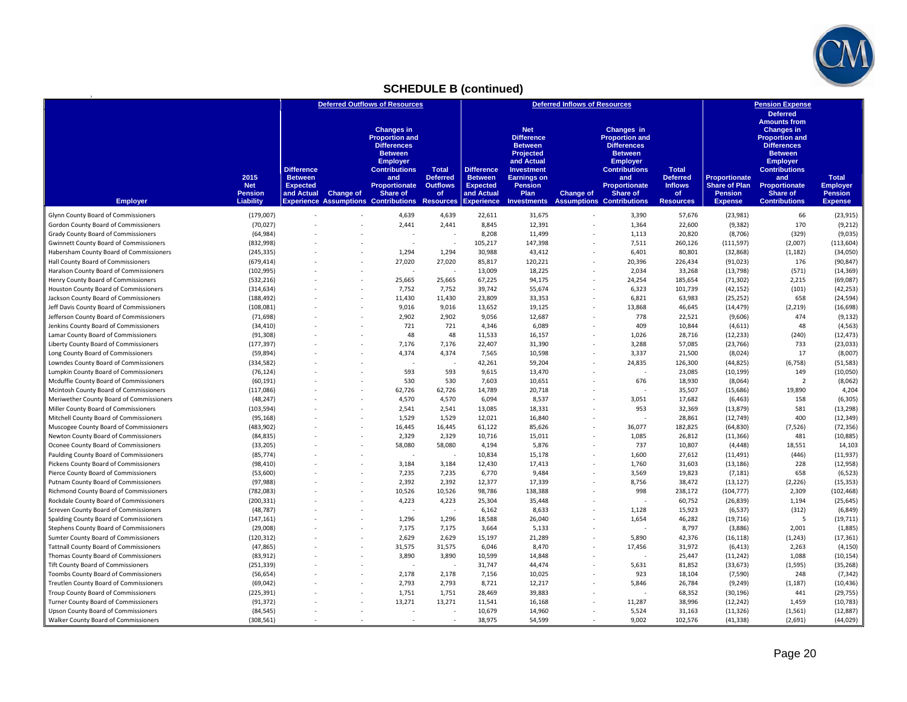

## **SCHEDULE B (continued)**

|                                                                                     |                         |                                     |                  | <b>Deferred Outflows of Resources</b>                                                                                                |                                 |                                     |                                                                                                                                | <b>Deferred Inflows of Resources</b> |                                                                                                                               |                                 |                       | <b>Pension Expense</b>                                                                                                                                                         |                       |
|-------------------------------------------------------------------------------------|-------------------------|-------------------------------------|------------------|--------------------------------------------------------------------------------------------------------------------------------------|---------------------------------|-------------------------------------|--------------------------------------------------------------------------------------------------------------------------------|--------------------------------------|-------------------------------------------------------------------------------------------------------------------------------|---------------------------------|-----------------------|--------------------------------------------------------------------------------------------------------------------------------------------------------------------------------|-----------------------|
|                                                                                     | 2015                    | <b>Difference</b><br><b>Between</b> |                  | <b>Changes in</b><br><b>Proportion and</b><br><b>Differences</b><br><b>Between</b><br><b>Employer</b><br><b>Contributions</b><br>and | <b>Total</b><br><b>Deferred</b> | <b>Difference</b><br><b>Between</b> | <b>Net</b><br><b>Difference</b><br><b>Between</b><br><b>Projected</b><br>and Actual<br><b>Investment</b><br><b>Earnings on</b> |                                      | Changes in<br><b>Proportion and</b><br><b>Differences</b><br><b>Between</b><br><b>Employer</b><br><b>Contributions</b><br>and | <b>Total</b><br><b>Deferred</b> | Proportionate         | <b>Deferred</b><br><b>Amounts from</b><br><b>Changes in</b><br><b>Proportion and</b><br><b>Differences</b><br><b>Between</b><br><b>Employer</b><br><b>Contributions</b><br>and | <b>Total</b>          |
|                                                                                     | <b>Net</b>              | <b>Expected</b>                     |                  | <b>Proportionate</b>                                                                                                                 | <b>Outflows</b>                 | <b>Expected</b>                     | <b>Pension</b>                                                                                                                 |                                      | <b>Proportionate</b>                                                                                                          | <b>Inflows</b>                  | <b>Share of Plan</b>  | Proportionate                                                                                                                                                                  | <b>Employer</b>       |
|                                                                                     | <b>Pension</b>          | and Actual                          | <b>Change of</b> | <b>Share of</b>                                                                                                                      | <b>of</b>                       | and Actual                          | Plan                                                                                                                           | <b>Change of</b>                     | Share of                                                                                                                      | <b>of</b>                       | <b>Pension</b>        | Share of                                                                                                                                                                       | <b>Pension</b>        |
| <b>Employer</b>                                                                     | Liability               |                                     |                  | <b>Experience Assumptions Contributions Resources</b>                                                                                |                                 | <b>Experience</b>                   | <b>Investments</b>                                                                                                             |                                      | <b>Assumptions Contributions</b>                                                                                              | <b>Resources</b>                | <b>Expense</b>        | <b>Contributions</b>                                                                                                                                                           | <b>Expense</b>        |
| Glynn County Board of Commissioners                                                 | (179,007)               |                                     |                  | 4,639                                                                                                                                | 4,639                           | 22,611                              | 31,675                                                                                                                         |                                      | 3,390                                                                                                                         | 57,676                          | (23,981)              | 66                                                                                                                                                                             | (23, 915)             |
| Gordon County Board of Commissioners                                                | (70, 027)               |                                     |                  | 2,441                                                                                                                                | 2,441                           | 8,845                               | 12,391                                                                                                                         |                                      | 1,364                                                                                                                         | 22,600                          | (9, 382)              | 170                                                                                                                                                                            | (9,212)               |
| Grady County Board of Commissioners                                                 | (64, 984)               |                                     |                  |                                                                                                                                      |                                 | 8,208                               | 11,499                                                                                                                         |                                      | 1,113                                                                                                                         | 20,820                          | (8,706)               | (329)                                                                                                                                                                          | (9,035)               |
| <b>Gwinnett County Board of Commissioners</b>                                       | (832,998)               |                                     |                  |                                                                                                                                      | ÷                               | 105,217                             | 147,398                                                                                                                        |                                      | 7,511                                                                                                                         | 260,126                         | (111, 597)            | (2,007)                                                                                                                                                                        | (113, 604)            |
| Habersham County Board of Commissioners                                             | (245, 335)              |                                     |                  | 1,294                                                                                                                                | 1,294                           | 30,988                              | 43,412                                                                                                                         |                                      | 6,401                                                                                                                         | 80,801                          | (32, 868)             | (1, 182)                                                                                                                                                                       | (34,050)              |
| Hall County Board of Commissioners                                                  | (679, 414)              |                                     |                  | 27,020                                                                                                                               | 27,020                          | 85,817                              | 120,221                                                                                                                        |                                      | 20,396                                                                                                                        | 226,434                         | (91, 023)             | 176                                                                                                                                                                            | (90, 847)             |
| Haralson County Board of Commissioners                                              | (102, 995)              |                                     |                  |                                                                                                                                      | ÷.                              | 13,009                              | 18,225                                                                                                                         |                                      | 2,034                                                                                                                         | 33,268                          | (13, 798)             | (571)                                                                                                                                                                          | (14, 369)             |
| Henry County Board of Commissioners                                                 | (532, 216)              |                                     |                  | 25,665                                                                                                                               | 25,665                          | 67,225                              | 94,175                                                                                                                         |                                      | 24,254                                                                                                                        | 185,654                         | (71, 302)             | 2,215                                                                                                                                                                          | (69,087)              |
| Houston County Board of Commissioners                                               | (314, 634)              |                                     |                  | 7,752                                                                                                                                | 7,752                           | 39,742                              | 55,674                                                                                                                         |                                      | 6,323                                                                                                                         | 101,739                         | (42, 152)             | (101)                                                                                                                                                                          | (42, 253)             |
| Jackson County Board of Commissioners                                               | (188, 492)              |                                     |                  | 11,430                                                                                                                               | 11,430                          | 23,809                              | 33,353                                                                                                                         |                                      | 6,821                                                                                                                         | 63,983                          | (25, 252)             | 658                                                                                                                                                                            | (24, 594)             |
| Jeff Davis County Board of Commissioners<br>Jefferson County Board of Commissioners | (108, 081)<br>(71, 698) |                                     |                  | 9,016<br>2,902                                                                                                                       | 9.016<br>2,902                  | 13,652<br>9,056                     | 19,125<br>12,687                                                                                                               |                                      | 13,868<br>778                                                                                                                 | 46,645<br>22,521                | (14, 479)<br>(9,606)  | (2, 219)<br>474                                                                                                                                                                | (16, 698)<br>(9, 132) |
| Jenkins County Board of Commissioners                                               |                         |                                     |                  | 721                                                                                                                                  | 721                             |                                     | 6,089                                                                                                                          |                                      | 409                                                                                                                           | 10,844                          | (4,611)               | 48                                                                                                                                                                             | (4, 563)              |
| Lamar County Board of Commissioners                                                 | (34, 410)<br>(91, 308)  |                                     |                  | 48                                                                                                                                   | 48                              | 4,346<br>11,533                     | 16,157                                                                                                                         |                                      | 1,026                                                                                                                         | 28,716                          | (12, 233)             | (240)                                                                                                                                                                          | (12, 473)             |
| Liberty County Board of Commissioners                                               | (177, 397)              |                                     |                  | 7,176                                                                                                                                | 7,176                           | 22,407                              | 31,390                                                                                                                         |                                      | 3,288                                                                                                                         | 57,085                          | (23, 766)             | 733                                                                                                                                                                            | (23, 033)             |
| Long County Board of Commissioners                                                  | (59, 894)               |                                     |                  | 4,374                                                                                                                                | 4,374                           | 7,565                               | 10,598                                                                                                                         |                                      | 3,337                                                                                                                         | 21,500                          | (8,024)               | 17                                                                                                                                                                             | (8,007)               |
| Lowndes County Board of Commissioners                                               | (334, 582)              |                                     |                  | ٠.                                                                                                                                   |                                 | 42,261                              | 59,204                                                                                                                         |                                      | 24,835                                                                                                                        | 126,300                         | (44, 825)             | (6, 758)                                                                                                                                                                       | (51, 583)             |
| Lumpkin County Board of Commissioners                                               | (76, 124)               |                                     |                  | 593                                                                                                                                  | 593                             | 9,615                               | 13,470                                                                                                                         |                                      |                                                                                                                               | 23,085                          | (10, 199)             | 149                                                                                                                                                                            | (10,050)              |
| Mcduffie County Board of Commissioners                                              | (60, 191)               |                                     |                  | 530                                                                                                                                  | 530                             | 7,603                               | 10,651                                                                                                                         |                                      | 676                                                                                                                           | 18,930                          | (8,064)               | $\overline{2}$                                                                                                                                                                 | (8,062)               |
| Mcintosh County Board of Commissioners                                              | (117, 086)              |                                     |                  | 62,726                                                                                                                               | 62,726                          | 14,789                              | 20,718                                                                                                                         |                                      |                                                                                                                               | 35,507                          | (15,686)              | 19,890                                                                                                                                                                         | 4,204                 |
| Meriwether County Board of Commissioners                                            | (48, 247)               |                                     |                  | 4,570                                                                                                                                | 4,570                           | 6,094                               | 8,537                                                                                                                          |                                      | 3,051                                                                                                                         | 17,682                          | (6, 463)              | 158                                                                                                                                                                            | (6,305)               |
| Miller County Board of Commissioners                                                | (103, 594)              |                                     |                  | 2,541                                                                                                                                | 2,541                           | 13,085                              | 18,331                                                                                                                         |                                      | 953                                                                                                                           | 32,369                          | (13, 879)             | 581                                                                                                                                                                            | (13, 298)             |
| Mitchell County Board of Commissioners                                              | (95, 168)               |                                     |                  | 1,529                                                                                                                                | 1,529                           | 12,021                              | 16,840                                                                                                                         |                                      |                                                                                                                               | 28,861                          | (12, 749)             | 400                                                                                                                                                                            | (12, 349)             |
| Muscogee County Board of Commissioners                                              | (483, 902)              |                                     |                  | 16,445                                                                                                                               | 16,445                          | 61,122                              | 85,626                                                                                                                         |                                      | 36,077                                                                                                                        | 182,825                         | (64, 830)             | (7,526)                                                                                                                                                                        | (72, 356)             |
| Newton County Board of Commissioners                                                | (84, 835)               |                                     |                  | 2,329                                                                                                                                | 2,329                           | 10,716                              | 15,011                                                                                                                         |                                      | 1,085                                                                                                                         | 26,812                          | (11, 366)             | 481                                                                                                                                                                            | (10, 885)             |
| Oconee County Board of Commissioners                                                | (33, 205)               |                                     |                  | 58,080                                                                                                                               | 58,080                          | 4,194                               | 5,876                                                                                                                          |                                      | 737                                                                                                                           | 10,807                          | (4, 448)              | 18,551                                                                                                                                                                         | 14,103                |
| Paulding County Board of Commissioners                                              | (85, 774)               |                                     |                  |                                                                                                                                      |                                 | 10,834                              | 15,178                                                                                                                         |                                      | 1,600                                                                                                                         | 27,612                          | (11, 491)             | (446)                                                                                                                                                                          | (11, 937)             |
| Pickens County Board of Commissioners                                               | (98, 410)               |                                     |                  | 3,184                                                                                                                                | 3,184                           | 12,430                              | 17,413                                                                                                                         |                                      | 1,760                                                                                                                         | 31,603                          | (13, 186)             | 228                                                                                                                                                                            | (12,958)              |
| Pierce County Board of Commissioners                                                | (53,600)                |                                     |                  | 7,235                                                                                                                                | 7,235                           | 6,770                               | 9,484                                                                                                                          |                                      | 3,569                                                                                                                         | 19,823                          | (7, 181)              | 658                                                                                                                                                                            | (6, 523)              |
| Putnam County Board of Commissioners                                                | (97, 988)               |                                     |                  | 2,392                                                                                                                                | 2,392                           | 12,377                              | 17,339                                                                                                                         |                                      | 8,756                                                                                                                         | 38,472                          | (13, 127)             | (2, 226)                                                                                                                                                                       | (15, 353)             |
| Richmond County Board of Commissioners                                              | (782, 083)              |                                     |                  | 10,526                                                                                                                               | 10,526                          | 98,786                              | 138,388                                                                                                                        |                                      | 998                                                                                                                           | 238,172                         | (104, 777)            | 2,309                                                                                                                                                                          | (102, 468)            |
| Rockdale County Board of Commissioners                                              | (200, 331)              |                                     |                  | 4,223                                                                                                                                | 4,223                           | 25,304                              | 35,448                                                                                                                         |                                      |                                                                                                                               | 60,752                          | (26, 839)             | 1,194                                                                                                                                                                          | (25, 645)             |
| Screven County Board of Commissioners                                               | (48, 787)               |                                     |                  | ×,                                                                                                                                   | ÷,                              | 6,162                               | 8,633                                                                                                                          |                                      | 1,128                                                                                                                         | 15,923                          | (6, 537)              | (312)                                                                                                                                                                          | (6, 849)              |
| Spalding County Board of Commissioners                                              | (147, 161)              |                                     |                  | 1,296                                                                                                                                | 1,296                           | 18,588                              | 26,040                                                                                                                         |                                      | 1,654                                                                                                                         | 46,282                          | (19, 716)             | - 5                                                                                                                                                                            | (19, 711)             |
| Stephens County Board of Commissioners                                              | (29,008)                |                                     |                  | 7,175                                                                                                                                | 7,175                           | 3,664                               | 5,133                                                                                                                          |                                      |                                                                                                                               | 8,797                           | (3,886)               | 2,001                                                                                                                                                                          | (1,885)               |
| Sumter County Board of Commissioners                                                | (120, 312)              |                                     |                  | 2,629                                                                                                                                | 2,629                           | 15,197                              | 21,289                                                                                                                         |                                      | 5,890                                                                                                                         | 42,376                          | (16, 118)             | (1, 243)                                                                                                                                                                       | (17, 361)             |
| <b>Tattnall County Board of Commissioners</b>                                       | (47, 865)               |                                     |                  | 31,575                                                                                                                               | 31,575                          | 6,046                               | 8,470                                                                                                                          |                                      | 17,456                                                                                                                        | 31,972                          | (6, 413)              | 2,263                                                                                                                                                                          | (4, 150)              |
| Thomas County Board of Commissioners                                                | (83, 912)               |                                     |                  | 3,890                                                                                                                                | 3,890                           | 10,599                              | 14.848                                                                                                                         |                                      |                                                                                                                               | 25,447                          | (11, 242)             | 1,088                                                                                                                                                                          | (10, 154)             |
| Tift County Board of Commissioners<br>Toombs County Board of Commissioners          | (251, 339)<br>(56, 654) |                                     |                  | 2,178                                                                                                                                | 2,178                           | 31,747<br>7,156                     | 44,474<br>10,025                                                                                                               |                                      | 5,631<br>923                                                                                                                  | 81,852<br>18,104                | (33, 673)<br>(7, 590) | (1, 595)<br>248                                                                                                                                                                | (35, 268)<br>(7, 342) |
| Treutlen County Board of Commissioners                                              | (69, 042)               |                                     |                  | 2,793                                                                                                                                | 2,793                           | 8,721                               | 12,217                                                                                                                         |                                      | 5,846                                                                                                                         | 26,784                          | (9, 249)              | (1, 187)                                                                                                                                                                       | (10, 436)             |
| Troup County Board of Commissioners                                                 | (225, 391)              |                                     |                  | 1,751                                                                                                                                | 1,751                           | 28,469                              | 39,883                                                                                                                         |                                      |                                                                                                                               | 68,352                          | (30, 196)             | 441                                                                                                                                                                            | (29, 755)             |
| Turner County Board of Commissioners                                                | (91, 372)               |                                     |                  | 13,271                                                                                                                               | 13,271                          | 11,541                              | 16,168                                                                                                                         |                                      | 11,287                                                                                                                        | 38,996                          | (12, 242)             | 1,459                                                                                                                                                                          | (10, 783)             |
| Upson County Board of Commissioners                                                 | (84, 545)               |                                     |                  |                                                                                                                                      |                                 | 10,679                              | 14,960                                                                                                                         |                                      | 5,524                                                                                                                         | 31,163                          | (11, 326)             | (1, 561)                                                                                                                                                                       | (12, 887)             |
| Walker County Board of Commissioners                                                | (308, 561)              |                                     |                  |                                                                                                                                      |                                 | 38,975                              | 54,599                                                                                                                         | ٠                                    | 9,002                                                                                                                         | 102,576                         | (41, 338)             | (2,691)                                                                                                                                                                        | (44, 029)             |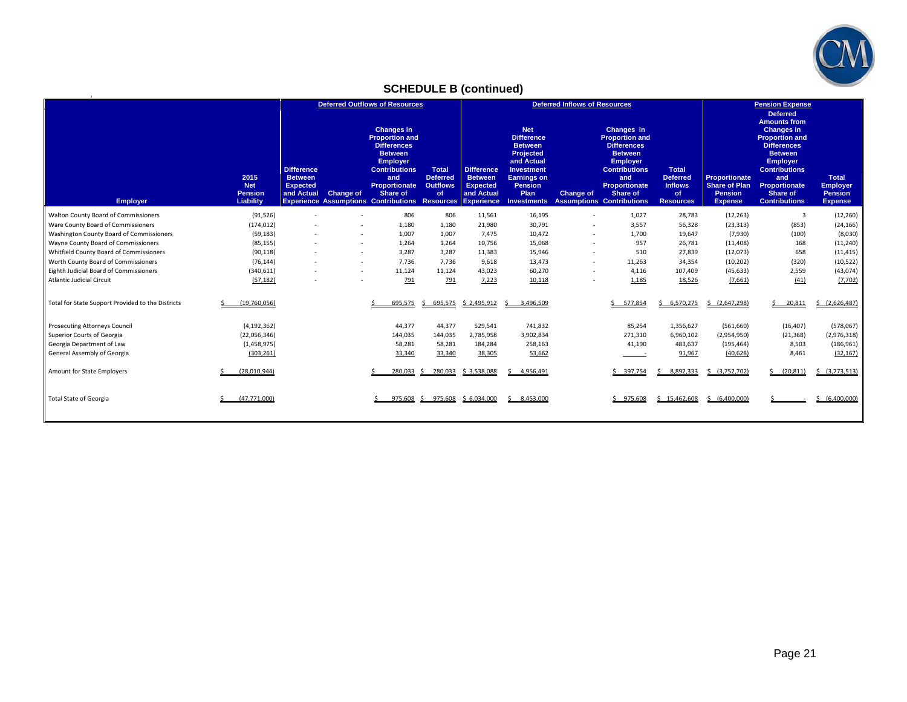

## **SCHEDULE B (continued)**

**2**

|                                                   |                                                   | <b>Deferred Outflows of Resources</b>                                |           |                                                                                                                                                                                                                                       |                                                          | <b>Deferred Inflows of Resources</b>                                 |                                                                                                                                                                         |                  |                                                                                                                                                                                                       |                                                                      | <b>Pension Expense</b><br><b>Deferred</b>                                 |                                                                                                                                                                                                                         |                                                                     |
|---------------------------------------------------|---------------------------------------------------|----------------------------------------------------------------------|-----------|---------------------------------------------------------------------------------------------------------------------------------------------------------------------------------------------------------------------------------------|----------------------------------------------------------|----------------------------------------------------------------------|-------------------------------------------------------------------------------------------------------------------------------------------------------------------------|------------------|-------------------------------------------------------------------------------------------------------------------------------------------------------------------------------------------------------|----------------------------------------------------------------------|---------------------------------------------------------------------------|-------------------------------------------------------------------------------------------------------------------------------------------------------------------------------------------------------------------------|---------------------------------------------------------------------|
| <b>Employer</b>                                   | 2015<br><b>Net</b><br><b>Pension</b><br>Liability | <b>Difference</b><br><b>Between</b><br><b>Expected</b><br>and Actual | Change of | <b>Changes in</b><br><b>Proportion and</b><br><b>Differences</b><br><b>Between</b><br><b>Employer</b><br><b>Contributions</b><br>and<br>Proportionate<br>Share of<br><b>Experience Assumptions Contributions Resources Experience</b> | <b>Total</b><br><b>Deferred</b><br><b>Outflows</b><br>of | <b>Difference</b><br><b>Between</b><br><b>Expected</b><br>and Actual | <b>Net</b><br><b>Difference</b><br><b>Between</b><br>Projected<br>and Actual<br><b>Investment</b><br><b>Earnings on</b><br><b>Pension</b><br>Plan<br><b>Investments</b> | <b>Change of</b> | Changes in<br><b>Proportion and</b><br><b>Differences</b><br><b>Between</b><br><b>Employer</b><br><b>Contributions</b><br>and<br><b>Proportionate</b><br>Share of<br><b>Assumptions Contributions</b> | Total<br><b>Deferred</b><br><b>Inflows</b><br>of<br><b>Resources</b> | Proportionate<br><b>Share of Plan</b><br><b>Pension</b><br><b>Expense</b> | <b>Amounts from</b><br><b>Changes in</b><br><b>Proportion and</b><br><b>Differences</b><br><b>Between</b><br><b>Employer</b><br><b>Contributions</b><br>and<br><b>Proportionate</b><br>Share of<br><b>Contributions</b> | <b>Total</b><br><b>Employer</b><br><b>Pension</b><br><b>Expense</b> |
| Walton County Board of Commissioners              | (91, 526)                                         |                                                                      |           | 806                                                                                                                                                                                                                                   | 806                                                      | 11,561                                                               | 16,195                                                                                                                                                                  | ٠                | 1,027                                                                                                                                                                                                 | 28,783                                                               | (12, 263)                                                                 | $\overline{3}$                                                                                                                                                                                                          | (12, 260)                                                           |
| Ware County Board of Commissioners                | (174, 012)                                        |                                                                      |           | 1,180                                                                                                                                                                                                                                 | 1,180                                                    | 21,980                                                               | 30,791                                                                                                                                                                  | ٠                | 3,557                                                                                                                                                                                                 | 56,328                                                               | (23, 313)                                                                 | (853)                                                                                                                                                                                                                   | (24, 166)                                                           |
| Washington County Board of Commissioners          | (59, 183)                                         |                                                                      | $\sim$    | 1,007                                                                                                                                                                                                                                 | 1,007                                                    | 7,475                                                                | 10,472                                                                                                                                                                  | ٠                | 1,700                                                                                                                                                                                                 | 19,647                                                               | (7,930)                                                                   | (100)                                                                                                                                                                                                                   | (8,030)                                                             |
| Wayne County Board of Commissioners               | (85, 155)                                         |                                                                      | $\sim$    | 1,264                                                                                                                                                                                                                                 | 1,264                                                    | 10,756                                                               | 15,068                                                                                                                                                                  | ٠                | 957                                                                                                                                                                                                   | 26,781                                                               | (11, 408)                                                                 | 168                                                                                                                                                                                                                     | (11, 240)                                                           |
| Whitfield County Board of Commissioners           | (90, 118)                                         |                                                                      | $\sim$    | 3,287                                                                                                                                                                                                                                 | 3,287                                                    | 11,383                                                               | 15,946                                                                                                                                                                  | ٠                | 510                                                                                                                                                                                                   | 27,839                                                               | (12,073)                                                                  | 658                                                                                                                                                                                                                     | (11, 415)                                                           |
| Worth County Board of Commissioners               | (76, 144)                                         |                                                                      | $\sim$    | 7,736                                                                                                                                                                                                                                 | 7.736                                                    | 9,618                                                                | 13,473                                                                                                                                                                  | ٠                | 11,263                                                                                                                                                                                                | 34,354                                                               | (10, 202)                                                                 | (320)                                                                                                                                                                                                                   | (10, 522)                                                           |
| Eighth Judicial Board of Commissioners            | (340, 611)                                        |                                                                      | $\sim$    | 11,124                                                                                                                                                                                                                                | 11,124                                                   | 43,023                                                               | 60,270                                                                                                                                                                  | ٠                | 4,116                                                                                                                                                                                                 | 107,409                                                              | (45, 633)                                                                 | 2,559                                                                                                                                                                                                                   | (43, 074)                                                           |
| <b>Atlantic Judicial Circuit</b>                  | (57, 182)                                         |                                                                      | $\sim$    | 791                                                                                                                                                                                                                                   | 791                                                      | 7,223                                                                | 10,118                                                                                                                                                                  | ٠                | 1,185                                                                                                                                                                                                 | 18,526                                                               | (7,661)                                                                   | (41)                                                                                                                                                                                                                    | (7,702)                                                             |
| Total for State Support Provided to the Districts | (19.760.056)                                      |                                                                      |           | 695.575                                                                                                                                                                                                                               | 695,575<br>Š.                                            | \$2,495,912                                                          | 3.496.509                                                                                                                                                               |                  | 577,854                                                                                                                                                                                               | 5, 6.570.275                                                         | \$ (2,647,298)                                                            | 20.811                                                                                                                                                                                                                  | (2,626,487)                                                         |
| <b>Prosecuting Attorneys Council</b>              | (4, 192, 362)                                     |                                                                      |           | 44,377                                                                                                                                                                                                                                | 44,377                                                   | 529,541                                                              | 741,832                                                                                                                                                                 |                  | 85,254                                                                                                                                                                                                | 1,356,627                                                            | (561, 660)                                                                | (16, 407)                                                                                                                                                                                                               | (578,067)                                                           |
| Superior Courts of Georgia                        | (22,056,346)                                      |                                                                      |           | 144,035                                                                                                                                                                                                                               | 144,035                                                  | 2,785,958                                                            | 3,902,834                                                                                                                                                               |                  | 271,310                                                                                                                                                                                               | 6,960,102                                                            | (2,954,950)                                                               | (21, 368)                                                                                                                                                                                                               | (2,976,318)                                                         |
| Georgia Department of Law                         | (1,458,975)                                       |                                                                      |           | 58,281                                                                                                                                                                                                                                | 58,281                                                   | 184,284                                                              | 258,163                                                                                                                                                                 |                  | 41,190                                                                                                                                                                                                | 483,637                                                              | (195, 464)                                                                | 8,503                                                                                                                                                                                                                   | (186, 961)                                                          |
| General Assembly of Georgia                       | (303, 261)                                        |                                                                      |           | 33,340                                                                                                                                                                                                                                | 33,340                                                   | 38,305                                                               | 53,662                                                                                                                                                                  |                  |                                                                                                                                                                                                       | 91,967                                                               | (40, 628)                                                                 | 8,461                                                                                                                                                                                                                   | (32, 167)                                                           |
| Amount for State Employers                        | (28,010,944)                                      |                                                                      |           | 280.033                                                                                                                                                                                                                               | 280,033                                                  | \$3,538,088                                                          | 4,956,491<br>ς.                                                                                                                                                         |                  | \$397,754                                                                                                                                                                                             | 8,892,333                                                            | \$ (3,752,702)                                                            | (20, 811)                                                                                                                                                                                                               | (3,773,513)                                                         |
| <b>Total State of Georgia</b>                     | (47.771.000)                                      |                                                                      |           | 975.608                                                                                                                                                                                                                               | 975.608                                                  | \$6,034,000                                                          | \$3,453,000                                                                                                                                                             |                  | $5$ 975.608                                                                                                                                                                                           | $5$ 15.462,608                                                       | \$16,400,000                                                              |                                                                                                                                                                                                                         | (6,400,000)                                                         |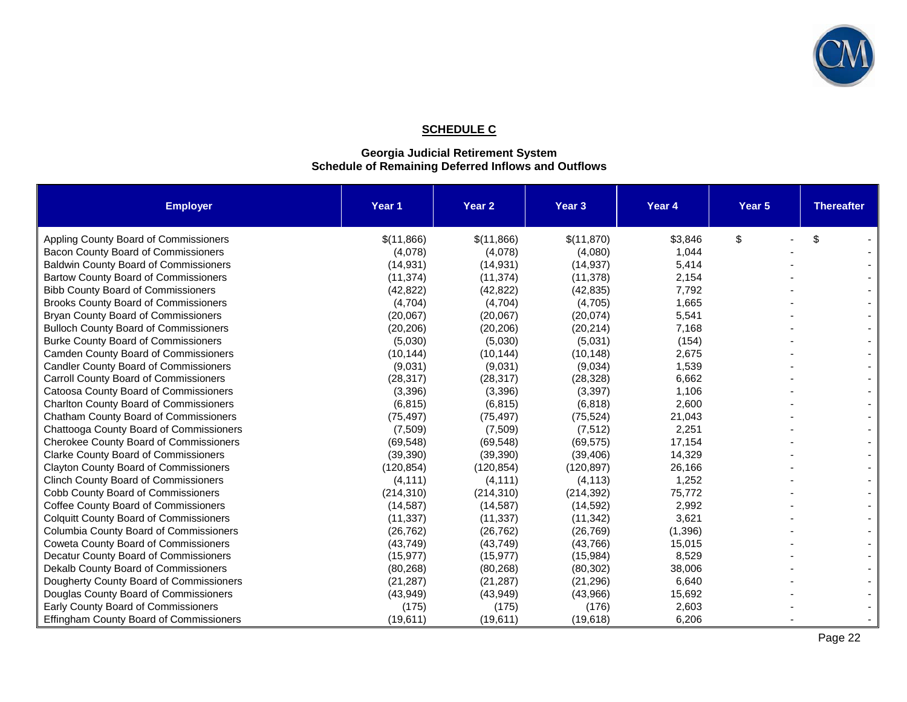

## **SCHEDULE C**

#### **Georgia Judicial Retirement System Schedule of Remaining Deferred Inflows and Outflows**

| <b>Employer</b>                               | Year 1     | Year <sub>2</sub> | Year <sub>3</sub> | Year 4  | Year <sub>5</sub> | <b>Thereafter</b> |
|-----------------------------------------------|------------|-------------------|-------------------|---------|-------------------|-------------------|
| Appling County Board of Commissioners         | \$(11,866) | \$(11,866)        | \$(11,870)        | \$3,846 | \$                | \$                |
| Bacon County Board of Commissioners           | (4,078)    | (4,078)           | (4,080)           | 1,044   |                   |                   |
| <b>Baldwin County Board of Commissioners</b>  | (14, 931)  | (14, 931)         | (14, 937)         | 5,414   |                   |                   |
| <b>Bartow County Board of Commissioners</b>   | (11, 374)  | (11, 374)         | (11, 378)         | 2,154   |                   |                   |
| <b>Bibb County Board of Commissioners</b>     | (42, 822)  | (42, 822)         | (42, 835)         | 7,792   |                   |                   |
| <b>Brooks County Board of Commissioners</b>   | (4,704)    | (4,704)           | (4,705)           | 1,665   |                   |                   |
| Bryan County Board of Commissioners           | (20,067)   | (20,067)          | (20, 074)         | 5,541   |                   |                   |
| <b>Bulloch County Board of Commissioners</b>  | (20, 206)  | (20, 206)         | (20, 214)         | 7,168   |                   |                   |
| <b>Burke County Board of Commissioners</b>    | (5,030)    | (5,030)           | (5,031)           | (154)   |                   |                   |
| <b>Camden County Board of Commissioners</b>   | (10, 144)  | (10, 144)         | (10, 148)         | 2,675   |                   |                   |
| <b>Candler County Board of Commissioners</b>  | (9,031)    | (9,031)           | (9,034)           | 1,539   |                   |                   |
| Carroll County Board of Commissioners         | (28, 317)  | (28, 317)         | (28, 328)         | 6,662   |                   |                   |
| Catoosa County Board of Commissioners         | (3,396)    | (3,396)           | (3, 397)          | 1,106   |                   |                   |
| <b>Charlton County Board of Commissioners</b> | (6, 815)   | (6, 815)          | (6, 818)          | 2,600   |                   |                   |
| Chatham County Board of Commissioners         | (75, 497)  | (75, 497)         | (75, 524)         | 21,043  |                   |                   |
| Chattooga County Board of Commissioners       | (7,509)    | (7,509)           | (7, 512)          | 2,251   |                   |                   |
| Cherokee County Board of Commissioners        | (69, 548)  | (69, 548)         | (69, 575)         | 17,154  |                   |                   |
| <b>Clarke County Board of Commissioners</b>   | (39, 390)  | (39, 390)         | (39, 406)         | 14,329  |                   |                   |
| <b>Clayton County Board of Commissioners</b>  | (120, 854) | (120, 854)        | (120, 897)        | 26,166  |                   |                   |
| <b>Clinch County Board of Commissioners</b>   | (4, 111)   | (4, 111)          | (4, 113)          | 1,252   |                   |                   |
| Cobb County Board of Commissioners            | (214, 310) | (214, 310)        | (214, 392)        | 75,772  |                   |                   |
| Coffee County Board of Commissioners          | (14, 587)  | (14, 587)         | (14, 592)         | 2,992   |                   |                   |
| <b>Colquitt County Board of Commissioners</b> | (11, 337)  | (11, 337)         | (11, 342)         | 3,621   |                   |                   |
| Columbia County Board of Commissioners        | (26, 762)  | (26, 762)         | (26, 769)         | (1,396) |                   |                   |
| Coweta County Board of Commissioners          | (43, 749)  | (43, 749)         | (43, 766)         | 15,015  |                   |                   |
| Decatur County Board of Commissioners         | (15, 977)  | (15, 977)         | (15, 984)         | 8,529   |                   |                   |
| Dekalb County Board of Commissioners          | (80, 268)  | (80, 268)         | (80, 302)         | 38,006  |                   |                   |
| Dougherty County Board of Commissioners       | (21, 287)  | (21, 287)         | (21, 296)         | 6,640   |                   |                   |
| Douglas County Board of Commissioners         | (43, 949)  | (43, 949)         | (43,966)          | 15,692  |                   |                   |
| Early County Board of Commissioners           | (175)      | (175)             | (176)             | 2,603   |                   |                   |
| Effingham County Board of Commissioners       | (19,611)   | (19,611)          | (19,618)          | 6,206   |                   |                   |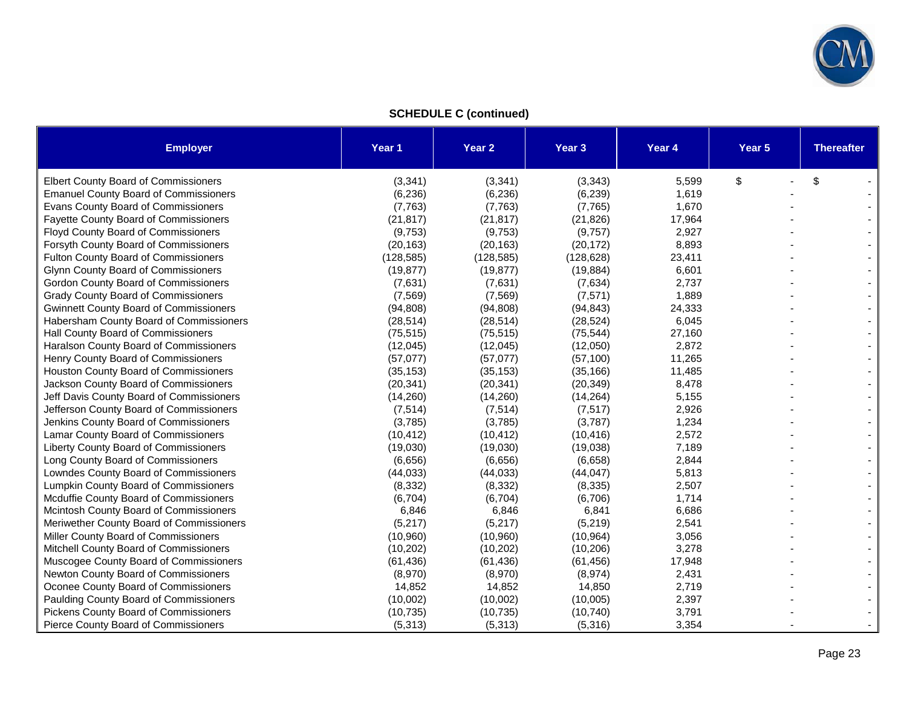

**SCHEDULE C (continued)** 

| <b>Employer</b>                               | Year 1     | Year 2     | Year 3     | Year 4 | Year 5 | <b>Thereafter</b> |
|-----------------------------------------------|------------|------------|------------|--------|--------|-------------------|
| Elbert County Board of Commissioners          | (3, 341)   | (3, 341)   | (3, 343)   | 5,599  | \$     | \$                |
| <b>Emanuel County Board of Commissioners</b>  | (6, 236)   | (6, 236)   | (6, 239)   | 1,619  |        |                   |
| Evans County Board of Commissioners           | (7, 763)   | (7, 763)   | (7, 765)   | 1,670  |        |                   |
| <b>Fayette County Board of Commissioners</b>  | (21, 817)  | (21, 817)  | (21, 826)  | 17,964 |        |                   |
| <b>Floyd County Board of Commissioners</b>    | (9,753)    | (9,753)    | (9,757)    | 2,927  |        |                   |
| Forsyth County Board of Commissioners         | (20, 163)  | (20, 163)  | (20, 172)  | 8,893  |        |                   |
| Fulton County Board of Commissioners          | (128, 585) | (128, 585) | (128, 628) | 23,411 |        |                   |
| Glynn County Board of Commissioners           | (19, 877)  | (19, 877)  | (19, 884)  | 6,601  |        |                   |
| Gordon County Board of Commissioners          | (7,631)    | (7,631)    | (7,634)    | 2,737  |        |                   |
| <b>Grady County Board of Commissioners</b>    | (7, 569)   | (7, 569)   | (7, 571)   | 1,889  |        |                   |
| <b>Gwinnett County Board of Commissioners</b> | (94, 808)  | (94, 808)  | (94, 843)  | 24,333 |        |                   |
| Habersham County Board of Commissioners       | (28, 514)  | (28, 514)  | (28, 524)  | 6,045  |        |                   |
| Hall County Board of Commissioners            | (75, 515)  | (75, 515)  | (75, 544)  | 27,160 |        |                   |
| Haralson County Board of Commissioners        | (12,045)   | (12,045)   | (12,050)   | 2,872  |        |                   |
| Henry County Board of Commissioners           | (57,077)   | (57,077)   | (57, 100)  | 11,265 |        |                   |
| Houston County Board of Commissioners         | (35, 153)  | (35, 153)  | (35, 166)  | 11,485 |        |                   |
| Jackson County Board of Commissioners         | (20, 341)  | (20, 341)  | (20, 349)  | 8,478  |        |                   |
| Jeff Davis County Board of Commissioners      | (14,260)   | (14,260)   | (14, 264)  | 5,155  |        |                   |
| Jefferson County Board of Commissioners       | (7, 514)   | (7, 514)   | (7, 517)   | 2,926  |        |                   |
| Jenkins County Board of Commissioners         | (3,785)    | (3,785)    | (3,787)    | 1,234  |        |                   |
| Lamar County Board of Commissioners           | (10, 412)  | (10, 412)  | (10, 416)  | 2,572  |        |                   |
| Liberty County Board of Commissioners         | (19,030)   | (19,030)   | (19,038)   | 7,189  |        |                   |
| Long County Board of Commissioners            | (6,656)    | (6,656)    | (6,658)    | 2,844  |        |                   |
| Lowndes County Board of Commissioners         | (44, 033)  | (44, 033)  | (44, 047)  | 5,813  |        |                   |
| Lumpkin County Board of Commissioners         | (8, 332)   | (8, 332)   | (8, 335)   | 2,507  |        |                   |
| Mcduffie County Board of Commissioners        | (6,704)    | (6,704)    | (6,706)    | 1,714  |        |                   |
| Mcintosh County Board of Commissioners        | 6,846      | 6,846      | 6,841      | 6,686  |        |                   |
| Meriwether County Board of Commissioners      | (5,217)    | (5,217)    | (5,219)    | 2,541  |        |                   |
| Miller County Board of Commissioners          | (10, 960)  | (10,960)   | (10, 964)  | 3,056  |        |                   |
| Mitchell County Board of Commissioners        | (10, 202)  | (10, 202)  | (10, 206)  | 3,278  |        |                   |
| Muscogee County Board of Commissioners        | (61, 436)  | (61, 436)  | (61, 456)  | 17,948 |        |                   |
| Newton County Board of Commissioners          | (8,970)    | (8,970)    | (8,974)    | 2,431  |        |                   |
| Oconee County Board of Commissioners          | 14,852     | 14,852     | 14,850     | 2,719  |        |                   |
| Paulding County Board of Commissioners        | (10,002)   | (10,002)   | (10,005)   | 2,397  |        |                   |
| Pickens County Board of Commissioners         | (10, 735)  | (10, 735)  | (10, 740)  | 3,791  |        |                   |
| Pierce County Board of Commissioners          | (5, 313)   | (5, 313)   | (5,316)    | 3,354  |        |                   |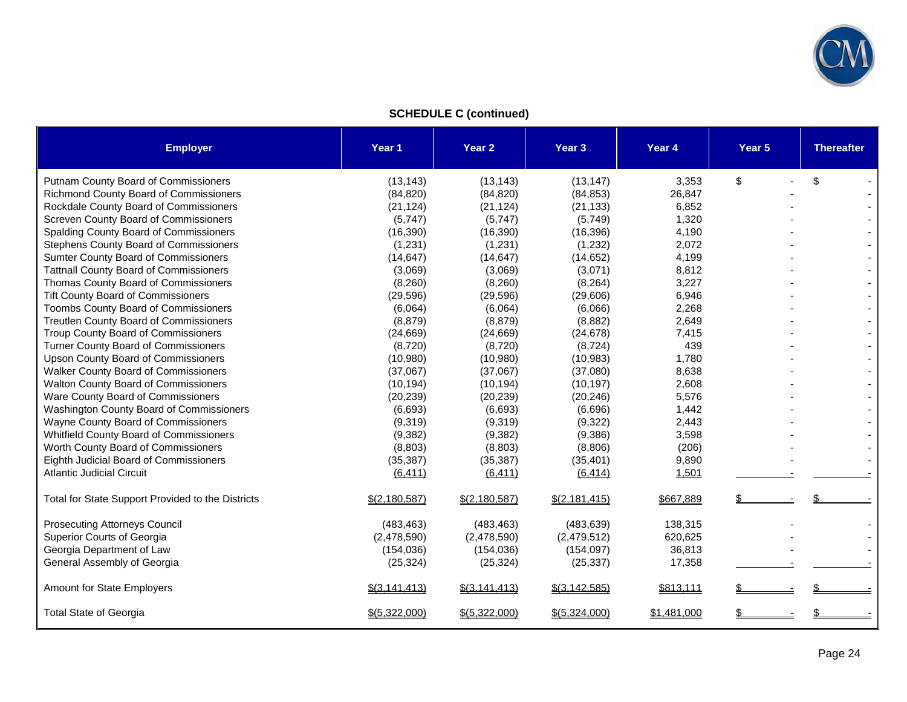

**SCHEDULE C (continued)** 

| <b>Employer</b>                                   | Year 1          | Year 2          | Year <sub>3</sub> | Year 4      | Year <sub>5</sub> | <b>Thereafter</b> |
|---------------------------------------------------|-----------------|-----------------|-------------------|-------------|-------------------|-------------------|
| Putnam County Board of Commissioners              | (13, 143)       | (13, 143)       | (13, 147)         | 3,353       | \$                | \$                |
| <b>Richmond County Board of Commissioners</b>     | (84, 820)       | (84, 820)       | (84, 853)         | 26,847      |                   |                   |
| Rockdale County Board of Commissioners            | (21, 124)       | (21, 124)       | (21, 133)         | 6,852       |                   |                   |
| Screven County Board of Commissioners             | (5,747)         | (5,747)         | (5,749)           | 1,320       |                   |                   |
| Spalding County Board of Commissioners            | (16, 390)       | (16, 390)       | (16, 396)         | 4,190       |                   |                   |
| Stephens County Board of Commissioners            | (1,231)         | (1,231)         | (1,232)           | 2,072       |                   |                   |
| Sumter County Board of Commissioners              | (14, 647)       | (14, 647)       | (14, 652)         | 4,199       |                   |                   |
| <b>Tattnall County Board of Commissioners</b>     | (3,069)         | (3,069)         | (3,071)           | 8,812       |                   |                   |
| Thomas County Board of Commissioners              | (8,260)         | (8,260)         | (8, 264)          | 3,227       |                   |                   |
| <b>Tift County Board of Commissioners</b>         | (29, 596)       | (29,596)        | (29,606)          | 6,946       |                   |                   |
| <b>Toombs County Board of Commissioners</b>       | (6,064)         | (6,064)         | (6,066)           | 2,268       |                   |                   |
| Treutlen County Board of Commissioners            | (8, 879)        | (8, 879)        | (8,882)           | 2,649       |                   |                   |
| Troup County Board of Commissioners               | (24, 669)       | (24, 669)       | (24, 678)         | 7,415       |                   |                   |
| <b>Turner County Board of Commissioners</b>       | (8,720)         | (8,720)         | (8, 724)          | 439         |                   |                   |
| <b>Upson County Board of Commissioners</b>        | (10,980)        | (10,980)        | (10, 983)         | 1,780       |                   |                   |
| <b>Walker County Board of Commissioners</b>       | (37,067)        | (37,067)        | (37,080)          | 8,638       |                   |                   |
| <b>Walton County Board of Commissioners</b>       | (10, 194)       | (10, 194)       | (10, 197)         | 2,608       |                   |                   |
| Ware County Board of Commissioners                | (20, 239)       | (20, 239)       | (20, 246)         | 5,576       |                   |                   |
| Washington County Board of Commissioners          | (6,693)         | (6,693)         | (6,696)           | 1,442       |                   |                   |
| Wayne County Board of Commissioners               | (9,319)         | (9,319)         | (9, 322)          | 2,443       |                   |                   |
| Whitfield County Board of Commissioners           | (9, 382)        | (9, 382)        | (9,386)           | 3,598       |                   |                   |
| Worth County Board of Commissioners               | (8,803)         | (8,803)         | (8,806)           | (206)       |                   |                   |
| Eighth Judicial Board of Commissioners            | (35, 387)       | (35, 387)       | (35, 401)         | 9,890       |                   |                   |
| <b>Atlantic Judicial Circuit</b>                  | (6, 411)        | (6, 411)        | (6, 414)          | 1,501       |                   |                   |
| Total for State Support Provided to the Districts | \$(2,180,587)   | \$(2,180,587)   | \$(2, 181, 415)   | \$667,889   |                   |                   |
| <b>Prosecuting Attorneys Council</b>              | (483, 463)      | (483, 463)      | (483, 639)        | 138,315     |                   |                   |
| Superior Courts of Georgia                        | (2,478,590)     | (2,478,590)     | (2,479,512)       | 620,625     |                   |                   |
| Georgia Department of Law                         | (154, 036)      | (154, 036)      | (154, 097)        | 36,813      |                   |                   |
| General Assembly of Georgia                       | (25, 324)       | (25, 324)       | (25, 337)         | 17,358      |                   |                   |
| <b>Amount for State Employers</b>                 | $$$ (3,141,413) | \$(3, 141, 413) | \$(3,142,585)     | \$813,111   |                   |                   |
| <b>Total State of Georgia</b>                     | \$(5,322,000)   | \$(5,322,000)   | \$(5,324,000)     | \$1,481,000 | \$                |                   |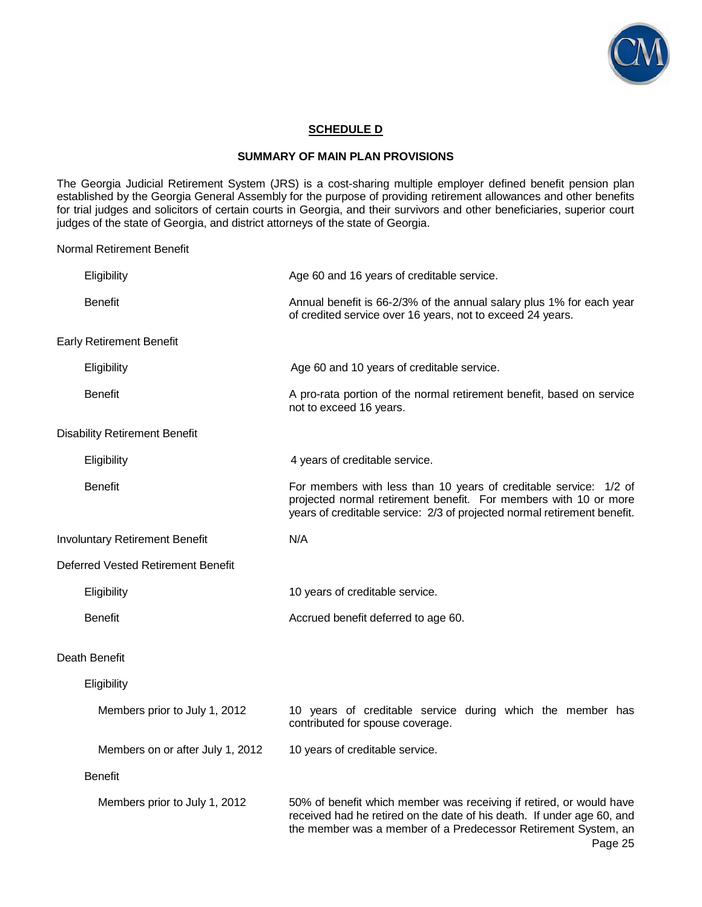

### **SCHEDULE D**

#### **SUMMARY OF MAIN PLAN PROVISIONS**

The Georgia Judicial Retirement System (JRS) is a cost-sharing multiple employer defined benefit pension plan established by the Georgia General Assembly for the purpose of providing retirement allowances and other benefits for trial judges and solicitors of certain courts in Georgia, and their survivors and other beneficiaries, superior court judges of the state of Georgia, and district attorneys of the state of Georgia.

Normal Retirement Benefit

| Eligibility                           | Age 60 and 16 years of creditable service.                                                                                                                                                                                 |  |  |
|---------------------------------------|----------------------------------------------------------------------------------------------------------------------------------------------------------------------------------------------------------------------------|--|--|
| <b>Benefit</b>                        | Annual benefit is 66-2/3% of the annual salary plus 1% for each year<br>of credited service over 16 years, not to exceed 24 years.                                                                                         |  |  |
| <b>Early Retirement Benefit</b>       |                                                                                                                                                                                                                            |  |  |
| Eligibility                           | Age 60 and 10 years of creditable service.                                                                                                                                                                                 |  |  |
| <b>Benefit</b>                        | A pro-rata portion of the normal retirement benefit, based on service<br>not to exceed 16 years.                                                                                                                           |  |  |
| <b>Disability Retirement Benefit</b>  |                                                                                                                                                                                                                            |  |  |
| Eligibility                           | 4 years of creditable service.                                                                                                                                                                                             |  |  |
| <b>Benefit</b>                        | For members with less than 10 years of creditable service: 1/2 of<br>projected normal retirement benefit. For members with 10 or more<br>years of creditable service: 2/3 of projected normal retirement benefit.          |  |  |
| <b>Involuntary Retirement Benefit</b> | N/A                                                                                                                                                                                                                        |  |  |
| Deferred Vested Retirement Benefit    |                                                                                                                                                                                                                            |  |  |
| Eligibility                           | 10 years of creditable service.                                                                                                                                                                                            |  |  |
| <b>Benefit</b>                        | Accrued benefit deferred to age 60.                                                                                                                                                                                        |  |  |
| Death Benefit                         |                                                                                                                                                                                                                            |  |  |
| Eligibility                           |                                                                                                                                                                                                                            |  |  |
| Members prior to July 1, 2012         | 10 years of creditable service during which the member has<br>contributed for spouse coverage.                                                                                                                             |  |  |
| Members on or after July 1, 2012      | 10 years of creditable service.                                                                                                                                                                                            |  |  |
| <b>Benefit</b>                        |                                                                                                                                                                                                                            |  |  |
| Members prior to July 1, 2012         | 50% of benefit which member was receiving if retired, or would have<br>received had he retired on the date of his death. If under age 60, and<br>the member was a member of a Predecessor Retirement System, an<br>Page 25 |  |  |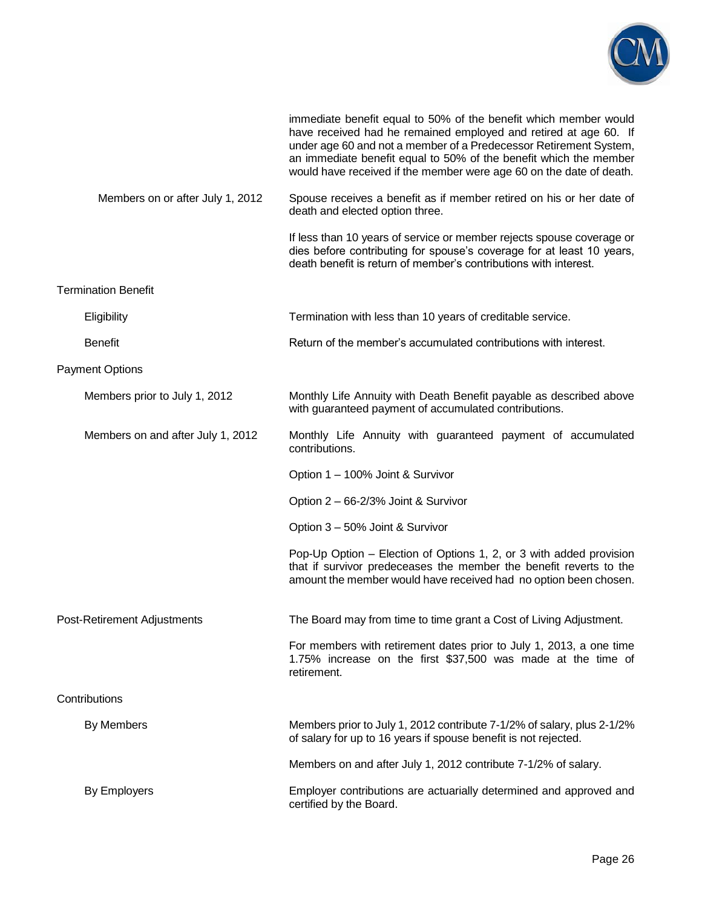

|                                   | immediate benefit equal to 50% of the benefit which member would<br>have received had he remained employed and retired at age 60. If<br>under age 60 and not a member of a Predecessor Retirement System,<br>an immediate benefit equal to 50% of the benefit which the member<br>would have received if the member were age 60 on the date of death. |
|-----------------------------------|-------------------------------------------------------------------------------------------------------------------------------------------------------------------------------------------------------------------------------------------------------------------------------------------------------------------------------------------------------|
| Members on or after July 1, 2012  | Spouse receives a benefit as if member retired on his or her date of<br>death and elected option three.                                                                                                                                                                                                                                               |
|                                   | If less than 10 years of service or member rejects spouse coverage or<br>dies before contributing for spouse's coverage for at least 10 years,<br>death benefit is return of member's contributions with interest.                                                                                                                                    |
| <b>Termination Benefit</b>        |                                                                                                                                                                                                                                                                                                                                                       |
| Eligibility                       | Termination with less than 10 years of creditable service.                                                                                                                                                                                                                                                                                            |
| <b>Benefit</b>                    | Return of the member's accumulated contributions with interest.                                                                                                                                                                                                                                                                                       |
| <b>Payment Options</b>            |                                                                                                                                                                                                                                                                                                                                                       |
| Members prior to July 1, 2012     | Monthly Life Annuity with Death Benefit payable as described above<br>with guaranteed payment of accumulated contributions.                                                                                                                                                                                                                           |
| Members on and after July 1, 2012 | Monthly Life Annuity with guaranteed payment of accumulated<br>contributions.                                                                                                                                                                                                                                                                         |
|                                   | Option 1 – 100% Joint & Survivor                                                                                                                                                                                                                                                                                                                      |
|                                   | Option 2 - 66-2/3% Joint & Survivor                                                                                                                                                                                                                                                                                                                   |
|                                   | Option 3 - 50% Joint & Survivor                                                                                                                                                                                                                                                                                                                       |
|                                   | Pop-Up Option - Election of Options 1, 2, or 3 with added provision<br>that if survivor predeceases the member the benefit reverts to the<br>amount the member would have received had no option been chosen.                                                                                                                                         |
| Post-Retirement Adjustments       | The Board may from time to time grant a Cost of Living Adjustment.                                                                                                                                                                                                                                                                                    |
|                                   | For members with retirement dates prior to July 1, 2013, a one time<br>1.75% increase on the first \$37,500 was made at the time of<br>retirement.                                                                                                                                                                                                    |
| Contributions                     |                                                                                                                                                                                                                                                                                                                                                       |
| By Members                        | Members prior to July 1, 2012 contribute 7-1/2% of salary, plus 2-1/2%<br>of salary for up to 16 years if spouse benefit is not rejected.                                                                                                                                                                                                             |
|                                   | Members on and after July 1, 2012 contribute 7-1/2% of salary.                                                                                                                                                                                                                                                                                        |
| By Employers                      | Employer contributions are actuarially determined and approved and<br>certified by the Board.                                                                                                                                                                                                                                                         |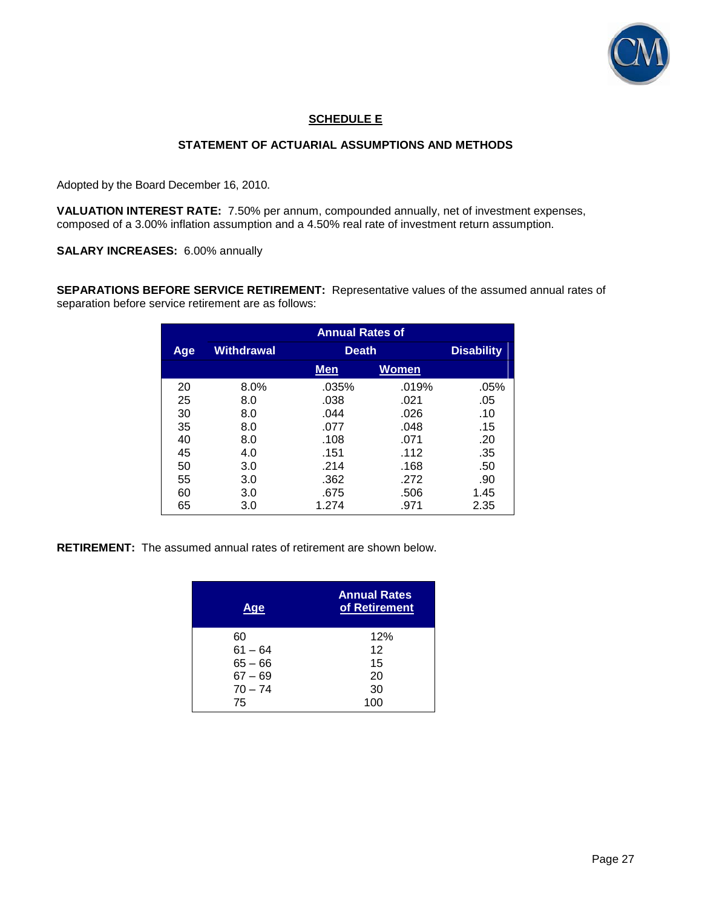

### **SCHEDULE E**

### **STATEMENT OF ACTUARIAL ASSUMPTIONS AND METHODS**

Adopted by the Board December 16, 2010.

**VALUATION INTEREST RATE:** 7.50% per annum, compounded annually, net of investment expenses, composed of a 3.00% inflation assumption and a 4.50% real rate of investment return assumption.

**SALARY INCREASES:** 6.00% annually

**SEPARATIONS BEFORE SERVICE RETIREMENT:** Representative values of the assumed annual rates of separation before service retirement are as follows:

|     | <b>Annual Rates of</b> |              |                   |      |  |
|-----|------------------------|--------------|-------------------|------|--|
| Age | Withdrawal             | <b>Death</b> | <b>Disability</b> |      |  |
|     |                        | <b>Men</b>   | Women             |      |  |
| 20  | 8.0%                   | .035%        | .019%             | .05% |  |
| 25  | 8.0                    | .038         | .021              | .05  |  |
| 30  | 8.0                    | .044         | .026              | .10  |  |
| 35  | 8.0                    | .077         | .048              | .15  |  |
| 40  | 8.0                    | .108         | .071              | .20  |  |
| 45  | 4.0                    | .151         | .112              | .35  |  |
| 50  | 3.0                    | .214         | .168              | .50  |  |
| 55  | 3.0                    | .362         | .272              | .90  |  |
| 60  | 3.0                    | .675         | .506              | 1.45 |  |
| 65  | 3.0                    | 1.274        | .971              | 2.35 |  |

**RETIREMENT:** The assumed annual rates of retirement are shown below.

| Aqe       | <b>Annual Rates</b><br>of Retirement |
|-----------|--------------------------------------|
| 60        | 12%                                  |
| $61 - 64$ | 12                                   |
| $65 - 66$ | 15                                   |
| $67 - 69$ | 20                                   |
| $70 - 74$ | 30                                   |
| 75        | 100                                  |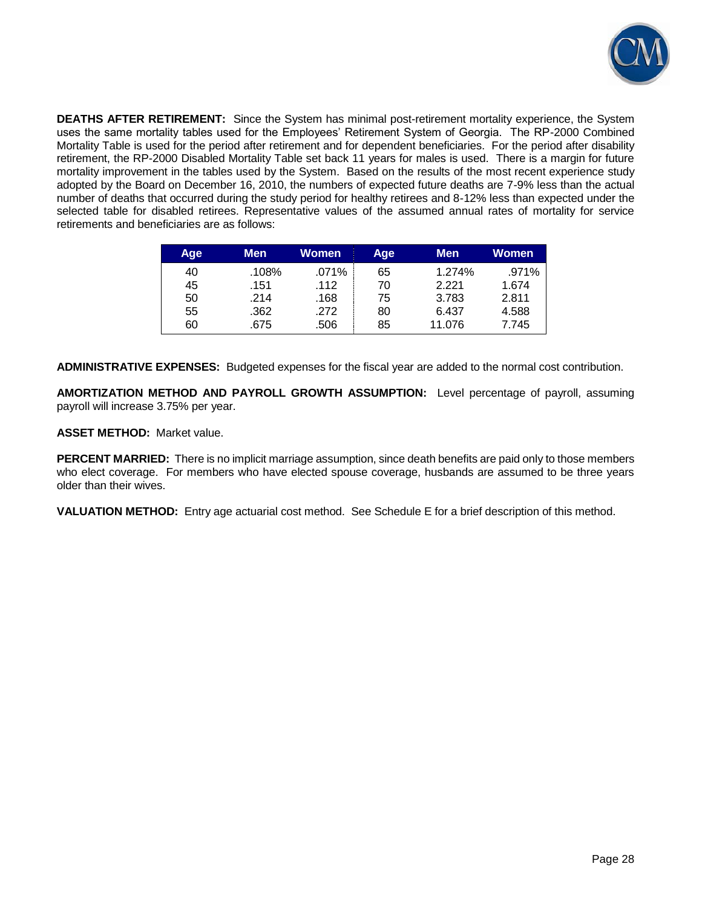

**DEATHS AFTER RETIREMENT:** Since the System has minimal post-retirement mortality experience, the System uses the same mortality tables used for the Employees' Retirement System of Georgia. The RP-2000 Combined Mortality Table is used for the period after retirement and for dependent beneficiaries. For the period after disability retirement, the RP-2000 Disabled Mortality Table set back 11 years for males is used. There is a margin for future mortality improvement in the tables used by the System. Based on the results of the most recent experience study adopted by the Board on December 16, 2010, the numbers of expected future deaths are 7-9% less than the actual number of deaths that occurred during the study period for healthy retirees and 8-12% less than expected under the selected table for disabled retirees. Representative values of the assumed annual rates of mortality for service retirements and beneficiaries are as follows:

| Age | Men   | <b>Women</b> | Age | <b>Men</b> | Women    |
|-----|-------|--------------|-----|------------|----------|
| 40  | .108% | .071%        | 65  | 1.274%     | $.971\%$ |
| 45  | .151  | .112         | 70  | 2.221      | 1.674    |
| 50  | .214  | .168         | 75  | 3.783      | 2.811    |
| 55  | .362  | .272         | 80  | 6.437      | 4.588    |
| 60  | .675  | .506         | 85  | 11.076     | 7.745    |

**ADMINISTRATIVE EXPENSES:** Budgeted expenses for the fiscal year are added to the normal cost contribution.

**AMORTIZATION METHOD AND PAYROLL GROWTH ASSUMPTION:** Level percentage of payroll, assuming payroll will increase 3.75% per year.

**ASSET METHOD:** Market value.

**PERCENT MARRIED:** There is no implicit marriage assumption, since death benefits are paid only to those members who elect coverage. For members who have elected spouse coverage, husbands are assumed to be three years older than their wives.

**VALUATION METHOD:** Entry age actuarial cost method. See Schedule E for a brief description of this method.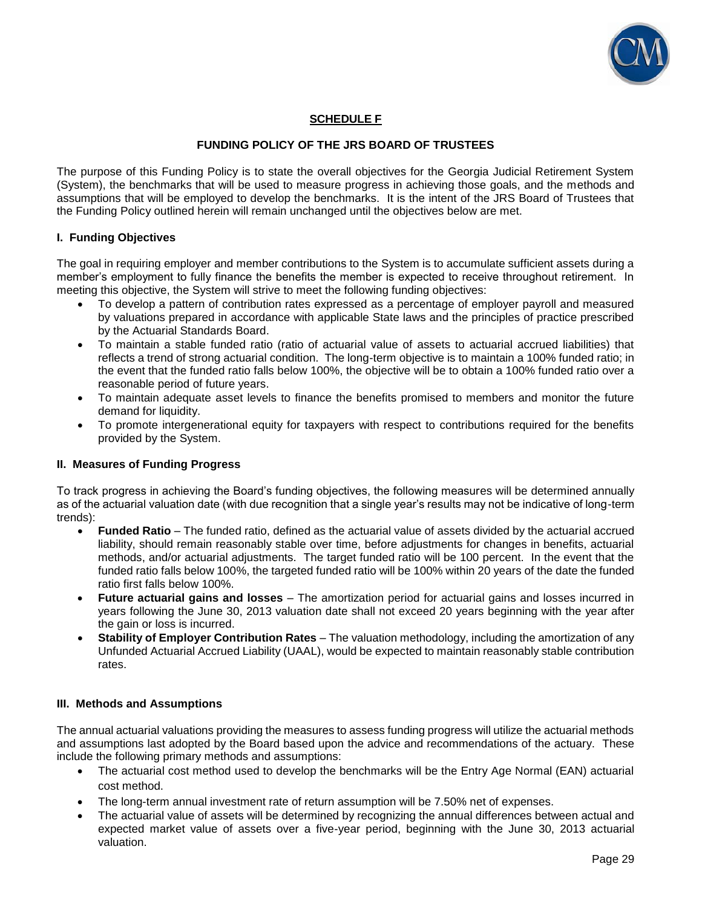

### **SCHEDULE F**

### **FUNDING POLICY OF THE JRS BOARD OF TRUSTEES**

The purpose of this Funding Policy is to state the overall objectives for the Georgia Judicial Retirement System (System), the benchmarks that will be used to measure progress in achieving those goals, and the methods and assumptions that will be employed to develop the benchmarks. It is the intent of the JRS Board of Trustees that the Funding Policy outlined herein will remain unchanged until the objectives below are met.

### **I. Funding Objectives**

The goal in requiring employer and member contributions to the System is to accumulate sufficient assets during a member's employment to fully finance the benefits the member is expected to receive throughout retirement. In meeting this objective, the System will strive to meet the following funding objectives:

- To develop a pattern of contribution rates expressed as a percentage of employer payroll and measured by valuations prepared in accordance with applicable State laws and the principles of practice prescribed by the Actuarial Standards Board.
- To maintain a stable funded ratio (ratio of actuarial value of assets to actuarial accrued liabilities) that reflects a trend of strong actuarial condition. The long-term objective is to maintain a 100% funded ratio; in the event that the funded ratio falls below 100%, the objective will be to obtain a 100% funded ratio over a reasonable period of future years.
- To maintain adequate asset levels to finance the benefits promised to members and monitor the future demand for liquidity.
- To promote intergenerational equity for taxpayers with respect to contributions required for the benefits provided by the System.

### **II. Measures of Funding Progress**

To track progress in achieving the Board's funding objectives, the following measures will be determined annually as of the actuarial valuation date (with due recognition that a single year's results may not be indicative of long-term trends):

- **Funded Ratio** The funded ratio, defined as the actuarial value of assets divided by the actuarial accrued liability, should remain reasonably stable over time, before adjustments for changes in benefits, actuarial methods, and/or actuarial adjustments. The target funded ratio will be 100 percent. In the event that the funded ratio falls below 100%, the targeted funded ratio will be 100% within 20 years of the date the funded ratio first falls below 100%.
- **Future actuarial gains and losses**  The amortization period for actuarial gains and losses incurred in years following the June 30, 2013 valuation date shall not exceed 20 years beginning with the year after the gain or loss is incurred.
- **Stability of Employer Contribution Rates** The valuation methodology, including the amortization of any Unfunded Actuarial Accrued Liability (UAAL), would be expected to maintain reasonably stable contribution rates.

#### **III. Methods and Assumptions**

The annual actuarial valuations providing the measures to assess funding progress will utilize the actuarial methods and assumptions last adopted by the Board based upon the advice and recommendations of the actuary. These include the following primary methods and assumptions:

- The actuarial cost method used to develop the benchmarks will be the Entry Age Normal (EAN) actuarial cost method.
- The long-term annual investment rate of return assumption will be 7.50% net of expenses.
- The actuarial value of assets will be determined by recognizing the annual differences between actual and expected market value of assets over a five-year period, beginning with the June 30, 2013 actuarial valuation.